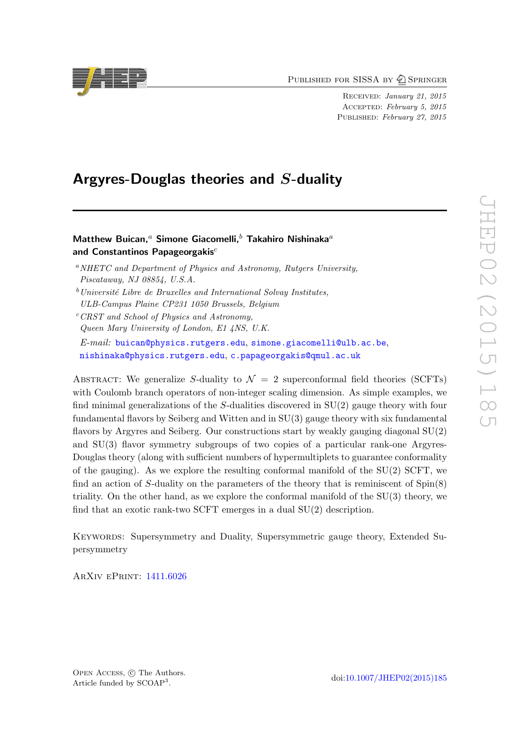PUBLISHED FOR SISSA BY 2 SPRINGER

Received: January 21, 2015 Accepted: February 5, 2015 PUBLISHED: February 27, 2015

## Argyres-Douglas theories and S-duality

### Matthew Buican,<sup>a</sup> Simone Giacomelli,<sup>b</sup> Takahiro Nishinaka<sup>a</sup> and Constantinos Papageorgakis $c$

<sup>a</sup>NHETC and Department of Physics and Astronomy, Rutgers University, Piscataway, NJ 08854, U.S.A.

 $c$ <sup>c</sup>CRST and School of Physics and Astronomy, Queen Mary University of London, E1 4NS, U.K. E-mail: [buican@physics.rutgers.edu](mailto:buican@physics.rutgers.edu), [simone.giacomelli@ulb.ac.be](mailto:simone.giacomelli@ulb.ac.be), [nishinaka@physics.rutgers.edu](mailto:nishinaka@physics.rutgers.edu), [c.papageorgakis@qmul.ac.uk](mailto:c.papageorgakis@qmul.ac.uk)

ABSTRACT: We generalize S-duality to  $\mathcal{N} = 2$  superconformal field theories (SCFTs) with Coulomb branch operators of non-integer scaling dimension. As simple examples, we find minimal generalizations of the  $S$ -dualities discovered in  $SU(2)$  gauge theory with four fundamental flavors by Seiberg and Witten and in SU(3) gauge theory with six fundamental flavors by Argyres and Seiberg. Our constructions start by weakly gauging diagonal SU(2) and SU(3) flavor symmetry subgroups of two copies of a particular rank-one Argyres-Douglas theory (along with sufficient numbers of hypermultiplets to guarantee conformality of the gauging). As we explore the resulting conformal manifold of the SU(2) SCFT, we find an action of S-duality on the parameters of the theory that is reminiscent of  $Spin(8)$ triality. On the other hand, as we explore the conformal manifold of the SU(3) theory, we find that an exotic rank-two SCFT emerges in a dual SU(2) description.

KEYWORDS: Supersymmetry and Duality, Supersymmetric gauge theory, Extended Supersymmetry

ArXiv ePrint: [1411.6026](http://arxiv.org/abs/1411.6026)



 $b$ Université Libre de Bruxelles and International Solvay Institutes, ULB-Campus Plaine CP231 1050 Brussels, Belgium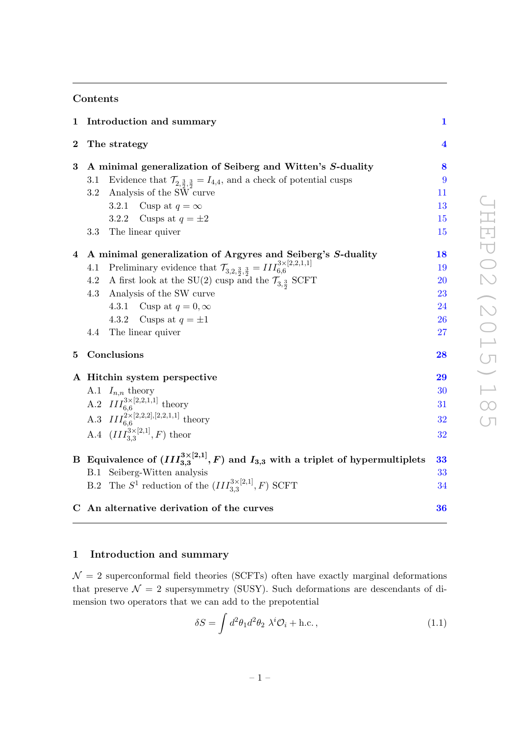### Contents

| 1        | Introduction and summary                                                                                               | 1                       |
|----------|------------------------------------------------------------------------------------------------------------------------|-------------------------|
| $\bf{2}$ | The strategy                                                                                                           | $\overline{\mathbf{4}}$ |
| $\bf{3}$ | A minimal generalization of Seiberg and Witten's S-duality                                                             | 8                       |
|          | Evidence that $\mathcal{T}_{2,\frac{3}{2},\frac{3}{2}} = I_{4,4}$ , and a check of potential cusps<br>3.1              | 9                       |
|          | Analysis of the SW curve<br>3.2                                                                                        | 11                      |
|          | Cusp at $q = \infty$<br>3.2.1                                                                                          | 13                      |
|          | 3.2.2<br>Cusps at $q = \pm 2$                                                                                          | 15                      |
|          | 3.3<br>The linear quiver                                                                                               | 15                      |
|          | 4 A minimal generalization of Argyres and Seiberg's S-duality                                                          | <b>18</b>               |
|          | Preliminary evidence that $\mathcal{T}_{3,2,\frac{3}{2},\frac{3}{2}} = III_{6,6}^{3 \times [2,2,1,1]}$<br>4.1          | 19                      |
|          | 4.2 A first look at the SU(2) cusp and the $\mathcal{T}_{3,\frac{3}{2}}$ SCFT                                          | <b>20</b>               |
|          | Analysis of the SW curve<br>4.3                                                                                        | 23                      |
|          | 4.3.1 Cusp at $q=0,\infty$                                                                                             | 24                      |
|          | 4.3.2<br>Cusps at $q = \pm 1$                                                                                          | <b>26</b>               |
|          | 4.4<br>The linear quiver                                                                                               | 27                      |
| 5        | Conclusions                                                                                                            | 28                      |
|          | A Hitchin system perspective                                                                                           | 29                      |
|          |                                                                                                                        | 30                      |
|          |                                                                                                                        | 31                      |
|          | A.1 $I_{n,n}$ theory<br>A.2 $III_{6,6}^{3\times[2,2,1,1]}$ theory<br>A.3 $III_{6,6}^{2\times[2,2,2],[2,2,1,1]}$ theory | 32                      |
|          | A.4 $(III_{3.3}^{3\times[2,1]}, F)$ theor                                                                              | 32                      |
|          | B Equivalence of $(III_{3,3}^{3\times[2,1]}, F)$ and $I_{3,3}$ with a triplet of hypermultiplets                       | 33                      |
|          | B.1 Seiberg-Witten analysis                                                                                            | 33                      |
|          | B.2 The $S^1$ reduction of the $(III_{3,3}^{3\times[2,1]},F)$ SCFT                                                     | 34                      |
|          | C An alternative derivation of the curves                                                                              | 36                      |

### <span id="page-1-0"></span>1 Introduction and summary

 $\mathcal{N}=2$  superconformal field theories (SCFTs) often have exactly marginal deformations that preserve  $\mathcal{N} = 2$  supersymmetry (SUSY). Such deformations are descendants of dimension two operators that we can add to the prepotential

$$
\delta S = \int d^2 \theta_1 d^2 \theta_2 \ \lambda^i \mathcal{O}_i + \text{h.c.},\tag{1.1}
$$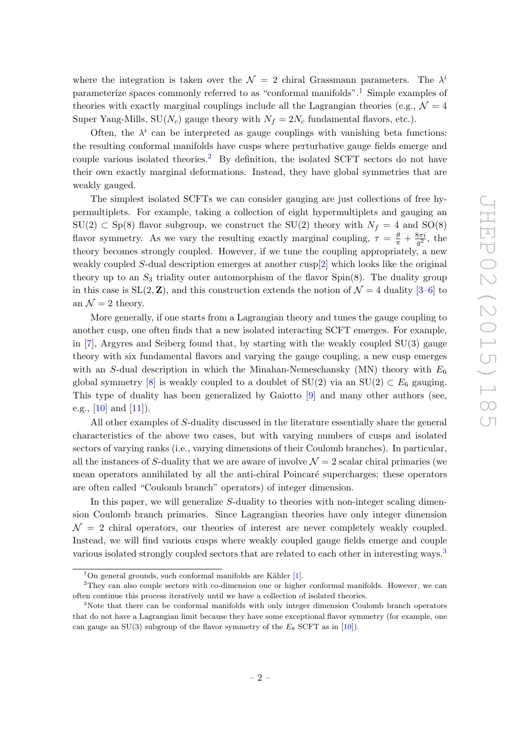where the integration is taken over the  $\mathcal{N} = 2$  chiral Grassmann parameters. The  $\lambda^i$ parameterize spaces commonly referred to as "conformal manifolds".[1](#page-2-0) Simple examples of theories with exactly marginal couplings include all the Lagrangian theories (e.g.,  $\mathcal{N} = 4$ Super Yang-Mills,  $SU(N_c)$  gauge theory with  $N_f = 2N_c$  fundamental flavors, etc.).

Often, the  $\lambda^i$  can be interpreted as gauge couplings with vanishing beta functions: the resulting conformal manifolds have cusps where perturbative gauge fields emerge and couple various isolated theories.<sup>[2](#page-2-1)</sup> By definition, the isolated SCFT sectors do not have their own exactly marginal deformations. Instead, they have global symmetries that are weakly gauged.

The simplest isolated SCFTs we can consider gauging are just collections of free hypermultiplets. For example, taking a collection of eight hypermultiplets and gauging an  $SU(2) \subset Sp(8)$  flavor subgroup, we construct the  $SU(2)$  theory with  $N_f = 4$  and  $SO(8)$ flavor symmetry. As we vary the resulting exactly marginal coupling,  $\tau = \frac{\theta}{\pi} + \frac{8\pi i}{g^2}$  $\frac{3\pi i}{g^2}$ , the theory becomes strongly coupled. However, if we tune the coupling appropriately, a new weakly coupled S-dual description emerges at another cusp[\[2\]](#page-38-0) which looks like the original theory up to an  $S_3$  triality outer automorphism of the flavor  $Spin(8)$ . The duality group in this case is  $SL(2, \mathbb{Z})$ , and this construction extends the notion of  $\mathcal{N} = 4$  duality [\[3](#page-38-1)[–6\]](#page-38-2) to an  $\mathcal{N}=2$  theory.

More generally, if one starts from a Lagrangian theory and tunes the gauge coupling to another cusp, one often finds that a new isolated interacting SCFT emerges. For example, in [\[7\]](#page-38-3), Argyres and Seiberg found that, by starting with the weakly coupled SU(3) gauge theory with six fundamental flavors and varying the gauge coupling, a new cusp emerges with an S-dual description in which the Minahan-Nemeschansky (MN) theory with  $E_6$ global symmetry [\[8\]](#page-38-4) is weakly coupled to a doublet of  $SU(2)$  via an  $SU(2) \subset E_6$  gauging. This type of duality has been generalized by Gaiotto [\[9\]](#page-38-5) and many other authors (see, e.g.,  $[10]$  and  $[11]$ .

All other examples of S-duality discussed in the literature essentially share the general characteristics of the above two cases, but with varying numbers of cusps and isolated sectors of varying ranks (i.e., varying dimensions of their Coulomb branches). In particular, all the instances of S-duality that we are aware of involve  $\mathcal{N}=2$  scalar chiral primaries (we mean operators annihilated by all the anti-chiral Poincaré supercharges; these operators are often called "Coulomb branch" operators) of integer dimension.

In this paper, we will generalize S-duality to theories with non-integer scaling dimension Coulomb branch primaries. Since Lagrangian theories have only integer dimension  $\mathcal{N} = 2$  chiral operators, our theories of interest are never completely weakly coupled. Instead, we will find various cusps where weakly coupled gauge fields emerge and couple various isolated strongly coupled sectors that are related to each other in interesting ways.<sup>[3](#page-2-2)</sup>

<span id="page-2-1"></span><span id="page-2-0"></span> $1$ On general grounds, such conformal manifolds are Kähler [\[1\]](#page-38-8).

<sup>&</sup>lt;sup>2</sup>They can also couple sectors with co-dimension one or higher conformal manifolds. However, we can often continue this process iteratively until we have a collection of isolated theories.

<span id="page-2-2"></span><sup>&</sup>lt;sup>3</sup>Note that there can be conformal manifolds with only integer dimension Coulomb branch operators that do not have a Lagrangian limit because they have some exceptional flavor symmetry (for example, one can gauge an  $SU(3)$  subgroup of the flavor symmetry of the  $E_8$  SCFT as in [\[10\]](#page-38-6)).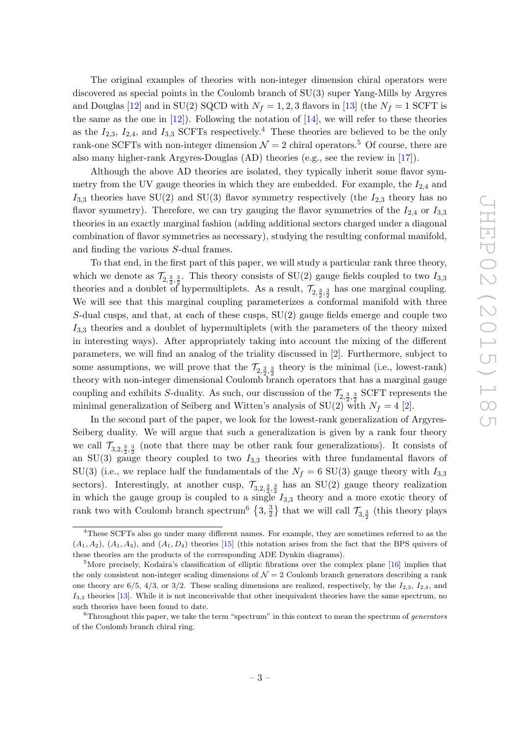The original examples of theories with non-integer dimension chiral operators were discovered as special points in the Coulomb branch of SU(3) super Yang-Mills by Argyres and Douglas [\[12\]](#page-38-9) and in SU(2) SQCD with  $N_f = 1, 2, 3$  flavors in [\[13\]](#page-38-10) (the  $N_f = 1$  SCFT is the same as the one in  $[12]$ . Following the notation of  $[14]$ , we will refer to these theories as the  $I_{2,3}$ ,  $I_{2,4}$  $I_{2,4}$  $I_{2,4}$ , and  $I_{3,3}$  SCFTs respectively.<sup>4</sup> These theories are believed to be the only rank-one SCFTs with non-integer dimension  $\mathcal{N} = 2$  chiral operators.<sup>[5](#page-3-1)</sup> Of course, there are also many higher-rank Argyres-Douglas (AD) theories (e.g., see the review in [\[17\]](#page-38-12)).

Although the above AD theories are isolated, they typically inherit some flavor symmetry from the UV gauge theories in which they are embedded. For example, the  $I_{2,4}$  and  $I_{3,3}$  theories have SU(2) and SU(3) flavor symmetry respectively (the  $I_{2,3}$  theory has no flavor symmetry). Therefore, we can try gauging the flavor symmetries of the  $I_{2,4}$  or  $I_{3,3}$ theories in an exactly marginal fashion (adding additional sectors charged under a diagonal combination of flavor symmetries as necessary), studying the resulting conformal manifold, and finding the various S-dual frames.

To that end, in the first part of this paper, we will study a particular rank three theory, which we denote as  $\mathcal{T}_{2,\frac{3}{2},\frac{3}{2}}$ . This theory consists of SU(2) gauge fields coupled to two  $I_{3,3}$ theories and a doublet of hypermultiplets. As a result,  $\mathcal{T}_{2,\frac{3}{2},\frac{3}{2}}$  has one marginal coupling. We will see that this marginal coupling parameterizes a conformal manifold with three S-dual cusps, and that, at each of these cusps, SU(2) gauge fields emerge and couple two  $I_{3,3}$  theories and a doublet of hypermultiplets (with the parameters of the theory mixed in interesting ways). After appropriately taking into account the mixing of the different parameters, we will find an analog of the triality discussed in [\[2\]](#page-38-0). Furthermore, subject to some assumptions, we will prove that the  $\mathcal{T}_{2,\frac{3}{2},\frac{3}{2}}$  theory is the minimal (i.e., lowest-rank) theory with non-integer dimensional Coulomb branch operators that has a marginal gauge coupling and exhibits S-duality. As such, our discussion of the  $\mathcal{T}_{2, \frac{3}{2}, \frac{3}{2}}$  SCFT represents the minimal generalization of Seiberg and Witten's analysis of  $SU(2)$  with  $N_f = 4$  [\[2\]](#page-38-0).

In the second part of the paper, we look for the lowest-rank generalization of Argyres-Seiberg duality. We will argue that such a generalization is given by a rank four theory we call  $\mathcal{T}_{3,2,\frac{3}{2},\frac{3}{2}}$  (note that there may be other rank four generalizations). It consists of an SU(3) gauge theory coupled to two  $I_{3,3}$  theories with three fundamental flavors of SU(3) (i.e., we replace half the fundamentals of the  $N_f = 6$  SU(3) gauge theory with  $I_{3,3}$ sectors). Interestingly, at another cusp,  $\mathcal{T}_{3,2,\frac{3}{2},\frac{3}{2}}$  has an SU(2) gauge theory realization in which the gauge group is coupled to a single  $I_{3,3}$  theory and a more exotic theory of rank two with Coulomb branch spectrum<sup>[6](#page-3-2)</sup>  $\{3, \frac{3}{2}$  $\frac{3}{2}$ } that we will call  $\mathcal{T}_{3,\frac{3}{2}}$  (this theory plays

<span id="page-3-0"></span><sup>&</sup>lt;sup>4</sup>These SCFTs also go under many different names. For example, they are sometimes referred to as the  $(A_1, A_2)$ ,  $(A_1, A_3)$ , and  $(A_1, D_4)$  theories [\[15\]](#page-38-13) (this notation arises from the fact that the BPS quivers of these theories are the products of the corresponding ADE Dynkin diagrams).

<span id="page-3-1"></span><sup>&</sup>lt;sup>5</sup>More precisely, Kodaira's classification of elliptic fibrations over the complex plane  $[16]$  implies that the only consistent non-integer scaling dimensions of  $\mathcal{N}=2$  Coulomb branch generators describing a rank one theory are  $6/5$ ,  $4/3$ , or  $3/2$ . These scaling dimensions are realized, respectively, by the  $I_{2,3}$ ,  $I_{2,4}$ , and  $I_{3,3}$  theories [\[13\]](#page-38-10). While it is not inconceivable that other inequivalent theories have the same spectrum, no such theories have been found to date.

<span id="page-3-2"></span> $6$ Throughout this paper, we take the term "spectrum" in this context to mean the spectrum of *generators* of the Coulomb branch chiral ring.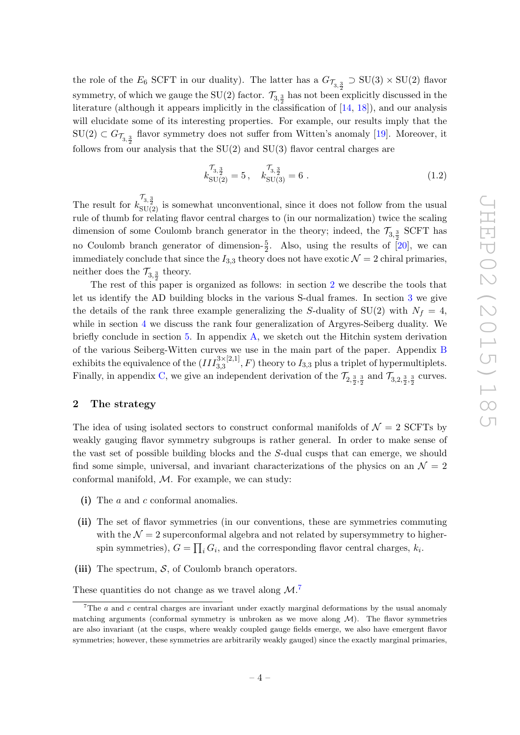the role of the  $E_6$  SCFT in our duality). The latter has a  $G_{\mathcal{T}_{3,\frac{3}{2}}} \supset \text{SU}(3) \times \text{SU}(2)$  flavor symmetry, of which we gauge the SU(2) factor.  $\mathcal{T}_{3,\frac{3}{2}}$  has not been explicitly discussed in the literature (although it appears implicitly in the classification of [\[14,](#page-38-11) [18\]](#page-38-15)), and our analysis will elucidate some of its interesting properties. For example, our results imply that the  $SU(2) \subset G_{\mathcal{T}_{3,\frac{3}{2}}}$  flavor symmetry does not suffer from Witten's anomaly [\[19\]](#page-39-0). Moreover, it follows from our analysis that the  $SU(2)$  and  $SU(3)$  flavor central charges are

<span id="page-4-2"></span>
$$
k_{\text{SU(2)}}^{7_{3,\frac{3}{2}}}=5, \quad k_{\text{SU(3)}}^{7_{3,\frac{3}{2}}}=6 \tag{1.2}
$$

The result for  $k_{\text{SU(2)}}^{\mathcal{T}_{3,\frac{3}{2}}}$  is somewhat unconventional, since it does not follow from the usual rule of thumb for relating flavor central charges to (in our normalization) twice the scaling dimension of some Coulomb branch generator in the theory; indeed, the  $\mathcal{T}_{3,\frac{3}{2}}$  SCFT has no Coulomb branch generator of dimension- $\frac{5}{2}$ . Also, using the results of [\[20\]](#page-39-1), we can immediately conclude that since the  $I_{3,3}$  theory does not have exotic  $\mathcal{N}=2$  chiral primaries, neither does the  $\mathcal{T}_{3,\frac{3}{2}}$  theory.

The rest of this paper is organized as follows: in section [2](#page-4-0) we describe the tools that let us identify the AD building blocks in the various S-dual frames. In section [3](#page-8-0) we give the details of the rank three example generalizing the S-duality of  $SU(2)$  with  $N_f = 4$ , while in section [4](#page-18-0) we discuss the rank four generalization of Argyres-Seiberg duality. We briefly conclude in section [5.](#page-28-0) In appendix  $A$ , we sketch out the Hitchin system derivation of the various Seiberg-Witten curves we use in the main part of the paper. Appendix [B](#page-33-0)  $\text{exhibits the equivalence of the } (III_{3,3}^{3\times[2,1]},F) \text{ theory to } I_{3,3} \text{ plus a triplet of hypermultiplets.}$ Finally, in appendix [C,](#page-36-0) we give an independent derivation of the  $\mathcal{T}_{2,\frac{3}{2},\frac{3}{2}}$  and  $\mathcal{T}_{3,2,\frac{3}{2},\frac{3}{2}}$  curves.

#### <span id="page-4-0"></span>2 The strategy

The idea of using isolated sectors to construct conformal manifolds of  $\mathcal{N} = 2$  SCFTs by weakly gauging flavor symmetry subgroups is rather general. In order to make sense of the vast set of possible building blocks and the S-dual cusps that can emerge, we should find some simple, universal, and invariant characterizations of the physics on an  $\mathcal{N} = 2$ conformal manifold,  $M$ . For example, we can study:

- (i) The a and c conformal anomalies.
- (ii) The set of flavor symmetries (in our conventions, these are symmetries commuting with the  $\mathcal{N} = 2$  superconformal algebra and not related by supersymmetry to higherspin symmetries),  $G = \prod_i G_i$ , and the corresponding flavor central charges,  $k_i$ .
- (iii) The spectrum,  $S$ , of Coulomb branch operators.

These quantities do not change as we travel along  $\mathcal{M}$ .<sup>[7](#page-4-1)</sup>

<span id="page-4-1"></span><sup>&</sup>lt;sup>7</sup>The  $a$  and  $c$  central charges are invariant under exactly marginal deformations by the usual anomaly matching arguments (conformal symmetry is unbroken as we move along  $M$ ). The flavor symmetries are also invariant (at the cusps, where weakly coupled gauge fields emerge, we also have emergent flavor symmetries; however, these symmetries are arbitrarily weakly gauged) since the exactly marginal primaries,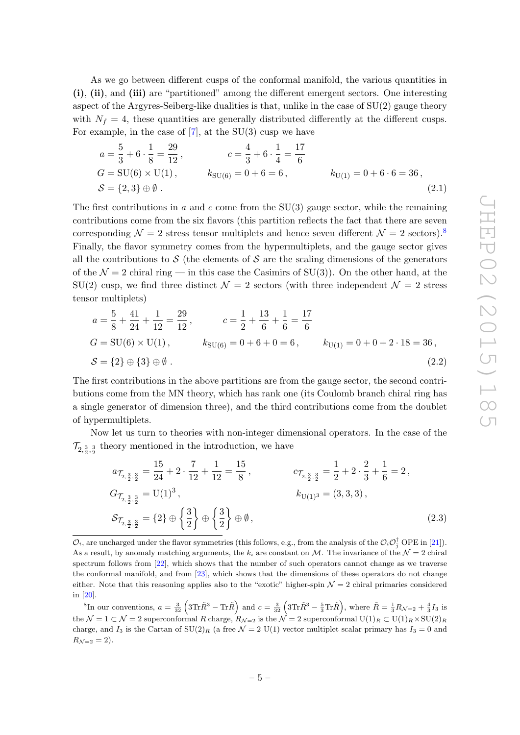As we go between different cusps of the conformal manifold, the various quantities in (i), (ii), and (iii) are "partitioned" among the different emergent sectors. One interesting aspect of the Argyres-Seiberg-like dualities is that, unlike in the case of  $SU(2)$  gauge theory with  $N_f = 4$ , these quantities are generally distributed differently at the different cusps. For example, in the case of  $[7]$ , at the SU(3) cusp we have

$$
a = \frac{5}{3} + 6 \cdot \frac{1}{8} = \frac{29}{12}, \qquad c = \frac{4}{3} + 6 \cdot \frac{1}{4} = \frac{17}{6}
$$
  
\n
$$
G = \text{SU}(6) \times \text{U}(1), \qquad k_{\text{SU}(6)} = 0 + 6 = 6, \qquad k_{\text{U}(1)} = 0 + 6 \cdot 6 = 36,
$$
  
\n
$$
S = \{2, 3\} \oplus \emptyset \,.
$$
\n(2.1)

The first contributions in a and c come from the  $SU(3)$  gauge sector, while the remaining contributions come from the six flavors (this partition reflects the fact that there are seven corresponding  $\mathcal{N} = 2$  stress tensor multiplets and hence seven different  $\mathcal{N} = 2$  sectors).<sup>[8](#page-5-0)</sup> Finally, the flavor symmetry comes from the hypermultiplets, and the gauge sector gives all the contributions to  $S$  (the elements of S are the scaling dimensions of the generators of the  $\mathcal{N} = 2$  chiral ring — in this case the Casimirs of SU(3)). On the other hand, at the  $SU(2)$  cusp, we find three distinct  $\mathcal{N}=2$  sectors (with three independent  $\mathcal{N}=2$  stress tensor multiplets)

$$
a = \frac{5}{8} + \frac{41}{24} + \frac{1}{12} = \frac{29}{12}, \qquad c = \frac{1}{2} + \frac{13}{6} + \frac{1}{6} = \frac{17}{6}
$$
  
\n
$$
G = \text{SU}(6) \times \text{U}(1), \qquad k_{\text{SU}(6)} = 0 + 6 + 0 = 6, \qquad k_{\text{U}(1)} = 0 + 0 + 2 \cdot 18 = 36,
$$
  
\n
$$
S = \{2\} \oplus \{3\} \oplus \emptyset.
$$
\n(2.2)

The first contributions in the above partitions are from the gauge sector, the second contributions come from the MN theory, which has rank one (its Coulomb branch chiral ring has a single generator of dimension three), and the third contributions come from the doublet of hypermultiplets.

Now let us turn to theories with non-integer dimensional operators. In the case of the  $\mathcal{T}_{2,\frac{3}{2},\frac{3}{2}}$  theory mentioned in the introduction, we have

<span id="page-5-1"></span>
$$
a_{\mathcal{T}_{2,\frac{3}{2},\frac{3}{2}}} = \frac{15}{24} + 2 \cdot \frac{7}{12} + \frac{1}{12} = \frac{15}{8}, \qquad c_{\mathcal{T}_{2,\frac{3}{2},\frac{3}{2}}} = \frac{1}{2} + 2 \cdot \frac{2}{3} + \frac{1}{6} = 2,
$$
  
\n
$$
G_{\mathcal{T}_{2,\frac{3}{2},\frac{3}{2}}} = U(1)^3, \qquad k_{U(1)^3} = (3,3,3),
$$
  
\n
$$
\mathcal{S}_{\mathcal{T}_{2,\frac{3}{2},\frac{3}{2}}} = \{2\} \oplus \left\{\frac{3}{2}\right\} \oplus \left\{\frac{3}{2}\right\} \oplus \emptyset, \qquad (2.3)
$$

<span id="page-5-0"></span><sup>8</sup>In our conventions,  $a = \frac{3}{32} \left( 3 \text{Tr} \tilde{R}^3 - \text{Tr} \tilde{R} \right)$  and  $c = \frac{3}{32} \left( 3 \text{Tr} \tilde{R}^3 - \frac{5}{3} \text{Tr} \tilde{R} \right)$ , where  $\tilde{R} = \frac{1}{3} R_{\mathcal{N}=2} + \frac{4}{3} I_3$  is the  $\mathcal{N} = 1 \subset \mathcal{N} = 2$  superconformal R charge,  $R_{\mathcal{N}=2}$  is the  $\mathcal{N} = 2$  superconformal  $U(1)_R \subset U(1)_R \times SU(2)_R$ charge, and I<sub>3</sub> is the Cartan of  $SU(2)_R$  (a free  $\mathcal{N}=2$  U(1) vector multiplet scalar primary has I<sub>3</sub> = 0 and  $R_{\mathcal{N}=2} = 2$ .

 $\mathcal{O}_i$ , are uncharged under the flavor symmetries (this follows, e.g., from the analysis of the  $\mathcal{O}_i\mathcal{O}_j^{\dagger}$  OPE in [\[21\]](#page-39-2)). As a result, by anomaly matching arguments, the  $k_i$  are constant on M. The invariance of the  $\mathcal{N}=2$  chiral spectrum follows from [\[22\]](#page-39-3), which shows that the number of such operators cannot change as we traverse the conformal manifold, and from [\[23\]](#page-39-4), which shows that the dimensions of these operators do not change either. Note that this reasoning applies also to the "exotic" higher-spin  $\mathcal{N} = 2$  chiral primaries considered in [\[20\]](#page-39-1).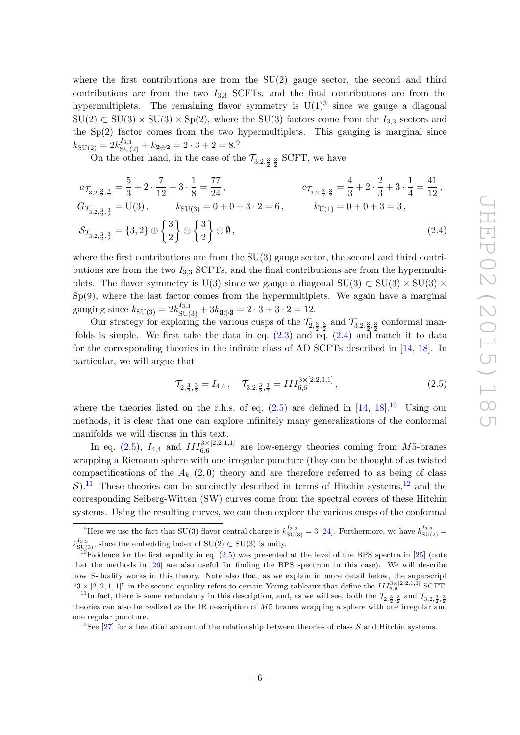where the first contributions are from the  $SU(2)$  gauge sector, the second and third contributions are from the two  $I_{3,3}$  SCFTs, and the final contributions are from the hypermultiplets. The remaining flavor symmetry is  $U(1)^3$  since we gauge a diagonal  $SU(2) \subset SU(3) \times SU(3) \times Sp(2)$ , where the  $SU(3)$  factors come from the  $I_{3,3}$  sectors and the  $Sp(2)$  factor comes from the two hypermultiplets. This gauging is marginal since  $k_{\text{SU(2)}} = 2k_{\text{SU(2)}}^{I_{3,3}} + k_{\textbf{2}\oplus \textbf{2}} = 2\cdot 3 + 2 = 8.^9$  $k_{\text{SU(2)}} = 2k_{\text{SU(2)}}^{I_{3,3}} + k_{\textbf{2}\oplus \textbf{2}} = 2\cdot 3 + 2 = 8.^9$ 

On the other hand, in the case of the  $\mathcal{T}_{3,2,\frac{3}{2},\frac{3}{2}}$  SCFT, we have

$$
a_{\mathcal{T}_{3,2,\frac{3}{2},\frac{3}{2}}} = \frac{5}{3} + 2 \cdot \frac{7}{12} + 3 \cdot \frac{1}{8} = \frac{77}{24},
$$
  
\n
$$
G_{\mathcal{T}_{3,2,\frac{3}{2},\frac{3}{2}}} = \frac{4}{3} + 2 \cdot \frac{2}{3} + 3 \cdot \frac{1}{4} = \frac{41}{12},
$$
  
\n
$$
G_{\mathcal{T}_{3,2,\frac{3}{2},\frac{3}{2}}} = U(3),
$$
  
\n
$$
k_{\text{SU}(3)} = 0 + 0 + 3 \cdot 2 = 6,
$$
  
\n
$$
k_{\text{U}(1)} = 0 + 0 + 3 = 3,
$$
  
\n
$$
S_{\mathcal{T}_{3,2,\frac{3}{2},\frac{3}{2}}} = \{3,2\} \oplus \left\{\frac{3}{2}\right\} \oplus \left\{\frac{3}{2}\right\} \oplus \emptyset,
$$
  
\n(2.4)

where the first contributions are from the SU(3) gauge sector, the second and third contributions are from the two  $I_{3,3}$  SCFTs, and the final contributions are from the hypermultiplets. The flavor symmetry is U(3) since we gauge a diagonal SU(3) ⊂ SU(3)  $\times$  SU(3)  $\times$  $Sp(9)$ , where the last factor comes from the hypermultiplets. We again have a marginal gauging since  $k_{\text{SU(3)}} = 2k_{\text{SU(3)}}^{I_{3,3}} + 3k_{3\oplus 3} = 2 \cdot 3 + 3 \cdot 2 = 12$ .

Our strategy for exploring the various cusps of the  $\mathcal{T}_{2,\frac{3}{2},\frac{3}{2}}$  and  $\mathcal{T}_{3,2,\frac{3}{2},\frac{3}{2}}$  conformal manifolds is simple. We first take the data in eq.  $(2.3)$  and eq.  $(2.4)$  and match it to data for the corresponding theories in the infinite class of AD SCFTs described in [\[14,](#page-38-11) [18\]](#page-38-15). In particular, we will argue that

<span id="page-6-2"></span><span id="page-6-1"></span>
$$
\mathcal{T}_{2,\frac{3}{2},\frac{3}{2}} = I_{4,4} \,, \quad \mathcal{T}_{3,2,\frac{3}{2},\frac{3}{2}} = III_{6,6}^{3 \times [2,2,1,1]} \,, \tag{2.5}
$$

where the theories listed on the r.h.s. of eq.  $(2.5)$  are defined in  $[14, 18]$  $[14, 18]$ .<sup>[10](#page-6-3)</sup> Using our methods, it is clear that one can explore infinitely many generalizations of the conformal manifolds we will discuss in this text.

In eq. [\(2.5\)](#page-6-2),  $I_{4,4}$  and  $III_{6,6}^{3\times[2,2,1,1]}$  are low-energy theories coming from M5-branes wrapping a Riemann sphere with one irregular puncture (they can be thought of as twisted compactifications of the  $A_k$  (2,0) theory and are therefore referred to as being of class  $\mathcal{S}$ ).<sup>[11](#page-6-4)</sup> These theories can be succinctly described in terms of Hitchin systems,<sup>[12](#page-6-5)</sup> and the corresponding Seiberg-Witten (SW) curves come from the spectral covers of these Hitchin systems. Using the resulting curves, we can then explore the various cusps of the conformal

<span id="page-6-0"></span><sup>&</sup>lt;sup>9</sup>Here we use the fact that SU(3) flavor central charge is  $k_{\text{SU(3)}}^{I_{3,3}} = 3$  [\[24\]](#page-39-5). Furthermore, we have  $k_{\text{SU(2)}}^{I_{3,3}} =$  $k_{\rm SU(3)}^{I_{3,3}}$ , since the embedding index of  $\mathrm{SU}(2)\subset \mathrm{SU}(3)$  is unity.

<span id="page-6-3"></span> $10E$ vidence for the first equality in eq. [\(2.5\)](#page-6-2) was presented at the level of the BPS spectra in [\[25\]](#page-39-6) (note that the methods in [\[26\]](#page-39-7) are also useful for finding the BPS spectrum in this case). We will describe how S-duality works in this theory. Note also that, as we explain in more detail below, the superscript " $3 \times [2, 2, 1, 1]$ " in the second equality refers to certain Young tableaux that define the  $III_{6,6}^{3 \times [2,2,1,1]}$  SCFT.

<span id="page-6-4"></span><sup>&</sup>lt;sup>11</sup>In fact, there is some redundancy in this description, and, as we will see, both the  $\mathcal{T}_{2,\frac{3}{2},\frac{3}{2}}$  and  $\mathcal{T}_{3,2,\frac{3}{2},\frac{3}{2}}$ theories can also be realized as the IR description of M5 branes wrapping a sphere with one irregular and one regular puncture.

<span id="page-6-5"></span><sup>&</sup>lt;sup>12</sup>See [\[27\]](#page-39-8) for a beautiful account of the relationship between theories of class S and Hitchin systems.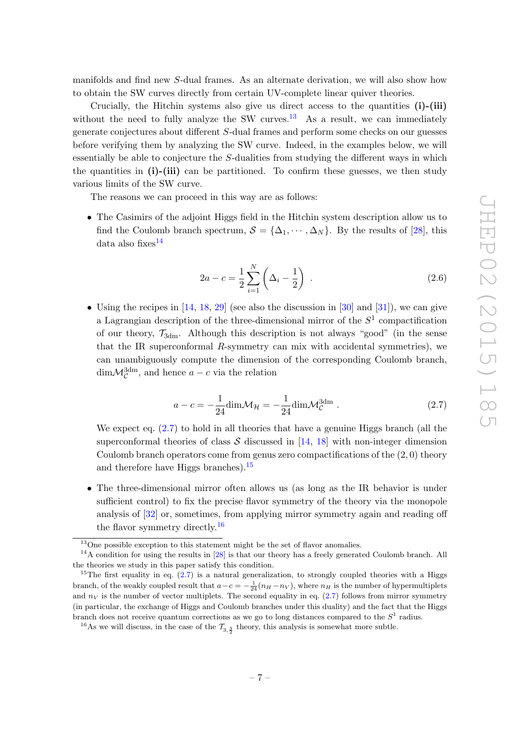manifolds and find new S-dual frames. As an alternate derivation, we will also show how to obtain the SW curves directly from certain UV-complete linear quiver theories.

Crucially, the Hitchin systems also give us direct access to the quantities (i)-(iii) without the need to fully analyze the SW curves.<sup>[13](#page-7-0)</sup> As a result, we can immediately generate conjectures about different S-dual frames and perform some checks on our guesses before verifying them by analyzing the SW curve. Indeed, in the examples below, we will essentially be able to conjecture the S-dualities from studying the different ways in which the quantities in (i)-(iii) can be partitioned. To confirm these guesses, we then study various limits of the SW curve.

The reasons we can proceed in this way are as follows:

• The Casimirs of the adjoint Higgs field in the Hitchin system description allow us to find the Coulomb branch spectrum,  $S = {\Delta_1, \cdots, \Delta_N}$ . By the results of [\[28\]](#page-39-9), this data also fixes $^{14}$  $^{14}$  $^{14}$ 

<span id="page-7-5"></span>
$$
2a - c = \frac{1}{2} \sum_{i=1}^{N} \left( \Delta_i - \frac{1}{2} \right) . \tag{2.6}
$$

• Using the recipes in  $[14, 18, 29]$  $[14, 18, 29]$  $[14, 18, 29]$  $[14, 18, 29]$  (see also the discussion in  $[30]$  and  $[31]$ ), we can give a Lagrangian description of the three-dimensional mirror of the  $S<sup>1</sup>$  compactification of our theory,  $\mathcal{T}_{3dm}$ . Although this description is not always "good" (in the sense that the IR superconformal R-symmetry can mix with accidental symmetries), we can unambiguously compute the dimension of the corresponding Coulomb branch,  $\dim \mathcal{M}_{\mathcal{C}}^{\text{3dm}}$ , and hence  $a - c$  via the relation

<span id="page-7-2"></span>
$$
a - c = -\frac{1}{24} \dim \mathcal{M}_{\mathcal{H}} = -\frac{1}{24} \dim \mathcal{M}_{\mathcal{C}}^{\text{3dm}} . \qquad (2.7)
$$

We expect eq.  $(2.7)$  to hold in all theories that have a genuine Higgs branch (all the superconformal theories of class  $S$  discussed in [\[14,](#page-38-11) [18\]](#page-38-15) with non-integer dimension Coulomb branch operators come from genus zero compactifications of the  $(2, 0)$  theory and therefore have Higgs branches). $15$ 

• The three-dimensional mirror often allows us (as long as the IR behavior is under sufficient control) to fix the precise flavor symmetry of the theory via the monopole analysis of [\[32\]](#page-39-13) or, sometimes, from applying mirror symmetry again and reading off the flavor symmetry directly.<sup>[16](#page-7-4)</sup>

<span id="page-7-1"></span><span id="page-7-0"></span> $13$ One possible exception to this statement might be the set of flavor anomalies.

 $14A$  condition for using the results in [\[28\]](#page-39-9) is that our theory has a freely generated Coulomb branch. All the theories we study in this paper satisfy this condition.

<span id="page-7-3"></span><sup>&</sup>lt;sup>15</sup>The first equality in eq.  $(2.7)$  is a natural generalization, to strongly coupled theories with a Higgs branch, of the weakly coupled result that  $a-c = -\frac{1}{24}(n_H - n_V)$ , where  $n_H$  is the number of hypermultiplets and  $n_V$  is the number of vector multiplets. The second equality in eq.  $(2.7)$  follows from mirror symmetry (in particular, the exchange of Higgs and Coulomb branches under this duality) and the fact that the Higgs branch does not receive quantum corrections as we go to long distances compared to the  $S<sup>1</sup>$  radius.

<span id="page-7-4"></span><sup>&</sup>lt;sup>16</sup>As we will discuss, in the case of the  $\mathcal{T}_{3, \frac{3}{2}}$  theory, this analysis is somewhat more subtle.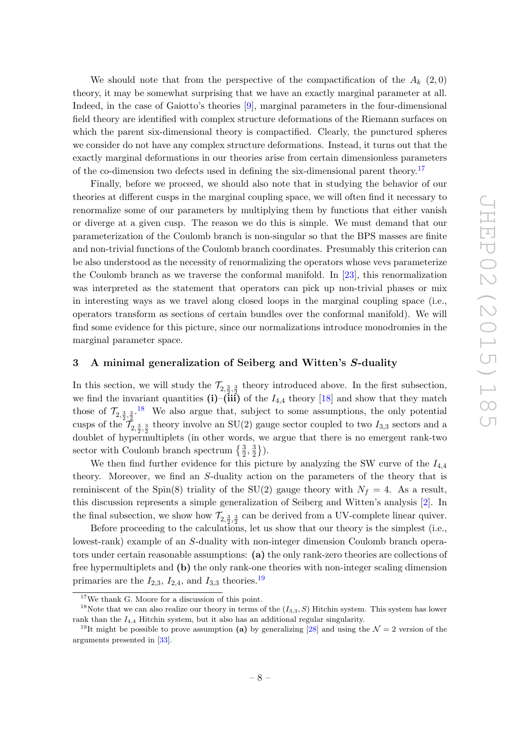We should note that from the perspective of the compactification of the  $A_k$  (2,0) theory, it may be somewhat surprising that we have an exactly marginal parameter at all. Indeed, in the case of Gaiotto's theories [\[9\]](#page-38-5), marginal parameters in the four-dimensional field theory are identified with complex structure deformations of the Riemann surfaces on which the parent six-dimensional theory is compactified. Clearly, the punctured spheres we consider do not have any complex structure deformations. Instead, it turns out that the exactly marginal deformations in our theories arise from certain dimensionless parameters of the co-dimension two defects used in defining the six-dimensional parent theory.<sup>[17](#page-8-1)</sup>

Finally, before we proceed, we should also note that in studying the behavior of our theories at different cusps in the marginal coupling space, we will often find it necessary to renormalize some of our parameters by multiplying them by functions that either vanish or diverge at a given cusp. The reason we do this is simple. We must demand that our parameterization of the Coulomb branch is non-singular so that the BPS masses are finite and non-trivial functions of the Coulomb branch coordinates. Presumably this criterion can be also understood as the necessity of renormalizing the operators whose vevs parameterize the Coulomb branch as we traverse the conformal manifold. In [\[23\]](#page-39-4), this renormalization was interpreted as the statement that operators can pick up non-trivial phases or mix in interesting ways as we travel along closed loops in the marginal coupling space (i.e., operators transform as sections of certain bundles over the conformal manifold). We will find some evidence for this picture, since our normalizations introduce monodromies in the marginal parameter space.

#### <span id="page-8-0"></span>3 A minimal generalization of Seiberg and Witten's S-duality

In this section, we will study the  $\mathcal{T}_{2,\frac{3}{2},\frac{3}{2}}$  theory introduced above. In the first subsection, we find the invariant quantities  $(i)$ – $(iii)$  of the  $I_{4,4}$  theory [\[18\]](#page-38-15) and show that they match those of  $\mathcal{T}_{2,\frac{3}{2},\frac{3}{2}}$ .<sup>[18](#page-8-2)</sup> We also argue that, subject to some assumptions, the only potential cusps of the  $\mathcal{T}_{2,\frac{3}{2},\frac{3}{2}}$  theory involve an SU(2) gauge sector coupled to two  $I_{3,3}$  sectors and a doublet of hypermultiplets (in other words, we argue that there is no emergent rank-two sector with Coulomb branch spectrum  $\{\frac{3}{2},\frac{3}{2}$  $\frac{3}{2}$ .

We then find further evidence for this picture by analyzing the SW curve of the  $I_{4,4}$ theory. Moreover, we find an S-duality action on the parameters of the theory that is reminiscent of the Spin(8) triality of the SU(2) gauge theory with  $N_f = 4$ . As a result, this discussion represents a simple generalization of Seiberg and Witten's analysis [\[2\]](#page-38-0). In the final subsection, we show how  $\mathcal{T}_{2,\frac{3}{2},\frac{3}{2}}$  can be derived from a UV-complete linear quiver.

Before proceeding to the calculations, let us show that our theory is the simplest (i.e., lowest-rank) example of an S-duality with non-integer dimension Coulomb branch operators under certain reasonable assumptions: (a) the only rank-zero theories are collections of free hypermultiplets and (b) the only rank-one theories with non-integer scaling dimension primaries are the  $I_{2,3}$ ,  $I_{2,4}$ , and  $I_{3,3}$  theories.<sup>[19](#page-8-3)</sup>

<span id="page-8-2"></span><span id="page-8-1"></span> $^{17}\mathrm{We}$  thank G. Moore for a discussion of this point.

<sup>&</sup>lt;sup>18</sup>Note that we can also realize our theory in terms of the  $(I_{3,3}, S)$  Hitchin system. This system has lower rank than the  $I_{4,4}$  Hitchin system, but it also has an additional regular singularity.

<span id="page-8-3"></span><sup>&</sup>lt;sup>19</sup>It might be possible to prove assumption (a) by generalizing [\[28\]](#page-39-9) and using the  $\mathcal{N}=2$  version of the arguments presented in [\[33\]](#page-39-14).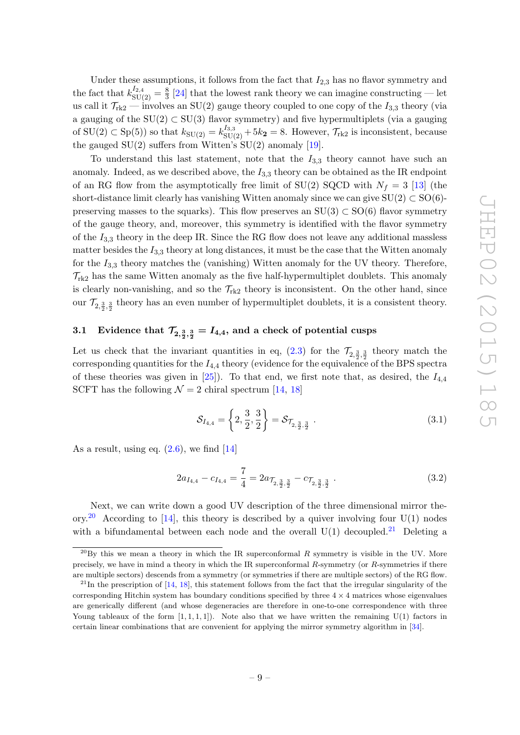Under these assumptions, it follows from the fact that  $I_{2,3}$  has no flavor symmetry and the fact that  $k_{\text{SU(2)}}^{I_{2,4}} = \frac{8}{3}$  $\frac{8}{3}$  [\[24\]](#page-39-5) that the lowest rank theory we can imagine constructing — let us call it  $\mathcal{T}_{rk2}$  — involves an SU(2) gauge theory coupled to one copy of the  $I_{3,3}$  theory (via a gauging of the  $SU(2) \subset SU(3)$  flavor symmetry) and five hypermultiplets (via a gauging of  $SU(2) \subset Sp(5)$  so that  $k_{SU(2)} = k_{SU(2)}^{I_{3,3}} + 5k_2 = 8$ . However,  $\mathcal{T}_{rk2}$  is inconsistent, because the gauged  $SU(2)$  suffers from Witten's  $SU(2)$  anomaly [\[19\]](#page-39-0).

To understand this last statement, note that the  $I_{3,3}$  theory cannot have such an anomaly. Indeed, as we described above, the  $I_{3,3}$  theory can be obtained as the IR endpoint of an RG flow from the asymptotically free limit of SU(2) SQCD with  $N_f = 3$  [\[13\]](#page-38-10) (the short-distance limit clearly has vanishing Witten anomaly since we can give  $SU(2) \subset SO(6)$ preserving masses to the squarks). This flow preserves an  $SU(3) \subset SO(6)$  flavor symmetry of the gauge theory, and, moreover, this symmetry is identified with the flavor symmetry of the  $I_{3,3}$  theory in the deep IR. Since the RG flow does not leave any additional massless matter besides the  $I_{3,3}$  theory at long distances, it must be the case that the Witten anomaly for the  $I_{3,3}$  theory matches the (vanishing) Witten anomaly for the UV theory. Therefore,  $\mathcal{T}_{rk2}$  has the same Witten anomaly as the five half-hypermultiplet doublets. This anomaly is clearly non-vanishing, and so the  $\mathcal{T}_{rk2}$  theory is inconsistent. On the other hand, since our  $\mathcal{T}_{2,\frac{3}{2},\frac{3}{2}}$  theory has an even number of hypermultiplet doublets, it is a consistent theory.

### <span id="page-9-0"></span>3.1 Evidence that  $\mathcal{T}_{2,\frac{3}{2},\frac{3}{2}}=I_{4,4},$  and a check of potential cusps

Let us check that the invariant quantities in eq.  $(2.3)$  for the  $\mathcal{T}_{2,\frac{3}{2},\frac{3}{2}}$  theory match the corresponding quantities for the  $I_{4,4}$  theory (evidence for the equivalence of the BPS spectra of these theories was given in  $[25]$ . To that end, we first note that, as desired, the  $I_{4,4}$ SCFT has the following  $\mathcal{N} = 2$  chiral spectrum [\[14,](#page-38-11) [18\]](#page-38-15)

$$
\mathcal{S}_{I_{4,4}} = \left\{ 2, \frac{3}{2}, \frac{3}{2} \right\} = \mathcal{S}_{\mathcal{T}_{2, \frac{3}{2}, \frac{3}{2}}} \ . \tag{3.1}
$$

As a result, using eq.  $(2.6)$ , we find [\[14\]](#page-38-11)

$$
2a_{I_{4,4}} - c_{I_{4,4}} = \frac{7}{4} = 2a_{\mathcal{T}_{2,\frac{3}{2},\frac{3}{2}}} - c_{\mathcal{T}_{2,\frac{3}{2},\frac{3}{2}}}.
$$
\n
$$
(3.2)
$$

Next, we can write down a good UV description of the three dimensional mirror the-ory.<sup>[20](#page-9-1)</sup> According to [\[14\]](#page-38-11), this theory is described by a quiver involving four  $U(1)$  nodes with a bifundamental between each node and the overall  $U(1)$  decoupled.<sup>[21](#page-9-2)</sup> Deleting a

<span id="page-9-1"></span> $^{20}$ By this we mean a theory in which the IR superconformal R symmetry is visible in the UV. More precisely, we have in mind a theory in which the IR superconformal R-symmetry (or R-symmetries if there are multiple sectors) descends from a symmetry (or symmetries if there are multiple sectors) of the RG flow.

<span id="page-9-2"></span> $^{21}$ In the prescription of [\[14,](#page-38-11) [18\]](#page-38-15), this statement follows from the fact that the irregular singularity of the corresponding Hitchin system has boundary conditions specified by three  $4 \times 4$  matrices whose eigenvalues are generically different (and whose degeneracies are therefore in one-to-one correspondence with three Young tableaux of the form  $[1, 1, 1, 1]$ . Note also that we have written the remaining U(1) factors in certain linear combinations that are convenient for applying the mirror symmetry algorithm in [\[34\]](#page-39-15).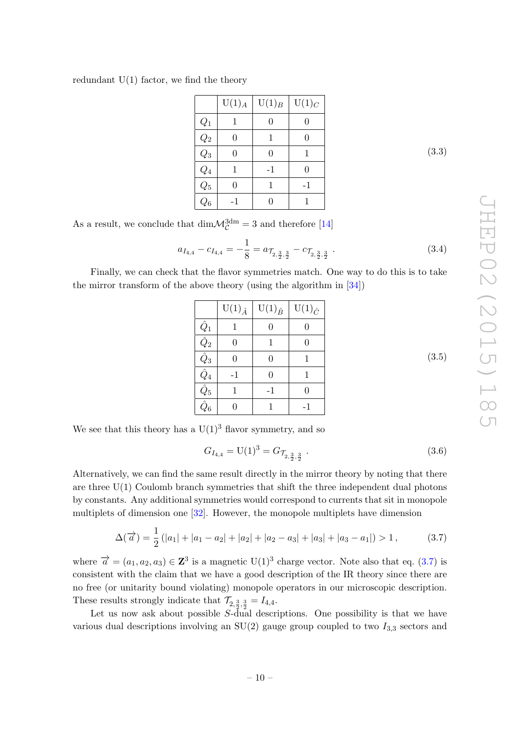redundant  $U(1)$  factor, we find the theory

|                             | $U(1)_{A}$ | $U(1)_B$ | $U(1)_C$ |
|-----------------------------|------------|----------|----------|
| $\mathcal{Q}_1$             |            |          |          |
| $\overline{Q_2}$            | 0          | 1        | 0        |
| $\overline{Q_3}$            | $\Omega$   |          | 1        |
| $\overline{Q_4}$            | 1          | $-1$     | 0        |
| $\overline{\overline{Q_5}}$ | $\Omega$   | 1        | $-1$     |
| $\overline{Q_6}$            | -1         |          |          |

(3.3)

As a result, we conclude that  $\dim \mathcal{M}_\mathcal{C}^{3dm} = 3$  and therefore [\[14\]](#page-38-11)

$$
a_{I_{4,4}} - c_{I_{4,4}} = -\frac{1}{8} = a_{\mathcal{T}_{2,\frac{3}{2},\frac{3}{2}}} - c_{\mathcal{T}_{2,\frac{3}{2},\frac{3}{2}}}.
$$
\n
$$
(3.4)
$$

Finally, we can check that the flavor symmetries match. One way to do this is to take the mirror transform of the above theory (using the algorithm in [\[34\]](#page-39-15))

|                         | $U(1)_{\hat{A}}$ | $U(1)_{\hat{B}}$ | $U(1)_{\hat{C}}$ |
|-------------------------|------------------|------------------|------------------|
| $Q_1$                   |                  |                  |                  |
| $\hat{Q}_2$             | 0                |                  | 0                |
| $\hat{Q}_3$             | 0                | 0                |                  |
| $\hat{Q}_4$             | -1               | $\boldsymbol{0}$ |                  |
| $\hat{\wedge}$<br>$Q_5$ |                  | $-1$             | 0                |
| $\hat{\frown}$<br>$Q_6$ |                  |                  | -1               |

We see that this theory has a  $U(1)^3$  flavor symmetry, and so

$$
G_{I_{4,4}} = U(1)^3 = G_{\mathcal{T}_{2,\frac{3}{2},\frac{3}{2}}} \tag{3.6}
$$

Alternatively, we can find the same result directly in the mirror theory by noting that there are three U(1) Coulomb branch symmetries that shift the three independent dual photons by constants. Any additional symmetries would correspond to currents that sit in monopole multiplets of dimension one [\[32\]](#page-39-13). However, the monopole multiplets have dimension

<span id="page-10-0"></span>
$$
\Delta(\overrightarrow{a}) = \frac{1}{2} (|a_1| + |a_1 - a_2| + |a_2| + |a_2 - a_3| + |a_3| + |a_3 - a_1|) > 1, \qquad (3.7)
$$

where  $\vec{a} = (a_1, a_2, a_3) \in \mathbb{Z}^3$  is a magnetic  $U(1)^3$  charge vector. Note also that eq. [\(3.7\)](#page-10-0) is consistent with the claim that we have a good description of the IR theory since there are no free (or unitarity bound violating) monopole operators in our microscopic description. These results strongly indicate that  $\mathcal{T}_{2,\frac{3}{2},\frac{3}{2}} = I_{4,4}.$ 

Let us now ask about possible S-dual descriptions. One possibility is that we have various dual descriptions involving an  $SU(2)$  gauge group coupled to two  $I_{3,3}$  sectors and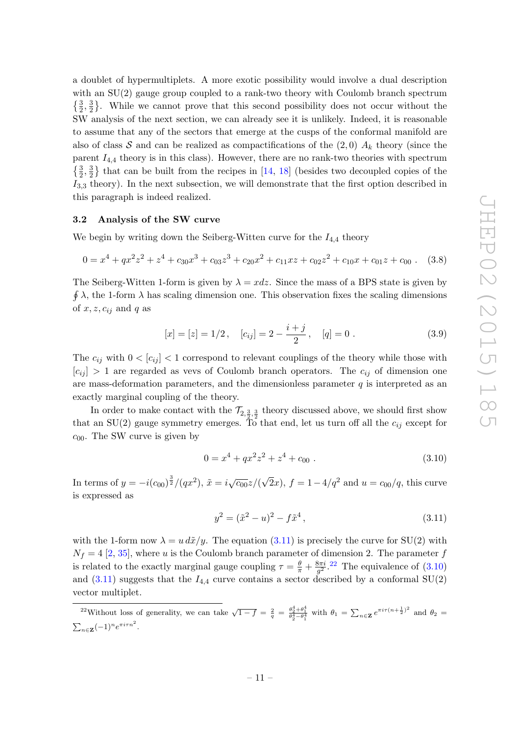a doublet of hypermultiplets. A more exotic possibility would involve a dual description with an  $SU(2)$  gauge group coupled to a rank-two theory with Coulomb branch spectrum  $\{\frac{3}{2}, \frac{3}{2}$  $\frac{3}{2}$ . While we cannot prove that this second possibility does not occur without the SW analysis of the next section, we can already see it is unlikely. Indeed, it is reasonable to assume that any of the sectors that emerge at the cusps of the conformal manifold are also of class S and can be realized as compactifications of the  $(2,0)$   $A_k$  theory (since the parent  $I_{4,4}$  theory is in this class). However, there are no rank-two theories with spectrum  $\{\frac{3}{2}, \frac{3}{2}$  $\frac{3}{2}$  that can be built from the recipes in [\[14,](#page-38-11) [18\]](#page-38-15) (besides two decoupled copies of the  $I_{3,3}$  theory). In the next subsection, we will demonstrate that the first option described in this paragraph is indeed realized.

#### <span id="page-11-0"></span>3.2 Analysis of the SW curve

We begin by writing down the Seiberg-Witten curve for the  $I_{4,4}$  theory

$$
0 = x4 + qx2z2 + z4 + c30x3 + c03z3 + c20x2 + c11xz + c02z2 + c10x + c01z + c00
$$
 (3.8)

The Seiberg-Witten 1-form is given by  $\lambda = x dz$ . Since the mass of a BPS state is given by  $\oint \lambda$ , the 1-form  $\lambda$  has scaling dimension one. This observation fixes the scaling dimensions of  $x, z, c_{ij}$  and q as

<span id="page-11-4"></span>
$$
[x] = [z] = 1/2, \quad [c_{ij}] = 2 - \frac{i+j}{2}, \quad [q] = 0.
$$
 (3.9)

The  $c_{ij}$  with  $0 < [c_{ij}] < 1$  correspond to relevant couplings of the theory while those with  $|c_{ij}| > 1$  are regarded as vevs of Coulomb branch operators. The  $c_{ij}$  of dimension one are mass-deformation parameters, and the dimensionless parameter  $q$  is interpreted as an exactly marginal coupling of the theory.

In order to make contact with the  $\mathcal{T}_{2,\frac{3}{2},\frac{3}{2}}$  theory discussed above, we should first show that an SU(2) gauge symmetry emerges. To that end, let us turn off all the  $c_{ij}$  except for  $c_{00}$ . The SW curve is given by

<span id="page-11-5"></span>
$$
0 = x^4 + qx^2z^2 + z^4 + c_{00} \tag{3.10}
$$

In terms of  $y = -i(c_{00})^{\frac{3}{2}}/(qx^2), \tilde{x} = i\sqrt{c_{00}}z/(x^2)$  $\sqrt{2}x$ ,  $f = 1 - 4/q^2$  and  $u = c_{00}/q$ , this curve is expressed as

<span id="page-11-3"></span><span id="page-11-1"></span>
$$
y^2 = (\tilde{x}^2 - u)^2 - f\tilde{x}^4,
$$
\n(3.11)

with the 1-form now  $\lambda = u \, d\tilde{x}/y$ . The equation [\(3.11\)](#page-11-1) is precisely the curve for SU(2) with  $N_f = 4$  [\[2,](#page-38-0) [35\]](#page-39-16), where u is the Coulomb branch parameter of dimension 2. The parameter f is related to the exactly marginal gauge coupling  $\tau = \frac{\theta}{\pi} + \frac{8\pi i}{g^2}$  $\frac{3\pi i}{g^2}$ .<sup>[22](#page-11-2)</sup> The equivalence of  $(3.10)$ and  $(3.11)$  suggests that the  $I_{4,4}$  curve contains a sector described by a conformal SU(2) vector multiplet.

<span id="page-11-2"></span><sup>&</sup>lt;sup>22</sup>Without loss of generality, we can take  $\sqrt{1-f} = \frac{2}{q} = \frac{\theta_2^4 + \theta_1^4}{\theta_2^4 - \theta_1^4}$  with  $\theta_1 = \sum_{n \in \mathbf{Z}} e^{\pi i \tau (n + \frac{1}{2})^2}$  and  $\theta_2 =$  $\sum_{n\in\mathbf{Z}}(-1)^n e^{\pi i\tau n^2}.$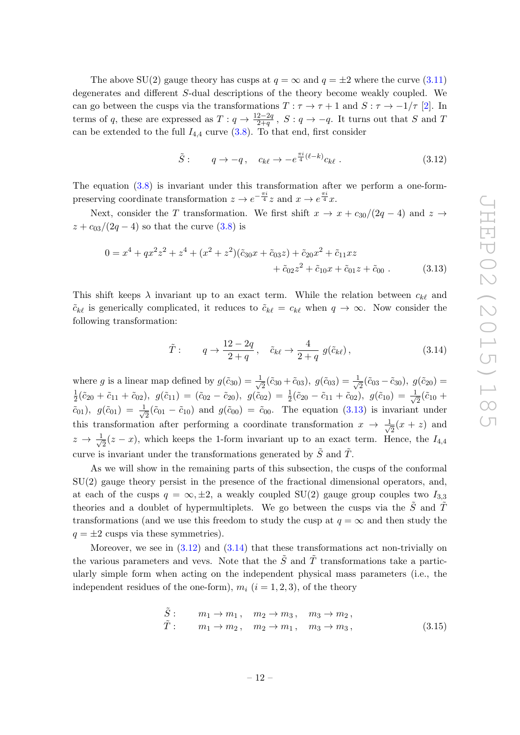The above SU(2) gauge theory has cusps at  $q = \infty$  and  $q = \pm 2$  where the curve [\(3.11\)](#page-11-1) degenerates and different S-dual descriptions of the theory become weakly coupled. We can go between the cusps via the transformations  $T : \tau \to \tau + 1$  and  $S : \tau \to -1/\tau$  [\[2\]](#page-38-0). In terms of q, these are expressed as  $T: q \to \frac{12-2q}{2+q}$ ,  $S: q \to -q$ . It turns out that S and T can be extended to the full  $I_{4,4}$  curve  $(3.8)$ . To that end, first consider

<span id="page-12-1"></span><span id="page-12-0"></span>
$$
\tilde{S}: \qquad q \to -q \,, \quad c_{k\ell} \to -e^{\frac{\pi i}{4}(\ell-k)}c_{k\ell} \,. \tag{3.12}
$$

The equation [\(3.8\)](#page-11-4) is invariant under this transformation after we perform a one-formpreserving coordinate transformation  $z \to e^{-\frac{\pi i}{4}}z$  and  $x \to e^{\frac{\pi i}{4}}x$ .

Next, consider the T transformation. We first shift  $x \to x + c_{30}/(2q - 4)$  and  $z \to z$  $z + c_{03}/(2q - 4)$  so that the curve  $(3.8)$  is

$$
0 = x4 + qx2z2 + z4 + (x2 + z2)(\tilde{c}_{30}x + \tilde{c}_{03}z) + \tilde{c}_{20}x2 + \tilde{c}_{11}xz + \tilde{c}_{02}z2 + \tilde{c}_{10}x + \tilde{c}_{01}z + \tilde{c}_{00}.
$$
 (3.13)

This shift keeps  $\lambda$  invariant up to an exact term. While the relation between  $c_{k\ell}$  and  $\tilde{c}_{k\ell}$  is generically complicated, it reduces to  $\tilde{c}_{k\ell} = c_{k\ell}$  when  $q \to \infty$ . Now consider the following transformation:

<span id="page-12-2"></span>
$$
\tilde{T}: \qquad q \to \frac{12 - 2q}{2 + q}, \quad \tilde{c}_{k\ell} \to \frac{4}{2 + q} g(\tilde{c}_{k\ell}), \tag{3.14}
$$

where g is a linear map defined by  $g(\tilde{c}_{30}) = \frac{1}{\sqrt{2}}$  $\frac{1}{2}(\tilde{c}_{30}+\tilde{c}_{03}),\ g(\tilde{c}_{03})=\frac{1}{\sqrt{2}}$  $\bar{z}(\tilde{c}_{03}-\tilde{c}_{30}),\ g(\tilde{c}_{20})=$ 1  $\frac{1}{2}(\tilde{c}_{20}+\tilde{c}_{11}+\tilde{c}_{02}),~~g(\tilde{c}_{11})=(\tilde{c}_{02}-\tilde{c}_{20}),~~g(\tilde{c}_{02})=\frac{1}{2}(\tilde{c}_{20}-\tilde{c}_{11}+\tilde{c}_{02}),~~g(\tilde{c}_{10})=\frac{1}{\sqrt{2}}(\tilde{c}_{20}+\tilde{c}_{11}+\tilde{c}_{02}),~~g(\tilde{c}_{11})=(\tilde{c}_{20}+\tilde{c}_{11}+\tilde{c}_{02}),~~g(\tilde{c}_{12})=(\tilde{c}_{20}+\tilde$  $\frac{1}{2}(\tilde{c}_{10} +$  $(\tilde{c}_{01}), g(\tilde{c}_{01}) = \frac{1}{\sqrt{2}}$  $\overline{z}(\tilde{c}_{01} - \tilde{c}_{10})$  and  $g(\tilde{c}_{00}) = \tilde{c}_{00}$ . The equation [\(3.13\)](#page-12-0) is invariant under this transformation after performing a coordinate transformation  $x \to \frac{1}{\sqrt{2}}$  $\frac{1}{2}(x+z)$  and  $z \rightarrow \frac{1}{4}$  $\frac{1}{2}(z-x)$ , which keeps the 1-form invariant up to an exact term. Hence, the  $I_{4,4}$ curve is invariant under the transformations generated by  $\tilde{S}$  and  $\tilde{T}$ .

As we will show in the remaining parts of this subsection, the cusps of the conformal SU(2) gauge theory persist in the presence of the fractional dimensional operators, and, at each of the cusps  $q = \infty, \pm 2$ , a weakly coupled SU(2) gauge group couples two  $I_{3,3}$ theories and a doublet of hypermultiplets. We go between the cusps via the  $\ddot{S}$  and  $\ddot{T}$ transformations (and we use this freedom to study the cusp at  $q = \infty$  and then study the  $q = \pm 2$  cusps via these symmetries).

Moreover, we see in  $(3.12)$  and  $(3.14)$  that these transformations act non-trivially on the various parameters and vevs. Note that the  $\tilde{S}$  and  $\tilde{T}$  transformations take a particularly simple form when acting on the independent physical mass parameters (i.e., the independent residues of the one-form),  $m_i$  ( $i = 1, 2, 3$ ), of the theory

$$
\tilde{S}: \qquad m_1 \to m_1 \,, \quad m_2 \to m_3 \,, \quad m_3 \to m_2 \,,
$$
  
\n
$$
\tilde{T}: \qquad m_1 \to m_2 \,, \quad m_2 \to m_1 \,, \quad m_3 \to m_3 \,, \tag{3.15}
$$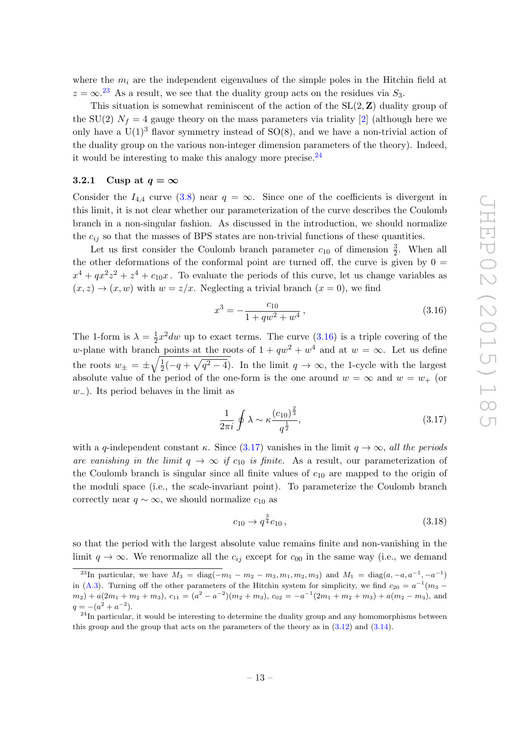where the  $m_i$  are the independent eigenvalues of the simple poles in the Hitchin field at  $z = \infty$ <sup>[23](#page-13-1)</sup> As a result, we see that the duality group acts on the residues via  $S_3$ .

This situation is somewhat reminiscent of the action of the  $SL(2, Z)$  duality group of the SU(2)  $N_f = 4$  gauge theory on the mass parameters via triality [\[2\]](#page-38-0) (although here we only have a  $U(1)^3$  flavor symmetry instead of SO(8), and we have a non-trivial action of the duality group on the various non-integer dimension parameters of the theory). Indeed, it would be interesting to make this analogy more precise.  $24$ 

#### <span id="page-13-0"></span>3.2.1 Cusp at  $q = \infty$

Consider the  $I_{4,4}$  curve [\(3.8\)](#page-11-4) near  $q = \infty$ . Since one of the coefficients is divergent in this limit, it is not clear whether our parameterization of the curve describes the Coulomb branch in a non-singular fashion. As discussed in the introduction, we should normalize the  $c_{ij}$  so that the masses of BPS states are non-trivial functions of these quantities.

Let us first consider the Coulomb branch parameter  $c_{10}$  of dimension  $\frac{3}{2}$ . When all the other deformations of the conformal point are turned off, the curve is given by  $0 =$  $x^4 + qx^2z^2 + z^4 + c_{10}x$ . To evaluate the periods of this curve, let us change variables as  $(x, z) \rightarrow (x, w)$  with  $w = z/x$ . Neglecting a trivial branch  $(x = 0)$ , we find

<span id="page-13-3"></span>
$$
x^3 = -\frac{c_{10}}{1 + qw^2 + w^4},\tag{3.16}
$$

The 1-form is  $\lambda = \frac{1}{2}$  $\frac{1}{2}x^2dw$  up to exact terms. The curve  $(3.16)$  is a triple covering of the w-plane with branch points at the roots of  $1 + qw^2 + w^4$  and at  $w = \infty$ . Let us define the roots  $w_{\pm} = \pm \sqrt{\frac{1}{2}}$  $\frac{1}{2}(-q+\sqrt{q^2-4})$ . In the limit  $q \to \infty$ , the 1-cycle with the largest absolute value of the period of the one-form is the one around  $w = \infty$  and  $w = w_+$  (or w−). Its period behaves in the limit as

<span id="page-13-4"></span>
$$
\frac{1}{2\pi i} \oint \lambda \sim \kappa \frac{(c_{10})^{\frac{2}{3}}}{q^{\frac{1}{2}}},\tag{3.17}
$$

with a q-independent constant  $\kappa$ . Since [\(3.17\)](#page-13-4) vanishes in the limit  $q \to \infty$ , all the periods are vanishing in the limit  $q \to \infty$  if  $c_{10}$  is finite. As a result, our parameterization of the Coulomb branch is singular since all finite values of  $c_{10}$  are mapped to the origin of the moduli space (i.e., the scale-invariant point). To parameterize the Coulomb branch correctly near  $q \sim \infty$ , we should normalize  $c_{10}$  as

$$
c_{10} \to q^{\frac{3}{4}} c_{10} \,, \tag{3.18}
$$

so that the period with the largest absolute value remains finite and non-vanishing in the limit  $q \to \infty$ . We renormalize all the  $c_{ij}$  except for  $c_{00}$  in the same way (i.e., we demand

<span id="page-13-1"></span><sup>&</sup>lt;sup>23</sup>In particular, we have  $M_3 = \text{diag}(-m_1 - m_2 - m_3, m_1, m_2, m_3)$  and  $M_1 = \text{diag}(a, -a, a^{-1}, -a^{-1})$ in [\(A.3\)](#page-30-1). Turning off the other parameters of the Hitchin system for simplicity, we find  $c_{20} = a^{-1}(m_3 (m_2) + a(2m_1 + m_2 + m_3), c_{11} = (a^2 - a^{-2})(m_2 + m_3), c_{02} = -a^{-1}(2m_1 + m_2 + m_3) + a(m_2 - m_3),$  and  $q = -(a^2 + a^{-2}).$ 

<span id="page-13-2"></span> $^{24}$ In particular, it would be interesting to determine the duality group and any homomorphisms between this group and the group that acts on the parameters of the theory as in [\(3.12\)](#page-12-1) and [\(3.14\)](#page-12-2).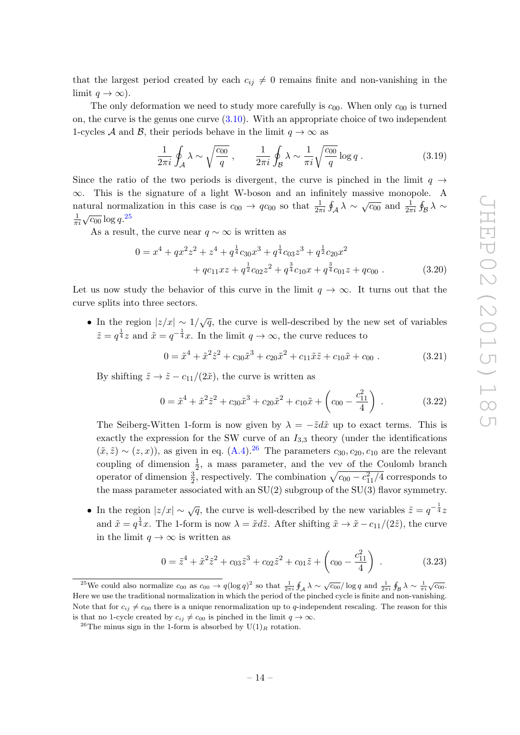that the largest period created by each  $c_{ij} \neq 0$  remains finite and non-vanishing in the limit  $q \to \infty$ ).

The only deformation we need to study more carefully is  $c_{00}$ . When only  $c_{00}$  is turned on, the curve is the genus one curve [\(3.10\)](#page-11-3). With an appropriate choice of two independent 1-cycles A and B, their periods behave in the limit  $q \to \infty$  as

$$
\frac{1}{2\pi i} \oint_{\mathcal{A}} \lambda \sim \sqrt{\frac{c_{00}}{q}} \,, \qquad \frac{1}{2\pi i} \oint_{\mathcal{B}} \lambda \sim \frac{1}{\pi i} \sqrt{\frac{c_{00}}{q}} \log q \,. \tag{3.19}
$$

Since the ratio of the two periods is divergent, the curve is pinched in the limit  $q \rightarrow$  $\infty$ . This is the signature of a light W-boson and an infinitely massive monopole. A natural normalization in this case is  $c_{00} \to qc_{00}$  so that  $\frac{1}{2\pi i} \oint_{\mathcal{A}} \lambda \sim \sqrt{c_{00}}$  and  $\frac{1}{2\pi i} \oint_{\mathcal{B}} \lambda \sim$ 1  $\frac{1}{\pi i} \sqrt{c_{00}} \log q.^{25}$  $\frac{1}{\pi i} \sqrt{c_{00}} \log q.^{25}$  $\frac{1}{\pi i} \sqrt{c_{00}} \log q.^{25}$ 

As a result, the curve near  $q \sim \infty$  is written as

$$
0 = x4 + qx2z2 + z4 + q\frac{1}{4}c30x3 + q\frac{1}{4}c03z3 + q\frac{1}{2}c20x2+ qc11xz + q\frac{1}{2}c02z2 + q\frac{3}{4}c10x + q\frac{3}{4}c01z + qc00. (3.20)
$$

Let us now study the behavior of this curve in the limit  $q \to \infty$ . It turns out that the curve splits into three sectors.

• In the region  $|z/x| \sim 1/\sqrt{q}$ , the curve is well-described by the new set of variables  $\tilde{z} = q^{\frac{1}{4}}z$  and  $\tilde{x} = q^{-\frac{1}{4}}x$ . In the limit  $q \to \infty$ , the curve reduces to

$$
0 = \tilde{x}^4 + \tilde{x}^2 \tilde{z}^2 + c_{30} \tilde{x}^3 + c_{20} \tilde{x}^2 + c_{11} \tilde{x} \tilde{z} + c_{10} \tilde{x} + c_{00} \ . \tag{3.21}
$$

By shifting  $\tilde{z} \to \tilde{z} - c_{11}/(2\tilde{x})$ , the curve is written as

$$
0 = \tilde{x}^4 + \tilde{x}^2 \tilde{z}^2 + c_{30} \tilde{x}^3 + c_{20} \tilde{x}^2 + c_{10} \tilde{x} + \left(c_{00} - \frac{c_{11}^2}{4}\right) \,. \tag{3.22}
$$

The Seiberg-Witten 1-form is now given by  $\lambda = -\tilde{z}d\tilde{x}$  up to exact terms. This is exactly the expression for the SW curve of an  $I_{3,3}$  theory (under the identifications  $(\tilde{x}, \tilde{z}) \sim (z, x)$ , as given in eq.  $(A.4).^{26}$  $(A.4).^{26}$  $(A.4).^{26}$  The parameters  $c_{30}, c_{20}, c_{10}$  are the relevant coupling of dimension  $\frac{1}{2}$ , a mass parameter, and the vev of the Coulomb branch operator of dimension  $\frac{3}{2}$ , respectively. The combination  $\sqrt{c_{00} - c_{11}^2/4}$  corresponds to the mass parameter associated with an  $SU(2)$  subgroup of the  $SU(3)$  flavor symmetry.

• In the region  $|z/x| \sim \sqrt{q}$ , the curve is well-described by the new variables  $\tilde{z} = q^{-\frac{1}{4}}z$ and  $\tilde{x} = q^{\frac{1}{4}}x$ . The 1-form is now  $\lambda = \tilde{x}d\tilde{z}$ . After shifting  $\tilde{x} \to \tilde{x} - c_{11}/(2\tilde{z})$ , the curve in the limit  $q \to \infty$  is written as

$$
0 = \tilde{z}^4 + \tilde{x}^2 \tilde{z}^2 + c_{03} \tilde{z}^3 + c_{02} \tilde{z}^2 + c_{01} \tilde{z} + \left(c_{00} - \frac{c_{11}^2}{4}\right) \,. \tag{3.23}
$$

<span id="page-14-0"></span><sup>&</sup>lt;sup>25</sup>We could also normalize  $c_{00}$  as  $c_{00} \to q(\log q)^2$  so that  $\frac{1}{2\pi i} \oint_A \lambda \sim \sqrt{c_{00}}/\log q$  and  $\frac{1}{2\pi i} \oint_B \lambda \sim \frac{1}{\pi i}$  $\sqrt{c_{00}}$ . Here we use the traditional normalization in which the period of the pinched cycle is finite and non-vanishing. Note that for  $c_{ij} \neq c_{00}$  there is a unique renormalization up to q-independent rescaling. The reason for this is that no 1-cycle created by  $c_{ij} \neq c_{00}$  is pinched in the limit  $q \to \infty$ .

<span id="page-14-1"></span><sup>&</sup>lt;sup>26</sup>The minus sign in the 1-form is absorbed by  $U(1)_R$  rotation.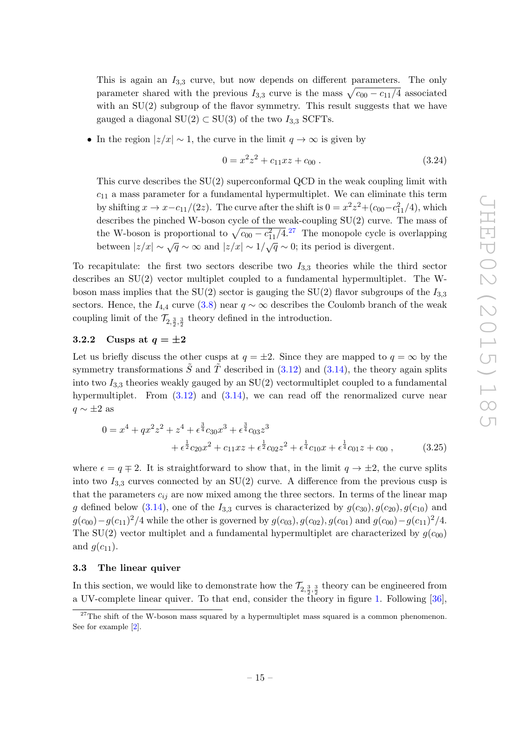This is again an  $I_{3,3}$  curve, but now depends on different parameters. The only parameter shared with the previous  $I_{3,3}$  curve is the mass  $\sqrt{c_{00} - c_{11}/4}$  associated with an  $SU(2)$  subgroup of the flavor symmetry. This result suggests that we have gauged a diagonal  $SU(2) \subset SU(3)$  of the two  $I_{3,3}$  SCFTs.

• In the region  $|z/x| \sim 1$ , the curve in the limit  $q \to \infty$  is given by

$$
0 = x^2 z^2 + c_{11} x z + c_{00} . \t\t(3.24)
$$

This curve describes the SU(2) superconformal QCD in the weak coupling limit with  $c_{11}$  a mass parameter for a fundamental hypermultiplet. We can eliminate this term by shifting  $x \to x - c_{11}/(2z)$ . The curve after the shift is  $0 = x^2z^2 + (c_{00} - c_{11}^2/4)$ , which describes the pinched W-boson cycle of the weak-coupling SU(2) curve. The mass of the W-boson is proportional to  $\sqrt{c_{00} - c_{11}^2/4}$ .<sup>[27](#page-15-2)</sup> The monopole cycle is overlapping between  $|z/x| \sim \sqrt{q} \sim \infty$  and  $|z/x| \sim 1/\sqrt{q} \sim 0$ ; its period is divergent.

To recapitulate: the first two sectors describe two  $I_{3,3}$  theories while the third sector describes an SU(2) vector multiplet coupled to a fundamental hypermultiplet. The Wboson mass implies that the SU(2) sector is gauging the SU(2) flavor subgroups of the  $I_{3,3}$ sectors. Hence, the  $I_{4,4}$  curve [\(3.8\)](#page-11-4) near  $q \sim \infty$  describes the Coulomb branch of the weak coupling limit of the  $\mathcal{T}_{2,\frac{3}{2},\frac{3}{2}}$  theory defined in the introduction.

### <span id="page-15-0"></span>3.2.2 Cusps at  $q = \pm 2$

Let us briefly discuss the other cusps at  $q = \pm 2$ . Since they are mapped to  $q = \infty$  by the symmetry transformations  $\tilde{S}$  and  $\tilde{T}$  described in [\(3.12\)](#page-12-1) and [\(3.14\)](#page-12-2), the theory again splits into two  $I_{3,3}$  theories weakly gauged by an SU(2) vectormultiplet coupled to a fundamental hypermultiplet. From  $(3.12)$  and  $(3.14)$ , we can read off the renormalized curve near  $q \sim \pm 2$  as

$$
0 = x^{4} + qx^{2}z^{2} + z^{4} + \epsilon^{\frac{3}{4}}c_{30}x^{3} + \epsilon^{\frac{3}{4}}c_{03}z^{3} + \epsilon^{\frac{1}{2}}c_{20}x^{2} + c_{11}xz + \epsilon^{\frac{1}{2}}c_{02}z^{2} + \epsilon^{\frac{1}{4}}c_{10}x + \epsilon^{\frac{1}{4}}c_{01}z + c_{00} ,
$$
 (3.25)

where  $\epsilon = q \mp 2$ . It is straightforward to show that, in the limit  $q \to \pm 2$ , the curve splits into two  $I_{3,3}$  curves connected by an SU(2) curve. A difference from the previous cusp is that the parameters  $c_{ij}$  are now mixed among the three sectors. In terms of the linear map g defined below [\(3.14\)](#page-12-2), one of the  $I_{3,3}$  curves is characterized by  $g(c_{30}), g(c_{20}), g(c_{10})$  and  $g(c_{00}) - g(c_{11})^2/4$  while the other is governed by  $g(c_{03}), g(c_{02}), g(c_{01})$  and  $g(c_{00}) - g(c_{11})^2/4$ . The SU(2) vector multiplet and a fundamental hypermultiplet are characterized by  $g(c_{00})$ and  $g(c_{11})$ .

#### <span id="page-15-1"></span>3.3 The linear quiver

In this section, we would like to demonstrate how the  $\mathcal{T}_{2,\frac{3}{2},\frac{3}{2}}$  theory can be engineered from a UV-complete linear quiver. To that end, consider the theory in figure [1.](#page-16-0) Following [\[36\]](#page-39-17),

<span id="page-15-2"></span> $27$ The shift of the W-boson mass squared by a hypermultiplet mass squared is a common phenomenon. See for example [\[2\]](#page-38-0).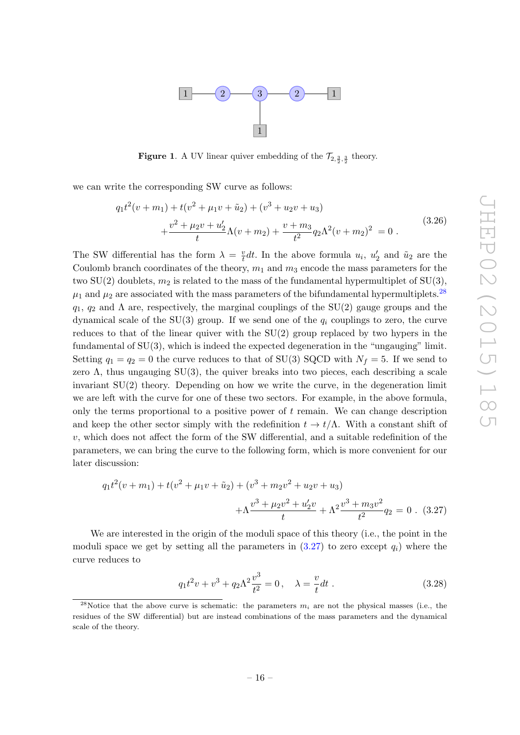

<span id="page-16-0"></span>**Figure 1.** A UV linear quiver embedding of the  $\mathcal{T}_{2,\frac{3}{2},\frac{3}{2}}$  theory.

we can write the corresponding SW curve as follows:

$$
q_1 t^2 (v + m_1) + t(v^2 + \mu_1 v + \tilde{u}_2) + (v^3 + u_2 v + u_3)
$$
  
+ 
$$
\frac{v^2 + \mu_2 v + u'_2}{t} \Lambda (v + m_2) + \frac{v + m_3}{t^2} q_2 \Lambda^2 (v + m_2)^2 = 0.
$$
 (3.26)

The SW differential has the form  $\lambda = \frac{v}{t}$  $\frac{v}{t}dt$ . In the above formula  $u_i$ ,  $u'_2$  and  $\tilde{u}_2$  are the Coulomb branch coordinates of the theory,  $m_1$  and  $m_3$  encode the mass parameters for the two SU(2) doublets,  $m_2$  is related to the mass of the fundamental hypermultiplet of SU(3),  $\mu_1$  and  $\mu_2$  are associated with the mass parameters of the bifundamental hypermultiplets.<sup>[28](#page-16-1)</sup>  $q_1, q_2$  and  $\Lambda$  are, respectively, the marginal couplings of the SU(2) gauge groups and the dynamical scale of the SU(3) group. If we send one of the  $q_i$  couplings to zero, the curve reduces to that of the linear quiver with the SU(2) group replaced by two hypers in the fundamental of SU(3), which is indeed the expected degeneration in the "ungauging" limit. Setting  $q_1 = q_2 = 0$  the curve reduces to that of SU(3) SQCD with  $N_f = 5$ . If we send to zero  $\Lambda$ , thus ungauging SU(3), the quiver breaks into two pieces, each describing a scale invariant SU(2) theory. Depending on how we write the curve, in the degeneration limit we are left with the curve for one of these two sectors. For example, in the above formula, only the terms proportional to a positive power of  $t$  remain. We can change description and keep the other sector simply with the redefinition  $t \to t/\Lambda$ . With a constant shift of  $v$ , which does not affect the form of the SW differential, and a suitable redefinition of the parameters, we can bring the curve to the following form, which is more convenient for our later discussion:

<span id="page-16-2"></span>
$$
q_1t^2(v+m_1) + t(v^2 + \mu_1v + \tilde{u}_2) + (v^3 + m_2v^2 + u_2v + u_3) + \Lambda \frac{v^3 + \mu_2v^2 + u_2'v}{t} + \Lambda^2 \frac{v^3 + m_3v^2}{t^2} q_2 = 0.
$$
 (3.27)

We are interested in the origin of the moduli space of this theory (i.e., the point in the moduli space we get by setting all the parameters in  $(3.27)$  to zero except  $q_i$ ) where the curve reduces to

$$
q_1 t^2 v + v^3 + q_2 \Lambda^2 \frac{v^3}{t^2} = 0, \quad \lambda = \frac{v}{t} dt \ . \tag{3.28}
$$

<span id="page-16-1"></span><sup>&</sup>lt;sup>28</sup>Notice that the above curve is schematic: the parameters  $m_i$  are not the physical masses (i.e., the residues of the SW differential) but are instead combinations of the mass parameters and the dynamical scale of the theory.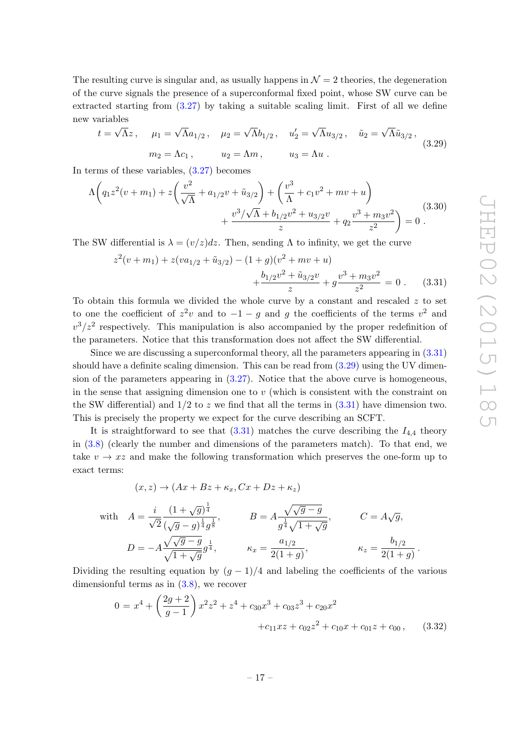.

The resulting curve is singular and, as usually happens in  $\mathcal{N}=2$  theories, the degeneration of the curve signals the presence of a superconformal fixed point, whose SW curve can be extracted starting from [\(3.27\)](#page-16-2) by taking a suitable scaling limit. First of all we define new variables √

<span id="page-17-1"></span>
$$
t = \sqrt{\Lambda}z, \quad \mu_1 = \sqrt{\Lambda}a_{1/2}, \quad \mu_2 = \sqrt{\Lambda}b_{1/2}, \quad u'_2 = \sqrt{\Lambda}u_{3/2}, \quad \tilde{u}_2 = \sqrt{\Lambda}\tilde{u}_{3/2},
$$

$$
m_2 = \Lambda c_1, \quad u_2 = \Lambda m, \quad u_3 = \Lambda u.
$$
(3.29)

In terms of these variables, [\(3.27\)](#page-16-2) becomes

$$
\Lambda \left( q_1 z^2 (v + m_1) + z \left( \frac{v^2}{\sqrt{\Lambda}} + a_{1/2} v + \tilde{u}_{3/2} \right) + \left( \frac{v^3}{\Lambda} + c_1 v^2 + mv + u \right) + \frac{v^3 / \sqrt{\Lambda} + b_{1/2} v^2 + u_{3/2} v}{z} + q_2 \frac{v^3 + m_3 v^2}{z^2} \right) = 0.
$$
\n(3.30)

The SW differential is  $\lambda = (v/z)dz$ . Then, sending  $\Lambda$  to infinity, we get the curve

<span id="page-17-0"></span>
$$
z^{2}(v+m_{1}) + z(va_{1/2} + \tilde{u}_{3/2}) - (1+g)(v^{2} + mv + u) + \frac{b_{1/2}v^{2} + \tilde{u}_{3/2}v}{z} + g\frac{v^{3} + m_{3}v^{2}}{z^{2}} = 0.
$$
 (3.31)

To obtain this formula we divided the whole curve by a constant and rescaled  $z$  to set to one the coefficient of  $z^2v$  and to  $-1-g$  and g the coefficients of the terms  $v^2$  and  $v^3/z^2$  respectively. This manipulation is also accompanied by the proper redefinition of the parameters. Notice that this transformation does not affect the SW differential.

Since we are discussing a superconformal theory, all the parameters appearing in [\(3.31\)](#page-17-0) should have a definite scaling dimension. This can be read from [\(3.29\)](#page-17-1) using the UV dimension of the parameters appearing in  $(3.27)$ . Notice that the above curve is homogeneous, in the sense that assigning dimension one to  $v$  (which is consistent with the constraint on the SW differential) and  $1/2$  to z we find that all the terms in  $(3.31)$  have dimension two. This is precisely the property we expect for the curve describing an SCFT.

It is straightforward to see that  $(3.31)$  matches the curve describing the  $I_{4,4}$  theory in [\(3.8\)](#page-11-4) (clearly the number and dimensions of the parameters match). To that end, we take  $v \to x\bar{z}$  and make the following transformation which preserves the one-form up to exact terms:

with 
$$
A = \frac{i}{\sqrt{2}} \frac{(1+\sqrt{g})^{\frac{1}{4}}}{(\sqrt{g}-g)^{\frac{1}{4}}g^{\frac{1}{8}}},
$$
  $B = A \frac{\sqrt{\sqrt{g}-g}}{g^{\frac{1}{4}}\sqrt{1+\sqrt{g}}},$   $C = A\sqrt{g},$   
 $D = -A \frac{\sqrt{\sqrt{g}-g}}{\sqrt{1+\sqrt{g}}}g^{\frac{1}{4}},$   $\kappa_x = \frac{a_{1/2}}{2(1+g)},$   $\kappa_z = \frac{b_{1/2}}{2(1+g)}$ 

 $(x, z) \rightarrow (Ax + Bz + \kappa_x, Cx + Dz + \kappa_z)$ 

Dividing the resulting equation by  $(g - 1)/4$  and labeling the coefficients of the various dimensionful terms as in [\(3.8\)](#page-11-4), we recover

$$
0 = x4 + \left(\frac{2g+2}{g-1}\right)x2z2 + z4 + c30x3 + c03z3 + c20x2 + c11xz + c02z2 + c10x + c01z + c00, (3.32)
$$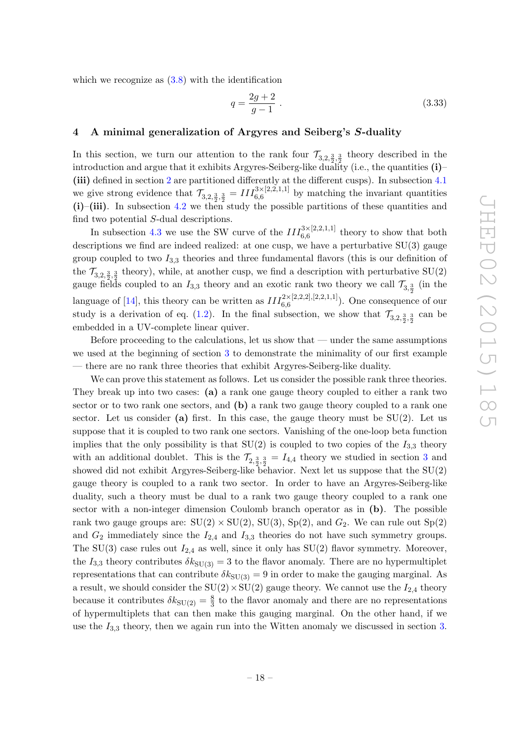which we recognize as  $(3.8)$  with the identification

$$
q = \frac{2g+2}{g-1} \tag{3.33}
$$

#### <span id="page-18-0"></span>4 A minimal generalization of Argyres and Seiberg's S-duality

In this section, we turn our attention to the rank four  $\mathcal{T}_{3,2,\frac{3}{2},\frac{3}{2}}$  theory described in the introduction and argue that it exhibits Argyres-Seiberg-like duality (i.e., the quantities (i)– (iii) defined in section [2](#page-4-0) are partitioned differently at the different cusps). In subsection [4.1](#page-19-0) we give strong evidence that  $\mathcal{T}_{3,2,\frac{3}{2},\frac{3}{2}} = III_{6,6}^{3\times[2,2,1,1]}$  by matching the invariant quantities  $(i)$ –(iii). In subsection [4.2](#page-20-0) we then study the possible partitions of these quantities and find two potential S-dual descriptions.

In subsection [4.3](#page-23-0) we use the SW curve of the  $III_{6,6}^{3\times[2,2,1,1]}$  theory to show that both descriptions we find are indeed realized: at one cusp, we have a perturbative SU(3) gauge group coupled to two  $I_{3,3}$  theories and three fundamental flavors (this is our definition of the  $\mathcal{T}_{3,2,\frac{3}{2},\frac{3}{2}}$  theory), while, at another cusp, we find a description with perturbative SU(2) gauge fields coupled to an  $I_{3,3}$  theory and an exotic rank two theory we call  $\mathcal{T}_{3,\frac{3}{2}}$  (in the language of [\[14\]](#page-38-11), this theory can be written as  $III_{6,6}^{2\times[2,2,2],[2,2,1,1]}$ ). One consequence of our study is a derivation of eq. [\(1.2\)](#page-4-2). In the final subsection, we show that  $\mathcal{T}_{3,2,\frac{3}{2},\frac{3}{2}}$  can be embedded in a UV-complete linear quiver.

Before proceeding to the calculations, let us show that — under the same assumptions we used at the beginning of section [3](#page-8-0) to demonstrate the minimality of our first example — there are no rank three theories that exhibit Argyres-Seiberg-like duality.

We can prove this statement as follows. Let us consider the possible rank three theories. They break up into two cases: (a) a rank one gauge theory coupled to either a rank two sector or to two rank one sectors, and (b) a rank two gauge theory coupled to a rank one sector. Let us consider (a) first. In this case, the gauge theory must be  $SU(2)$ . Let us suppose that it is coupled to two rank one sectors. Vanishing of the one-loop beta function implies that the only possibility is that  $SU(2)$  is coupled to two copies of the  $I_{3,3}$  theory with an additional doublet. This is the  $\mathcal{T}_{2,\frac{3}{2},\frac{3}{2}} = I_{4,4}$  $\mathcal{T}_{2,\frac{3}{2},\frac{3}{2}} = I_{4,4}$  $\mathcal{T}_{2,\frac{3}{2},\frac{3}{2}} = I_{4,4}$  theory we studied in section 3 and showed did not exhibit Argyres-Seiberg-like  $\overline{b}$ ehavior. Next let us suppose that the SU(2) gauge theory is coupled to a rank two sector. In order to have an Argyres-Seiberg-like duality, such a theory must be dual to a rank two gauge theory coupled to a rank one sector with a non-integer dimension Coulomb branch operator as in (b). The possible rank two gauge groups are:  $SU(2) \times SU(2)$ ,  $SU(3)$ ,  $Sp(2)$ , and  $G_2$ . We can rule out  $Sp(2)$ and  $G_2$  immediately since the  $I_{2,4}$  and  $I_{3,3}$  theories do not have such symmetry groups. The SU(3) case rules out  $I_{2,4}$  as well, since it only has SU(2) flavor symmetry. Moreover, the  $I_{3,3}$  theory contributes  $\delta k_{SU(3)} = 3$  to the flavor anomaly. There are no hypermultiplet representations that can contribute  $\delta k_{\text{SU(3)}} = 9$  in order to make the gauging marginal. As a result, we should consider the  $SU(2) \times SU(2)$  gauge theory. We cannot use the  $I_{2,4}$  theory because it contributes  $\delta k_{\text{SU(2)}} = \frac{8}{3}$  $\frac{8}{3}$  to the flavor anomaly and there are no representations of hypermultiplets that can then make this gauging marginal. On the other hand, if we use the  $I_{3,3}$  theory, then we again run into the Witten anomaly we discussed in section [3.](#page-8-0)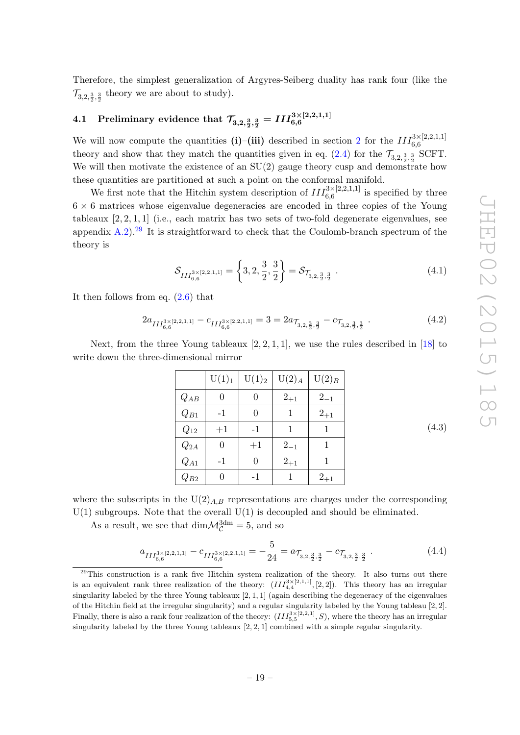Therefore, the simplest generalization of Argyres-Seiberg duality has rank four (like the  $\mathcal{T}_{3,2,\frac{3}{2},\frac{3}{2}}$  theory we are about to study).

# <span id="page-19-0"></span> $4.1~~{\rm Preliminary~evidence~that}~\mathcal{T}_{3,2,\frac{3}{2},\frac{3}{2}}=III_{6,6}^{3\times[2,2,1,1]}$

We will now compute the quantities (i)–(iii) described in section [2](#page-4-0) for the  $III_{6,6}^{3\times[2,2,1,1]}$ theory and show that they match the quantities given in eq.  $(2.4)$  for the  $\mathcal{T}_{3,2,\frac{3}{2},\frac{3}{2}}$  SCFT. We will then motivate the existence of an  $SU(2)$  gauge theory cusp and demonstrate how these quantities are partitioned at such a point on the conformal manifold.

We first note that the Hitchin system description of  $III_{6,6}^{3\times[2,2,1,1]}$  is specified by three  $6 \times 6$  matrices whose eigenvalue degeneracies are encoded in three copies of the Young tableaux  $[2, 2, 1, 1]$  (i.e., each matrix has two sets of two-fold degenerate eigenvalues, see appendix [A.2\)](#page-31-0).<sup>[29](#page-19-1)</sup> It is straightforward to check that the Coulomb-branch spectrum of the theory is

$$
\mathcal{S}_{III_{6,6}^{3\times[2,2,1,1]}} = \left\{3, 2, \frac{3}{2}, \frac{3}{2}\right\} = \mathcal{S}_{\mathcal{T}_{3,2,\frac{3}{2},\frac{3}{2}}}.
$$
\n(4.1)

It then follows from eq.  $(2.6)$  that

$$
2a_{III_{6,6}^{3\times[2,2,1,1]}-c_{III_{6,6}^{3\times[2,2,1,1]}} = 3 = 2a_{\mathcal{T}_{3,2,\frac{3}{2},\frac{3}{2}}-c_{\mathcal{T}_{3,2,\frac{3}{2},\frac{3}{2}}}.
$$
\n
$$
(4.2)
$$

Next, from the three Young tableaux  $[2, 2, 1, 1]$ , we use the rules described in  $[18]$  to write down the three-dimensional mirror

|          | U(1) <sub>1</sub> | $U(1)_2$ | $U(2)_{A}$ | $U(2)_B$ |
|----------|-------------------|----------|------------|----------|
| $Q_{AB}$ | 0                 | 0        | $2_{+1}$   | $2_{-1}$ |
| $Q_{B1}$ | $-1$              | 0        |            | $2_{+1}$ |
| $Q_{12}$ | $+1$              | $-1$     | 1          |          |
| $Q_{2A}$ | 0                 | $+1$     | $2_{-1}$   |          |
| $Q_{A1}$ | $-1$              | 0        | $2_{+1}$   |          |
| $Q_{B2}$ |                   | $-1$     |            | $2_{+1}$ |

(4.3)

where the subscripts in the  $U(2)_{A,B}$  representations are charges under the corresponding  $U(1)$  subgroups. Note that the overall  $U(1)$  is decoupled and should be eliminated.

As a result, we see that  $\dim \mathcal{M}_\mathcal{C}^{\text{3dm}} = 5$ , and so

$$
a_{III_{6,6}^{3\times[2,2,1,1]}} - c_{III_{6,6}^{3\times[2,2,1,1]}} = -\frac{5}{24} = a_{\mathcal{T}_{3,2,\frac{3}{2},\frac{3}{2}}} - c_{\mathcal{T}_{3,2,\frac{3}{2},\frac{3}{2}}} \tag{4.4}
$$

<span id="page-19-1"></span> $29$ This construction is a rank five Hitchin system realization of the theory. It also turns out there is an equivalent rank three realization of the theory:  $(III_{4,4}^{3\times[2,1,1]}, [2,2])$ . This theory has an irregular singularity labeled by the three Young tableaux  $[2, 1, 1]$  (again describing the degeneracy of the eigenvalues of the Hitchin field at the irregular singularity) and a regular singularity labeled by the Young tableau [2, 2]. Finally, there is also a rank four realization of the theory:  $(III_{5,5}^{3\times[2,2,1]}, S)$ , where the theory has an irregular singularity labeled by the three Young tableaux  $[2, 2, 1]$  combined with a simple regular singularity.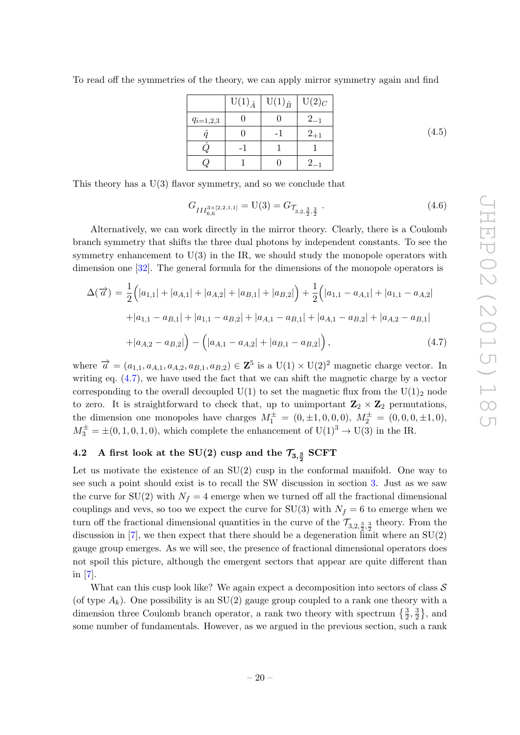| To read off the symmetries of the theory, we can apply mirror symmetry again and find |  |  |
|---------------------------------------------------------------------------------------|--|--|

|               | $U(1)_{\hat{A}}$ | $U(1)_{\hat{B}}$ | $U(2)_C$ |
|---------------|------------------|------------------|----------|
| $q_{i=1,2,3}$ |                  |                  | $2_{-1}$ |
|               |                  |                  | $2_{+1}$ |
|               |                  |                  |          |
|               |                  |                  |          |

(4.5)

This theory has a U(3) flavor symmetry, and so we conclude that

$$
G_{III^{3\times[2,2,1,1]}_{6,6}} = U(3) = G_{\mathcal{T}_{3,2,\frac{3}{2},\frac{3}{2}}} \tag{4.6}
$$

Alternatively, we can work directly in the mirror theory. Clearly, there is a Coulomb branch symmetry that shifts the three dual photons by independent constants. To see the symmetry enhancement to  $U(3)$  in the IR, we should study the monopole operators with dimension one [\[32\]](#page-39-13). The general formula for the dimensions of the monopole operators is

<span id="page-20-1"></span>
$$
\Delta(\vec{a}) = \frac{1}{2} (|a_{1,1}| + |a_{A,1}| + |a_{A,2}| + |a_{B,1}| + |a_{B,2}|) + \frac{1}{2} (|a_{1,1} - a_{A,1}| + |a_{1,1} - a_{A,2}| + |a_{1,1} - a_{B,1}| + |a_{1,1} - a_{B,2}| + |a_{A,1} - a_{B,1}| + |a_{A,1} - a_{B,2}| + |a_{A,2} - a_{B,1}| + |a_{A,2} - a_{B,2}|) - (|a_{A,1} - a_{A,2}| + |a_{B,1} - a_{B,2}|),
$$
\n(4.7)

where  $\vec{a} = (a_{1,1}, a_{A,1}, a_{A,2}, a_{B,1}, a_{B,2}) \in \mathbb{Z}^5$  is a  $U(1) \times U(2)^2$  magnetic charge vector. In writing eq. [\(4.7\)](#page-20-1), we have used the fact that we can shift the magnetic charge by a vector corresponding to the overall decoupled  $U(1)$  to set the magnetic flux from the  $U(1)<sub>2</sub>$  node to zero. It is straightforward to check that, up to unimportant  $\mathbb{Z}_2 \times \mathbb{Z}_2$  permutations, the dimension one monopoles have charges  $M_1^{\pm} = (0, \pm 1, 0, 0, 0), M_2^{\pm} = (0, 0, 0, \pm 1, 0),$  $M_3^{\pm} = \pm (0, 1, 0, 1, 0)$ , which complete the enhancement of  $U(1)^3 \rightarrow U(3)$  in the IR.

### <span id="page-20-0"></span> $4.2$  A first look at the SU(2) cusp and the  $\mathcal{T}_{3,{3\over2}}$  SCFT

Let us motivate the existence of an  $SU(2)$  cusp in the conformal manifold. One way to see such a point should exist is to recall the SW discussion in section [3.](#page-8-0) Just as we saw the curve for SU(2) with  $N_f = 4$  emerge when we turned off all the fractional dimensional couplings and vevs, so too we expect the curve for SU(3) with  $N_f = 6$  to emerge when we turn off the fractional dimensional quantities in the curve of the  $\mathcal{T}_{3,2,\frac{3}{2},\frac{3}{2}}$  theory. From the discussion in  $[7]$ , we then expect that there should be a degeneration limit where an  $SU(2)$ gauge group emerges. As we will see, the presence of fractional dimensional operators does not spoil this picture, although the emergent sectors that appear are quite different than in [\[7\]](#page-38-3).

What can this cusp look like? We again expect a decomposition into sectors of class  $S$ (of type  $A_k$ ). One possibility is an SU(2) gauge group coupled to a rank one theory with a dimension three Coulomb branch operator, a rank two theory with spectrum  $\{\frac{3}{2},\frac{3}{2}$  $\frac{3}{2}\},$  and some number of fundamentals. However, as we argued in the previous section, such a rank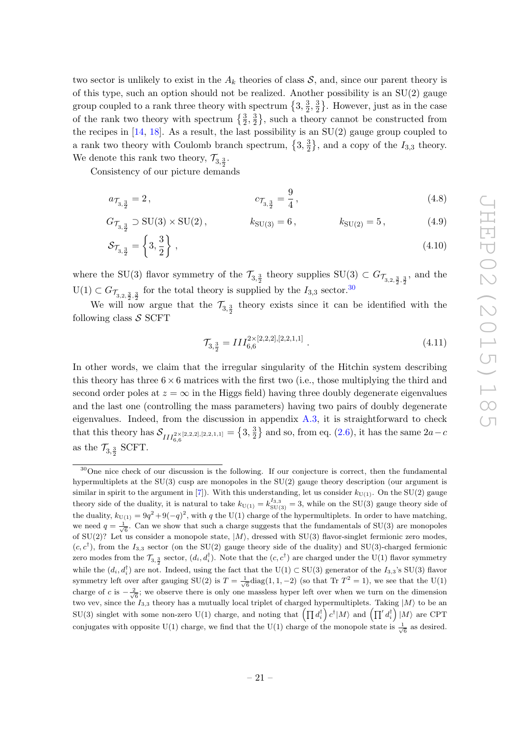two sector is unlikely to exist in the  $A_k$  theories of class  $S$ , and, since our parent theory is of this type, such an option should not be realized. Another possibility is an  $SU(2)$  gauge group coupled to a rank three theory with spectrum  $\{3, \frac{3}{2}\}$  $\frac{3}{2}, \frac{3}{2}$  $\frac{3}{2}$ . However, just as in the case of the rank two theory with spectrum  $\{\frac{3}{2},\frac{3}{2}$  $\frac{3}{2}$ , such a theory cannot be constructed from the recipes in  $[14, 18]$  $[14, 18]$ . As a result, the last possibility is an  $SU(2)$  gauge group coupled to a rank two theory with Coulomb branch spectrum,  $\{3, \frac{3}{2}\}$  $\frac{3}{2}$ , and a copy of the  $I_{3,3}$  theory. We denote this rank two theory,  $\mathcal{T}_{3,\frac{3}{2}}$ .

Consistency of our picture demands

$$
a_{\mathcal{T}_{3,\frac{3}{2}}} = 2, \qquad c_{\mathcal{T}_{3,\frac{3}{2}}} = \frac{9}{4}, \qquad (4.8)
$$

$$
G_{\mathcal{T}_{3,\frac{3}{2}}} \supset SU(3) \times SU(2), \qquad k_{SU(3)} = 6, \qquad k_{SU(2)} = 5, \qquad (4.9)
$$

$$
\mathcal{S}_{\mathcal{T}_{3,\frac{3}{2}}} = \left\{3, \frac{3}{2}\right\},\tag{4.10}
$$

where the SU(3) flavor symmetry of the  $\mathcal{T}_{3,\frac{3}{2}}$  theory supplies SU(3)  $\subset G_{\mathcal{T}_{3,2,\frac{3}{2},\frac{3}{2}}}$ , and the  $U(1) \subset G_{\mathcal{T}_{3,2,\frac{3}{2},\frac{3}{2}}}$  for the total theory is supplied by the  $I_{3,3}$  sector.<sup>[30](#page-21-0)</sup>

We will now argue that the  $\mathcal{T}_{3,\frac{3}{2}}$  theory exists since it can be identified with the following class  $S$  SCFT

<span id="page-21-1"></span>
$$
\mathcal{T}_{3,\frac{3}{2}} = III_{6,6}^{2 \times [2,2,2],[2,2,1,1]} \tag{4.11}
$$

In other words, we claim that the irregular singularity of the Hitchin system describing this theory has three  $6 \times 6$  matrices with the first two (i.e., those multiplying the third and second order poles at  $z = \infty$  in the Higgs field) having three doubly degenerate eigenvalues and the last one (controlling the mass parameters) having two pairs of doubly degenerate eigenvalues. Indeed, from the discussion in appendix [A.3,](#page-32-0) it is straightforward to check that this theory has  $\mathcal{S}_{III_{6,6}^{2\times[2,2,2],[2,2,1,1]}} = \{3,\frac{3}{2}\}$  $\frac{3}{2}$  and so, from eq. [\(2.6\)](#page-7-5), it has the same  $2a-c$ as the  $\mathcal{T}_{3,\frac{3}{2}}$  SCFT.

<span id="page-21-0"></span><sup>&</sup>lt;sup>30</sup>One nice check of our discussion is the following. If our conjecture is correct, then the fundamental hypermultiplets at the SU(3) cusp are monopoles in the SU(2) gauge theory description (our argument is similar in spirit to the argument in [\[7\]](#page-38-3)). With this understanding, let us consider  $k_{U(1)}$ . On the SU(2) gauge theory side of the duality, it is natural to take  $k_{U(1)} = k_{\text{SU(3)}}^{I_{3,3}} = 3$ , while on the SU(3) gauge theory side of the duality,  $k_{U(1)} = 9q^2 + 9(-q)^2$ , with q the U(1) charge of the hypermultiplets. In order to have matching, we need  $q = \frac{1}{\sqrt{6}}$ . Can we show that such a charge suggests that the fundamentals of SU(3) are monopoles of SU(2)? Let us consider a monopole state,  $|M\rangle$ , dressed with SU(3) flavor-singlet fermionic zero modes,  $(c, c^{\dagger})$ , from the  $I_{3,3}$  sector (on the SU(2) gauge theory side of the duality) and SU(3)-charged fermionic zero modes from the  $\mathcal{T}_{3, \frac{3}{2}}$  sector,  $(d_i, d_i)$ . Note that the  $(c, c^{\dagger})$  are charged under the U(1) flavor symmetry while the  $(d_i, d_i^{\dagger})$  are not. Indeed, using the fact that the U(1) ⊂ SU(3) generator of the  $I_{3,3}$ 's SU(3) flavor symmetry left over after gauging SU(2) is  $T = \frac{1}{\sqrt{6}} \text{diag}(1, 1, -2)$  (so that Tr  $T^2 = 1$ ), we see that the U(1) charge of c is  $-\frac{2}{\sqrt{6}}$ ; we observe there is only one massless hyper left over when we turn on the dimension two vev, since the  $I_{3,3}$  theory has a mutually local triplet of charged hypermultiplets. Taking  $|M\rangle$  to be an  $SU(3)$  singlet with some non-zero  $U(1)$  charge, and noting that  $\left(\prod d_i^{\dagger}\right)c^{\dagger} |M\rangle$  and  $\left(\prod' d_i^{\dagger}\right)|M\rangle$  are CPT conjugates with opposite U(1) charge, we find that the U(1) charge of the monopole state is  $\frac{1}{\sqrt{6}}$  as desired.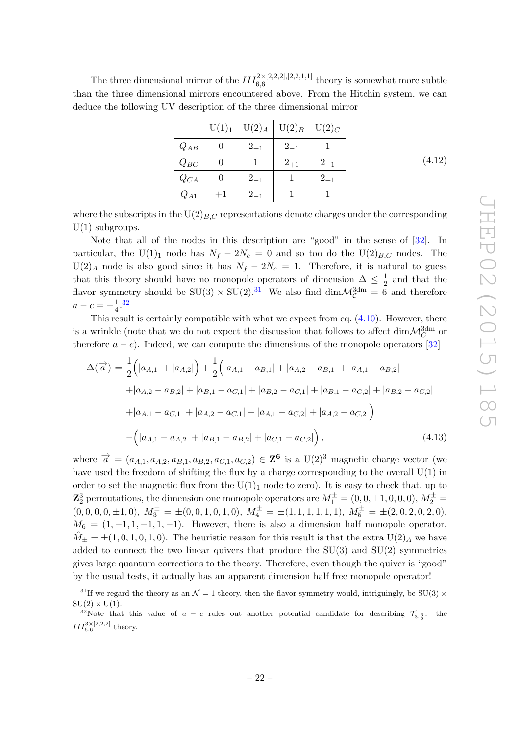(4.12)

The three dimensional mirror of the  $III_{6,6}^{2\times[2,2,2],[2,2,1,1]}$  theory is somewhat more subtle than the three dimensional mirrors encountered above. From the Hitchin system, we can deduce the following UV description of the three dimensional mirror

|          | U(1) <sub>1</sub> | $U(2)_{A}$ | $\mathrm{U}(2)_B$ | $U(2)_C$ |
|----------|-------------------|------------|-------------------|----------|
| $Q_{AB}$ |                   | $2_{+1}$   | $2_{-1}$          |          |
| $Q_{BC}$ |                   |            | $2_{+1}$          | $2_{-1}$ |
| $Q_{CA}$ |                   | $2_{-1}$   |                   | $2_{+1}$ |
| $Q_{A1}$ | $^{+1}$           | $2_{-1}$   |                   |          |

where the subscripts in the  $U(2)_{B,C}$  representations denote charges under the corresponding  $U(1)$  subgroups.

Note that all of the nodes in this description are "good" in the sense of [\[32\]](#page-39-13). In particular, the U(1)<sub>1</sub> node has  $N_f - 2N_c = 0$  and so too do the U(2)<sub>B,C</sub> nodes. The  $U(2)_A$  node is also good since it has  $N_f - 2N_c = 1$ . Therefore, it is natural to guess that this theory should have no monopole operators of dimension  $\Delta \leq \frac{1}{2}$  $\frac{1}{2}$  and that the flavor symmetry should be  $SU(3) \times SU(2).^{31}$  $SU(3) \times SU(2).^{31}$  $SU(3) \times SU(2).^{31}$  We also find  $\dim \mathcal{M}_{\mathcal{C}}^{3dm} = 6$  and therefore  $a - c = -\frac{1}{4}$  $\frac{1}{4}$ . [32](#page-22-1)

This result is certainly compatible with what we expect from eq. [\(4.10\)](#page-21-1). However, there is a wrinkle (note that we do not expect the discussion that follows to affect  $\dim{\mathcal{M}}^{\mathrm{3dm}}_C$  or therefore  $a - c$ ). Indeed, we can compute the dimensions of the monopole operators [\[32\]](#page-39-13)

$$
\Delta(\overrightarrow{a}) = \frac{1}{2} (|a_{A,1}| + |a_{A,2}|) + \frac{1}{2} (|a_{A,1} - a_{B,1}| + |a_{A,2} - a_{B,1}| + |a_{A,1} - a_{B,2}| + |a_{A,2} - a_{B,2}| + |a_{B,1} - a_{C,1}| + |a_{B,2} - a_{C,1}| + |a_{B,1} - a_{C,2}| + |a_{B,2} - a_{C,2}| + |a_{A,1} - a_{C,1}| + |a_{A,2} - a_{C,1}| + |a_{A,1} - a_{C,2}| + |a_{A,2} - a_{C,2}|)
$$

$$
- (|a_{A,1} - a_{A,2}| + |a_{B,1} - a_{B,2}| + |a_{C,1} - a_{C,2}|), \qquad (4.13)
$$

where  $\vec{a} = (a_{A,1}, a_{A,2}, a_{B,1}, a_{B,2}, a_{C,1}, a_{C,2}) \in \mathbb{Z}^6$  is a  $U(2)^3$  magnetic charge vector (we have used the freedom of shifting the flux by a charge corresponding to the overall U(1) in order to set the magnetic flux from the  $U(1)<sub>1</sub>$  node to zero). It is easy to check that, up to  ${\bf Z}_2^3$  permutations, the dimension one monopole operators are  $M_1^\pm=(0,0,\pm 1,0,0,0),\,M_2^\pm=0$  $(0, 0, 0, 0, \pm 1, 0), M_3^{\pm} = \pm (0, 0, 1, 0, 1, 0), M_4^{\pm} = \pm (1, 1, 1, 1, 1, 1), M_5^{\pm} = \pm (2, 0, 2, 0, 2, 0),$  $M_6 = (1, -1, 1, -1, 1, -1)$ . However, there is also a dimension half monopole operator,  $\tilde{M}_{\pm} = \pm (1, 0, 1, 0, 1, 0)$ . The heuristic reason for this result is that the extra  $U(2)_A$  we have added to connect the two linear quivers that produce the  $SU(3)$  and  $SU(2)$  symmetries gives large quantum corrections to the theory. Therefore, even though the quiver is "good" by the usual tests, it actually has an apparent dimension half free monopole operator!

<span id="page-22-0"></span><sup>&</sup>lt;sup>31</sup>If we regard the theory as an  $\mathcal{N} = 1$  theory, then the flavor symmetry would, intriguingly, be SU(3)  $\times$  $SU(2) \times U(1)$ .

<span id="page-22-1"></span><sup>&</sup>lt;sup>32</sup>Note that this value of  $a - c$  rules out another potential candidate for describing  $\mathcal{T}_{3,\frac{3}{2}}$ : the  $III_{6,6}^{3\times[2,2,2]}$  theory.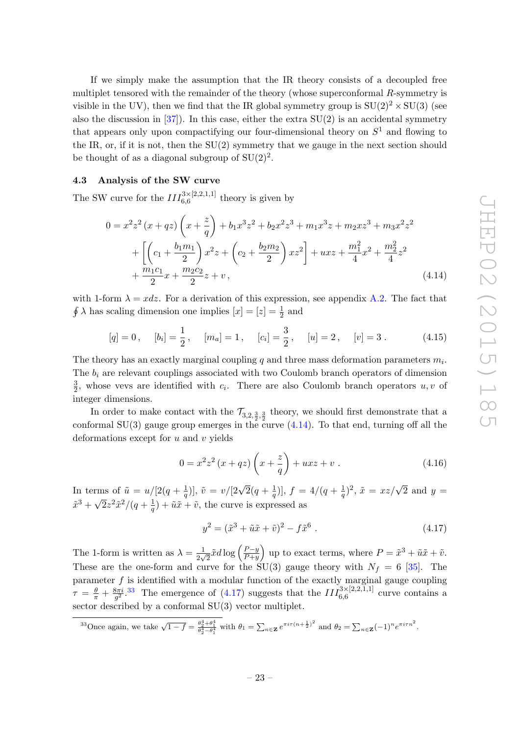If we simply make the assumption that the IR theory consists of a decoupled free multiplet tensored with the remainder of the theory (whose superconformal R-symmetry is visible in the UV), then we find that the IR global symmetry group is  $SU(2)^2 \times SU(3)$  (see also the discussion in  $[37]$ . In this case, either the extra  $SU(2)$  is an accidental symmetry that appears only upon compactifying our four-dimensional theory on  $S<sup>1</sup>$  and flowing to the IR, or, if it is not, then the  $SU(2)$  symmetry that we gauge in the next section should be thought of as a diagonal subgroup of  $SU(2)^2$ .

#### <span id="page-23-0"></span>4.3 Analysis of the SW curve

The SW curve for the  $III_{6,6}^{3\times[2,2,1,1]}$  theory is given by

$$
0 = x^{2}z^{2} (x + qz) \left(x + \frac{z}{q}\right) + b_{1}x^{3}z^{2} + b_{2}x^{2}z^{3} + m_{1}x^{3}z + m_{2}xz^{3} + m_{3}x^{2}z^{2}
$$
  
+ 
$$
\left[\left(c_{1} + \frac{b_{1}m_{1}}{2}\right)x^{2}z + \left(c_{2} + \frac{b_{2}m_{2}}{2}\right)xz^{2}\right] + uxz + \frac{m_{1}^{2}}{4}x^{2} + \frac{m_{2}^{2}}{4}z^{2}
$$
  
+ 
$$
\frac{m_{1}c_{1}}{2}x + \frac{m_{2}c_{2}}{2}z + v,
$$
(4.14)

with 1-form  $\lambda = x dz$ . For a derivation of this expression, see appendix [A.2.](#page-31-0) The fact that  $\oint \lambda$  has scaling dimension one implies  $[x] = [z] = \frac{1}{2}$  and

$$
[q] = 0
$$
,  $[b_i] = \frac{1}{2}$ ,  $[m_a] = 1$ ,  $[c_i] = \frac{3}{2}$ ,  $[u] = 2$ ,  $[v] = 3$ . (4.15)

The theory has an exactly marginal coupling  $q$  and three mass deformation parameters  $m_i$ . The  $b_i$  are relevant couplings associated with two Coulomb branch operators of dimension 3  $\frac{3}{2}$ , whose vevs are identified with  $c_i$ . There are also Coulomb branch operators  $u, v$  of integer dimensions.

In order to make contact with the  $\mathcal{T}_{3,2,\frac{3}{2},\frac{3}{2}}$  theory, we should first demonstrate that a conformal SU(3) gauge group emerges in the curve  $(4.14)$ . To that end, turning off all the deformations except for  $u$  and  $v$  yields

<span id="page-23-1"></span>
$$
0 = x^{2}z^{2}(x+qz)\left(x+\frac{z}{q}\right) + uxz+v.
$$
\n(4.16)

In terms of  $\tilde{u} = u/[2(q + \frac{1}{q})]$  $(\frac{1}{q})$ ],  $\tilde{v} = v/[2\sqrt{2}(q + \frac{1}{q})]$  $\frac{1}{q}$ )],  $f = 4/(q + \frac{1}{q})$ rms of  $\tilde{u} = u/[2(q + \frac{1}{q})], \tilde{v} = v/[2\sqrt{2}(q + \frac{1}{q})], f = 4/(q + \frac{1}{q})^2, \tilde{x} = xz/\sqrt{2}$  and  $y = \sqrt{2}$  $\tilde{x}^3 + \sqrt{2}z^2\tilde{x}^2/(q + \frac{1}{q})$  $(\frac{1}{q}) + \tilde{u}\tilde{x} + \tilde{v}$ , the curve is expressed as

<span id="page-23-3"></span>
$$
y^{2} = (\tilde{x}^{3} + \tilde{u}\tilde{x} + \tilde{v})^{2} - f\tilde{x}^{6} . \qquad (4.17)
$$

The 1-form is written as  $\lambda = \frac{1}{2}$  $\frac{1}{2\sqrt{2}}\tilde{x}d\log\left(\frac{P-y}{P+y}\right)$  $\left(\frac{P-y}{P+y}\right)$  up to exact terms, where  $P = \tilde{x}^3 + \tilde{u}\tilde{x} + \tilde{v}$ . These are the one-form and curve for the  $\text{SU}(3)$  gauge theory with  $N_f = 6$  [\[35\]](#page-39-16). The parameter  $f$  is identified with a modular function of the exactly marginal gauge coupling  $\tau\,=\,\frac{\theta}{\pi}\,+\,\frac{8\pi i}{g^2}$  $\frac{3\pi i}{g^2}$ .<sup>[33](#page-23-2)</sup> The emergence of [\(4.17\)](#page-23-3) suggests that the  $III_{6,6}^{3\times[2,2,1,1]}$  curve contains a sector described by a conformal SU(3) vector multiplet.

<span id="page-23-2"></span><sup>33</sup>Once again, we take  $\sqrt{1-f} = \frac{\theta_2^4 + \theta_1^4}{\theta_2^4 - \theta_1^4}$  with  $\theta_1 = \sum_{n \in \mathbb{Z}} e^{\pi i \tau (n + \frac{1}{2})^2}$  and  $\theta_2 = \sum_{n \in \mathbb{Z}} (-1)^n e^{\pi i \tau n^2}$ .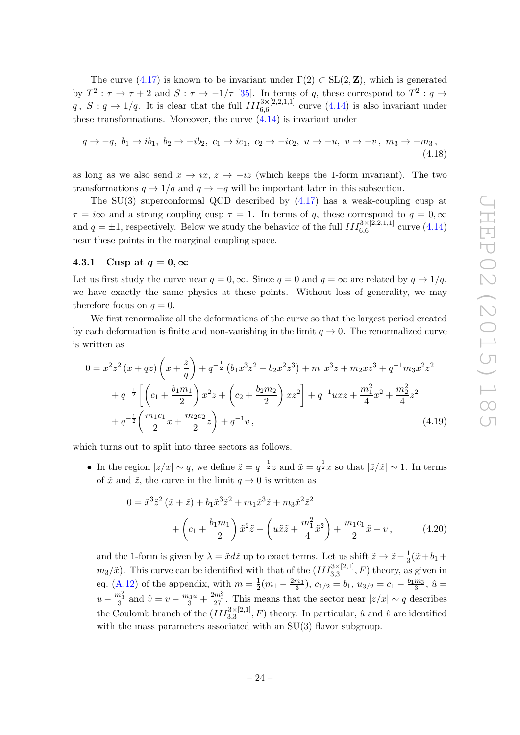The curve [\(4.17\)](#page-23-3) is known to be invariant under  $\Gamma(2) \subset SL(2, \mathbb{Z})$ , which is generated by  $T^2: \tau \to \tau + 2$  and  $S: \tau \to -1/\tau$  [\[35\]](#page-39-16). In terms of q, these correspond to  $T^2: q \to$  $q, S: q \to 1/q$ . It is clear that the full  $III_{6,6}^{3\times[2,2,1,1]}$  curve  $(4.14)$  is also invariant under these transformations. Moreover, the curve  $(4.14)$  is invariant under

$$
q \to -q, \ b_1 \to ib_1, \ b_2 \to -ib_2, \ c_1 \to ic_1, \ c_2 \to -ic_2, \ u \to -u, \ v \to -v, \ m_3 \to -m_3,
$$
\n(4.18)

as long as we also send  $x \to ix$ ,  $z \to -iz$  (which keeps the 1-form invariant). The two transformations  $q \to 1/q$  and  $q \to -q$  will be important later in this subsection.

The  $SU(3)$  superconformal QCD described by  $(4.17)$  has a weak-coupling cusp at  $\tau = i\infty$  and a strong coupling cusp  $\tau = 1$ . In terms of q, these correspond to  $q = 0, \infty$ and  $q = \pm 1$ , respectively. Below we study the behavior of the full  $III_{6,6}^{3 \times [2,2,1,1]}$  curve [\(4.14\)](#page-23-1) near these points in the marginal coupling space.

#### <span id="page-24-0"></span>4.3.1 Cusp at  $q=0,\infty$

Let us first study the curve near  $q = 0, \infty$ . Since  $q = 0$  and  $q = \infty$  are related by  $q \to 1/q$ , we have exactly the same physics at these points. Without loss of generality, we may therefore focus on  $q=0$ .

We first renormalize all the deformations of the curve so that the largest period created by each deformation is finite and non-vanishing in the limit  $q \to 0$ . The renormalized curve is written as

$$
0 = x^{2}z^{2}(x+qz)\left(x+\frac{z}{q}\right)+q^{-\frac{1}{2}}\left(b_{1}x^{3}z^{2}+b_{2}x^{2}z^{3}\right)+m_{1}x^{3}z+m_{2}xz^{3}+q^{-1}m_{3}x^{2}z^{2}+q^{-\frac{1}{2}}\left[\left(c_{1}+\frac{b_{1}m_{1}}{2}\right)x^{2}z+\left(c_{2}+\frac{b_{2}m_{2}}{2}\right)xz^{2}\right]+q^{-1}uxz+\frac{m_{1}^{2}}{4}x^{2}+\frac{m_{2}^{2}}{4}z^{2}+q^{-\frac{1}{2}}\left(\frac{m_{1}c_{1}}{2}x+\frac{m_{2}c_{2}}{2}z\right)+q^{-1}v,
$$
\n(4.19)

which turns out to split into three sectors as follows.

• In the region  $|z/x| \sim q$ , we define  $\tilde{z} = q^{-\frac{1}{2}}z$  and  $\tilde{x} = q^{\frac{1}{2}}x$  so that  $|\tilde{z}/\tilde{x}| \sim 1$ . In terms of  $\tilde{x}$  and  $\tilde{z}$ , the curve in the limit  $q \to 0$  is written as

$$
0 = \tilde{x}^{3} \tilde{z}^{2} (\tilde{x} + \tilde{z}) + b_{1} \tilde{x}^{3} \tilde{z}^{2} + m_{1} \tilde{x}^{3} \tilde{z} + m_{3} \tilde{x}^{2} \tilde{z}^{2}
$$
  
+  $\left( c_{1} + \frac{b_{1} m_{1}}{2} \right) \tilde{x}^{2} \tilde{z} + \left( u \tilde{x} \tilde{z} + \frac{m_{1}^{2}}{4} \tilde{x}^{2} \right) + \frac{m_{1} c_{1}}{2} \tilde{x} + v,$  (4.20)

and the 1-form is given by  $\lambda = \tilde{x}d\tilde{z}$  up to exact terms. Let us shift  $\tilde{z} \to \tilde{z} - \frac{1}{3}$  $rac{1}{3}(\tilde{x}+b_1+$  $m_3/\tilde{x}$ ). This curve can be identified with that of the  $(III_{3,3}^{3\times[2,1]},F)$  theory, as given in eq. [\(A.12\)](#page-32-2) of the appendix, with  $m=\frac{1}{2}$  $\frac{1}{2}(m_1-\frac{2m_3}{3}), c_{1/2}=b_1, u_{3/2}=c_1-\frac{b_1m_3}{3}, \hat{u}=$  $u - \frac{m_3^2}{3}$  and  $\hat{v} = v - \frac{m_3 u}{3} + \frac{2m_3^3}{27}$ . This means that the sector near  $|z/x| \sim q$  describes the Coulomb branch of the  $(III_{3,3}^{3\times[2,1]},F)$  theory. In particular,  $\hat{u}$  and  $\hat{v}$  are identified with the mass parameters associated with an  $SU(3)$  flavor subgroup.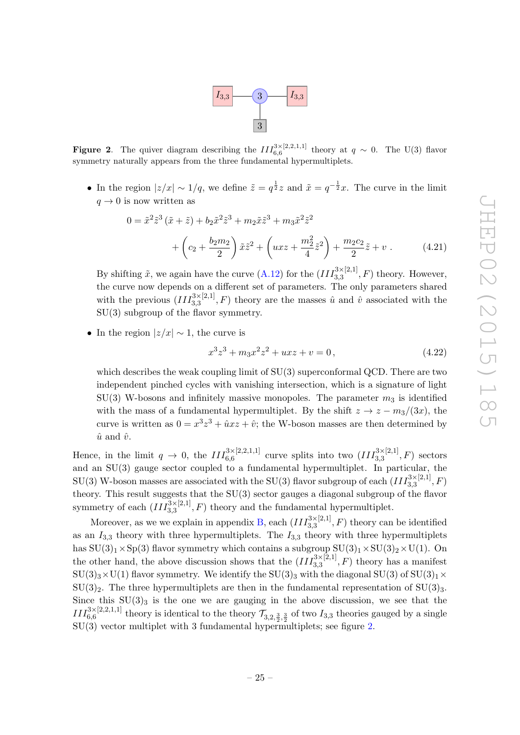

<span id="page-25-0"></span>**Figure 2.** The quiver diagram describing the  $III_{6,6}^{3\times[2,2,1,1]}$  theory at  $q \sim 0$ . The U(3) flavor symmetry naturally appears from the three fundamental hypermultiplets.

• In the region  $|z/x| \sim 1/q$ , we define  $\tilde{z} = q^{\frac{1}{2}}z$  and  $\tilde{x} = q^{-\frac{1}{2}}x$ . The curve in the limit  $q \rightarrow 0$  is now written as

$$
0 = \tilde{x}^{2} \tilde{z}^{3} (\tilde{x} + \tilde{z}) + b_{2} \tilde{x}^{2} \tilde{z}^{3} + m_{2} \tilde{x} \tilde{z}^{3} + m_{3} \tilde{x}^{2} \tilde{z}^{2}
$$

$$
+ \left( c_{2} + \frac{b_{2} m_{2}}{2} \right) \tilde{x} \tilde{z}^{2} + \left( uxz + \frac{m_{2}^{2}}{4} \tilde{z}^{2} \right) + \frac{m_{2} c_{2}}{2} \tilde{z} + v . \tag{4.21}
$$

By shifting  $\tilde{x}$ , we again have the curve  $(A.12)$  for the  $(III_{3,3}^{3\times[2,1]},F)$  theory. However, the curve now depends on a different set of parameters. The only parameters shared with the previous  $(III_{3,3}^{3\times[2,1]},F)$  theory are the masses  $\hat{u}$  and  $\hat{v}$  associated with the SU(3) subgroup of the flavor symmetry.

• In the region  $|z/x| \sim 1$ , the curve is

$$
x^3z^3 + m_3x^2z^2 + uxz + v = 0,
$$
\n(4.22)

which describes the weak coupling limit of  $SU(3)$  superconformal QCD. There are two independent pinched cycles with vanishing intersection, which is a signature of light  $SU(3)$  W-bosons and infinitely massive monopoles. The parameter  $m_3$  is identified with the mass of a fundamental hypermultiplet. By the shift  $z \to z - m_3/(3x)$ , the curve is written as  $0 = x^3z^3 + \hat{u}xz + \hat{v}$ ; the W-boson masses are then determined by  $\hat{u}$  and  $\hat{v}$ .

Hence, in the limit  $q \to 0$ , the  $III_{6,6}^{3\times[2,2,1,1]}$  curve splits into two  $(III_{3,3}^{3\times[2,1]},F)$  sectors and an SU(3) gauge sector coupled to a fundamental hypermultiplet. In particular, the  $\mathrm{SU}(3)$  W-boson masses are associated with the  $\mathrm{SU}(3)$  flavor subgroup of each  $(III_{3,3}^{3\times[2,1]},F)$ theory. This result suggests that the SU(3) sector gauges a diagonal subgroup of the flavor symmetry of each  $(III_{3,3}^{3\times[2,1]},F)$  theory and the fundamental hypermultiplet.

Moreover, as we we explain in appendix [B,](#page-33-0) each  $(III_{3,3}^{3\times[2,1]},F)$  theory can be identified as an  $I_{3,3}$  theory with three hypermultiplets. The  $I_{3,3}$  theory with three hypermultiplets has  $SU(3)_1 \times Sp(3)$  flavor symmetry which contains a subgroup  $SU(3)_1 \times SU(3)_2 \times U(1)$ . On the other hand, the above discussion shows that the  $(III_{3,3}^{3\times[2,1]},F)$  theory has a manifest  $SU(3)_3\times U(1)$  flavor symmetry. We identify the  $SU(3)_3$  with the diagonal  $SU(3)$  of  $SU(3)_1\times$  $SU(3)_2$ . The three hypermultiplets are then in the fundamental representation of  $SU(3)_3$ . Since this  $SU(3)_3$  is the one we are gauging in the above discussion, we see that the  $III_{6,6}^{3\times[2,2,1,1]}$  theory is identical to the theory  $\mathcal{T}_{3,2,\frac{3}{2},\frac{3}{2}}$  of two  $I_{3,3}$  theories gauged by a single SU(3) vector multiplet with 3 fundamental hypermultiplets; see figure [2.](#page-25-0)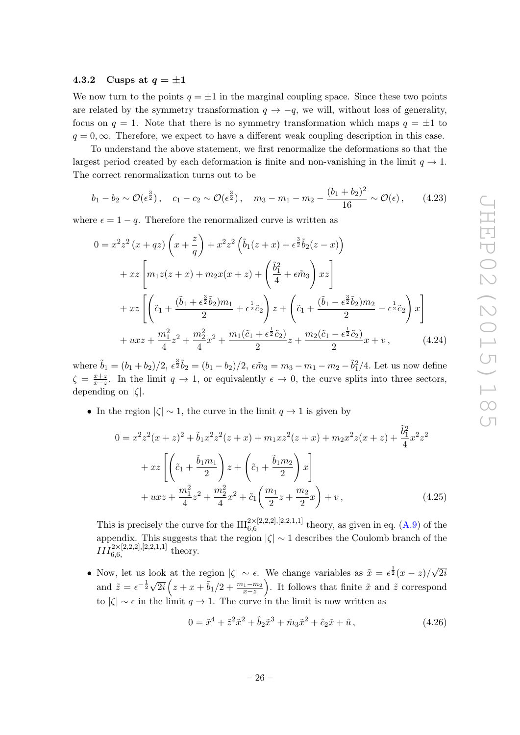#### <span id="page-26-0"></span>4.3.2 Cusps at  $q = \pm 1$

We now turn to the points  $q = \pm 1$  in the marginal coupling space. Since these two points are related by the symmetry transformation  $q \to -q$ , we will, without loss of generality, focus on  $q = 1$ . Note that there is no symmetry transformation which maps  $q = \pm 1$  to  $q = 0, \infty$ . Therefore, we expect to have a different weak coupling description in this case.

To understand the above statement, we first renormalize the deformations so that the largest period created by each deformation is finite and non-vanishing in the limit  $q \to 1$ . The correct renormalization turns out to be

$$
b_1 - b_2 \sim \mathcal{O}(\epsilon^{\frac{3}{2}}),
$$
  $c_1 - c_2 \sim \mathcal{O}(\epsilon^{\frac{3}{2}}),$   $m_3 - m_1 - m_2 - \frac{(b_1 + b_2)^2}{16} \sim \mathcal{O}(\epsilon),$  (4.23)

where  $\epsilon = 1 - q$ . Therefore the renormalized curve is written as

$$
0 = x^{2}z^{2}(x+qz)\left(x+\frac{z}{q}\right) + x^{2}z^{2}\left(\tilde{b}_{1}(z+x) + \epsilon^{\frac{3}{2}}\tilde{b}_{2}(z-x)\right)
$$
  
+ 
$$
xz\left[m_{1}z(z+x) + m_{2}x(x+z) + \left(\frac{\tilde{b}_{1}^{2}}{4} + \epsilon\tilde{m}_{3}\right)xz\right]
$$
  
+ 
$$
xz\left[\left(\tilde{c}_{1} + \frac{(\tilde{b}_{1} + \epsilon^{\frac{3}{2}}\tilde{b}_{2})m_{1}}{2} + \epsilon^{\frac{1}{2}}\tilde{c}_{2}\right)z + \left(\tilde{c}_{1} + \frac{(\tilde{b}_{1} - \epsilon^{\frac{3}{2}}\tilde{b}_{2})m_{2}}{2} - \epsilon^{\frac{1}{2}}\tilde{c}_{2}\right)x\right]
$$
  
+ 
$$
uxz + \frac{m_{1}^{2}}{4}z^{2} + \frac{m_{2}^{2}}{4}x^{2} + \frac{m_{1}(\tilde{c}_{1} + \epsilon^{\frac{1}{2}}\tilde{c}_{2})}{2}z + \frac{m_{2}(\tilde{c}_{1} - \epsilon^{\frac{1}{2}}\tilde{c}_{2})}{2}x + v,
$$
(4.24)

where  $\tilde{b}_1=(b_1+b_2)/2$ ,  $\epsilon^{\frac{3}{2}}\tilde{b}_2=(b_1-b_2)/2$ ,  $\epsilon\tilde{m}_3=m_3-m_1-m_2-\tilde{b}_1^2/4$ . Let us now define  $\zeta = \frac{x+z}{x-z}$ . In the limit  $q \to 1$ , or equivalently  $\epsilon \to 0$ , the curve splits into three sectors, depending on  $|\zeta|$ .

• In the region  $|\zeta| \sim 1$ , the curve in the limit  $q \to 1$  is given by

$$
0 = x^{2}z^{2}(x+z)^{2} + \tilde{b}_{1}x^{2}z^{2}(z+x) + m_{1}xz^{2}(z+x) + m_{2}x^{2}z(x+z) + \frac{\tilde{b}_{1}^{2}}{4}x^{2}z^{2}
$$

$$
+ xz\left[\left(\tilde{c}_{1} + \frac{\tilde{b}_{1}m_{1}}{2}\right)z + \left(\tilde{c}_{1} + \frac{\tilde{b}_{1}m_{2}}{2}\right)x\right]
$$

$$
+ uxz + \frac{m_{1}^{2}}{4}z^{2} + \frac{m_{2}^{2}}{4}x^{2} + \tilde{c}_{1}\left(\frac{m_{1}}{2}z + \frac{m_{2}}{2}x\right) + v,
$$
(4.25)

This is precisely the curve for the  $III_{6.6}^{2\times[2,2,2],[2,2,1,1]}$  theory, as given in eq. [\(A.9\)](#page-32-3) of the 6,6 appendix. This suggests that the region  $|\zeta| \sim 1$  describes the Coulomb branch of the  $III_{6,6,}^{2\times[2,2,2],[2,2,1,1]}$  theory.

• Now, let us look at the region  $|\zeta| \sim \epsilon$ . We change variables as  $\tilde{x} = \epsilon^{\frac{1}{2}}(x-z)$ / √ 2i and  $\tilde{z} = \epsilon^{-\frac{1}{2}} \sqrt{2\pi i}$  $\overline{2i}\left(z+x+\tilde{b}_1/2+\frac{m_1-m_2}{x-z}\right)$ . It follows that finite  $\tilde{x}$  and  $\tilde{z}$  correspond to  $|\zeta| \sim \epsilon$  in the limit  $q \to 1$ . The curve in the limit is now written as

$$
0 = \tilde{x}^4 + \tilde{z}^2 \tilde{x}^2 + \hat{b}_2 \tilde{x}^3 + \hat{m}_3 \tilde{x}^2 + \hat{c}_2 \tilde{x} + \hat{u}, \qquad (4.26)
$$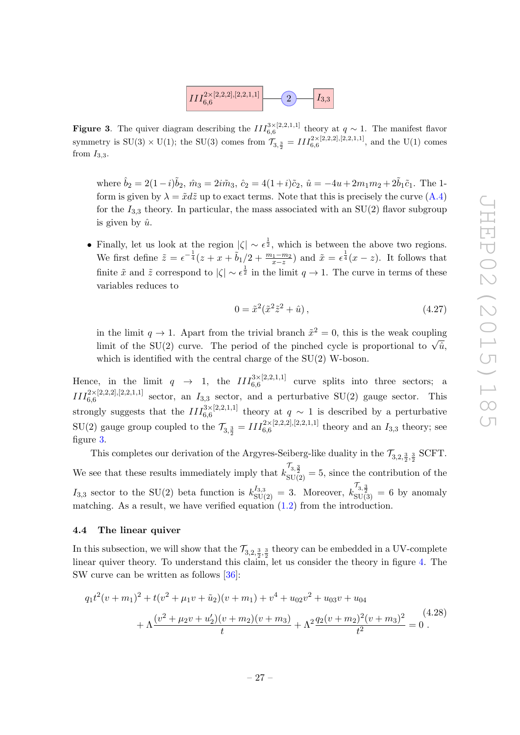

<span id="page-27-1"></span>**Figure 3.** The quiver diagram describing the  $III_{6,6}^{3\times[2,2,1,1]}$  theory at  $q \sim 1$ . The manifest flavor symmetry is  $SU(3) \times U(1)$ ; the  $SU(3)$  comes from  $\mathcal{T}_{3, \frac{3}{2}} = III_{6, 6}^{2 \times [2, 2, 2], [2, 2, 1, 1]},$  and the U(1) comes from  $I_{3,3}$ .

where  $\hat{b}_2 = 2(1-i)\tilde{b}_2$ ,  $\hat{m}_3 = 2i\tilde{m}_3$ ,  $\hat{c}_2 = 4(1+i)\tilde{c}_2$ ,  $\hat{u} = -4u + 2m_1m_2 + 2\tilde{b}_1\tilde{c}_1$ . The 1form is given by  $\lambda = \tilde{x}d\tilde{z}$  up to exact terms. Note that this is precisely the curve  $(A.4)$ for the  $I_{3,3}$  theory. In particular, the mass associated with an SU(2) flavor subgroup is given by  $\hat{u}$ .

• Finally, let us look at the region  $|\zeta| \sim \epsilon^{\frac{1}{2}}$ , which is between the above two regions. We first define  $\tilde{z} = \epsilon^{-\frac{1}{4}}(z + x + \tilde{b}_1/2 + \frac{m_1 - m_2}{x - z})$  and  $\tilde{x} = \epsilon^{\frac{1}{4}}(x - z)$ . It follows that finite  $\tilde{x}$  and  $\tilde{z}$  correspond to  $|\zeta| \sim \epsilon^{\frac{1}{2}}$  in the limit  $q \to 1$ . The curve in terms of these variables reduces to

$$
0 = \tilde{x}^2(\tilde{x}^2 \tilde{z}^2 + \hat{u}), \tag{4.27}
$$

in the limit  $q \to 1$ . Apart from the trivial branch  $\tilde{x}^2 = 0$ , this is the weak coupling limit of the SU(2) curve. The period of the pinched cycle is proportional to  $\sqrt{\hat{u}}$ , which is identified with the central charge of the SU(2) W-boson.

Hence, in the limit  $q \rightarrow 1$ , the  $III_{6,6}^{3\times[2,2,1,1]}$  curve splits into three sectors; a  $III_{6,6}^{2\times[2,2,2],[2,2,1,1]}$  sector, an  $I_{3,3}$  sector, and a perturbative SU(2) gauge sector. This strongly suggests that the  $III_{6,6}^{3\times[2,2,1,1]}$  theory at  $q \sim 1$  is described by a perturbative  $SU(2)$  gauge group coupled to the  $\mathcal{T}_{3, \frac{3}{2}} = III_{6, 6}^{2 \times [2, 2, 2], [2, 2, 1, 1]}$  theory and an  $I_{3,3}$  theory; see figure [3.](#page-27-1)

This completes our derivation of the Argyres-Seiberg-like duality in the  $\mathcal{T}_{3,2,\frac{3}{2},\frac{3}{2}}$  SCFT. We see that these results immediately imply that  $k_{\text{SU(2)}}^{\mathcal{T}_{3,\frac{3}{2}}} = 5$ , since the contribution of the  $I_{3,3}$  sector to the SU(2) beta function is  $k_{\text{SU(2)}}^{I_{3,3}} = 3$ . Moreover,  $k_{\text{SU(3)}}^{T_{3,\frac{3}{2}}} = 6$  by anomaly matching. As a result, we have verified equation  $(1.2)$  from the introduction.

#### <span id="page-27-0"></span>4.4 The linear quiver

In this subsection, we will show that the  $\mathcal{T}_{3,2,\frac{3}{2},\frac{3}{2}}$  theory can be embedded in a UV-complete linear quiver theory. To understand this claim, let us consider the theory in figure [4.](#page-28-1) The SW curve can be written as follows [\[36\]](#page-39-17):

$$
q_1t^2(v+m_1)^2 + t(v^2 + \mu_1v + \tilde{u}_2)(v+m_1) + v^4 + u_{02}v^2 + u_{03}v + u_{04}
$$
  
+ 
$$
\Lambda \frac{(v^2 + \mu_2v + u_2')(v+m_2)(v+m_3)}{t} + \Lambda^2 \frac{q_2(v+m_2)^2(v+m_3)^2}{t^2} = 0.
$$
 (4.28)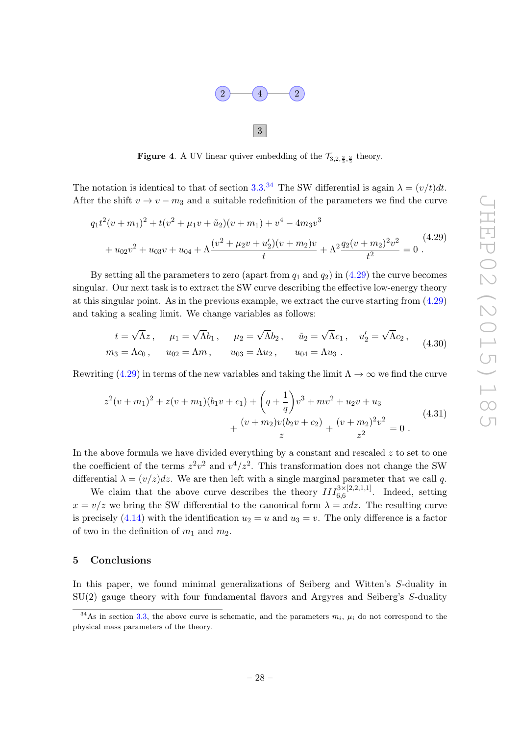

<span id="page-28-1"></span>**Figure 4.** A UV linear quiver embedding of the  $\mathcal{T}_{3,2,\frac{3}{2},\frac{3}{2}}$  theory.

The notation is identical to that of section [3.3.](#page-15-1)<sup>[34](#page-28-2)</sup> The SW differential is again  $\lambda = (v/t)dt$ . After the shift  $v \to v - m_3$  and a suitable redefinition of the parameters we find the curve

<span id="page-28-3"></span>
$$
q_1t^2(v+m_1)^2 + t(v^2 + \mu_1v + \tilde{u}_2)(v+m_1) + v^4 - 4m_3v^3
$$
  
+  $u_{02}v^2 + u_{03}v + u_{04} + \Lambda \frac{(v^2 + \mu_2v + u_2')(v+m_2)v}{t} + \Lambda^2 \frac{q_2(v+m_2)^2v^2}{t^2} = 0$ . (4.29)

By setting all the parameters to zero (apart from  $q_1$  and  $q_2$ ) in [\(4.29\)](#page-28-3) the curve becomes singular. Our next task is to extract the SW curve describing the effective low-energy theory at this singular point. As in the previous example, we extract the curve starting from  $(4.29)$ and taking a scaling limit. We change variables as follows:

$$
t = \sqrt{\Lambda}z, \quad \mu_1 = \sqrt{\Lambda}b_1, \quad \mu_2 = \sqrt{\Lambda}b_2, \quad \tilde{u}_2 = \sqrt{\Lambda}c_1, \quad u'_2 = \sqrt{\Lambda}c_2, m_3 = \Lambda c_0, \quad u_{02} = \Lambda m, \quad u_{03} = \Lambda u_2, \quad u_{04} = \Lambda u_3.
$$
 (4.30)

Rewriting [\(4.29\)](#page-28-3) in terms of the new variables and taking the limit  $\Lambda \to \infty$  we find the curve

<span id="page-28-4"></span>
$$
z^{2}(v+m_{1})^{2} + z(v+m_{1})(b_{1}v+c_{1}) + \left(q + \frac{1}{q}\right)v^{3} + mv^{2} + u_{2}v + u_{3} + \frac{(v+m_{2})v(b_{2}v+c_{2})}{z} + \frac{(v+m_{2})^{2}v^{2}}{z^{2}} = 0.
$$
\n
$$
(4.31)
$$

In the above formula we have divided everything by a constant and rescaled  $z$  to set to one the coefficient of the terms  $z^2v^2$  and  $v^4/z^2$ . This transformation does not change the SW differential  $\lambda = (v/z)dz$ . We are then left with a single marginal parameter that we call q.

We claim that the above curve describes the theory  $III_{6,6}^{3\times[2,2,1,1]}$ . Indeed, setting  $x = v/z$  we bring the SW differential to the canonical form  $\lambda = x dz$ . The resulting curve is precisely [\(4.14\)](#page-23-1) with the identification  $u_2 = u$  and  $u_3 = v$ . The only difference is a factor of two in the definition of  $m_1$  and  $m_2$ .

#### <span id="page-28-0"></span>5 Conclusions

In this paper, we found minimal generalizations of Seiberg and Witten's S-duality in SU(2) gauge theory with four fundamental flavors and Argyres and Seiberg's S-duality

<span id="page-28-2"></span><sup>&</sup>lt;sup>34</sup>As in section [3.3,](#page-15-1) the above curve is schematic, and the parameters  $m_i$ ,  $\mu_i$  do not correspond to the physical mass parameters of the theory.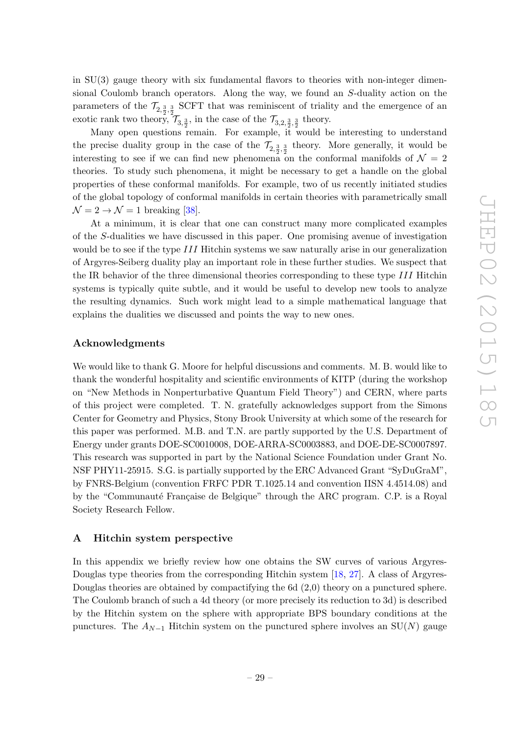in SU(3) gauge theory with six fundamental flavors to theories with non-integer dimensional Coulomb branch operators. Along the way, we found an S-duality action on the parameters of the  $\mathcal{T}_{2,\frac{3}{2},\frac{3}{2}}$  SCFT that was reminiscent of triality and the emergence of an exotic rank two theory,  $\mathcal{T}_{3, \frac{3}{2}}$ , in the case of the  $\mathcal{T}_{3, 2, \frac{3}{2}, \frac{3}{2}}$  theory.

Many open questions remain. For example, it would be interesting to understand the precise duality group in the case of the  $\mathcal{T}_{2,\frac{3}{2},\frac{3}{2}}$  theory. More generally, it would be interesting to see if we can find new phenomena on the conformal manifolds of  $\mathcal{N} = 2$ theories. To study such phenomena, it might be necessary to get a handle on the global properties of these conformal manifolds. For example, two of us recently initiated studies of the global topology of conformal manifolds in certain theories with parametrically small  $\mathcal{N} = 2 \rightarrow \mathcal{N} = 1$  breaking [\[38\]](#page-39-19).

At a minimum, it is clear that one can construct many more complicated examples of the S-dualities we have discussed in this paper. One promising avenue of investigation would be to see if the type III Hitchin systems we saw naturally arise in our generalization of Argyres-Seiberg duality play an important role in these further studies. We suspect that the IR behavior of the three dimensional theories corresponding to these type III Hitchin systems is typically quite subtle, and it would be useful to develop new tools to analyze the resulting dynamics. Such work might lead to a simple mathematical language that explains the dualities we discussed and points the way to new ones.

#### Acknowledgments

We would like to thank G. Moore for helpful discussions and comments. M. B. would like to thank the wonderful hospitality and scientific environments of KITP (during the workshop on "New Methods in Nonperturbative Quantum Field Theory") and CERN, where parts of this project were completed. T. N. gratefully acknowledges support from the Simons Center for Geometry and Physics, Stony Brook University at which some of the research for this paper was performed. M.B. and T.N. are partly supported by the U.S. Department of Energy under grants DOE-SC0010008, DOE-ARRA-SC0003883, and DOE-DE-SC0007897. This research was supported in part by the National Science Foundation under Grant No. NSF PHY11-25915. S.G. is partially supported by the ERC Advanced Grant "SyDuGraM", by FNRS-Belgium (convention FRFC PDR T.1025.14 and convention IISN 4.4514.08) and by the "Communauté Française de Belgique" through the ARC program. C.P. is a Royal Society Research Fellow.

#### <span id="page-29-0"></span>A Hitchin system perspective

In this appendix we briefly review how one obtains the SW curves of various Argyres-Douglas type theories from the corresponding Hitchin system [\[18,](#page-38-15) [27\]](#page-39-8). A class of Argyres-Douglas theories are obtained by compactifying the 6d (2,0) theory on a punctured sphere. The Coulomb branch of such a 4d theory (or more precisely its reduction to 3d) is described by the Hitchin system on the sphere with appropriate BPS boundary conditions at the punctures. The  $A_{N-1}$  Hitchin system on the punctured sphere involves an SU(N) gauge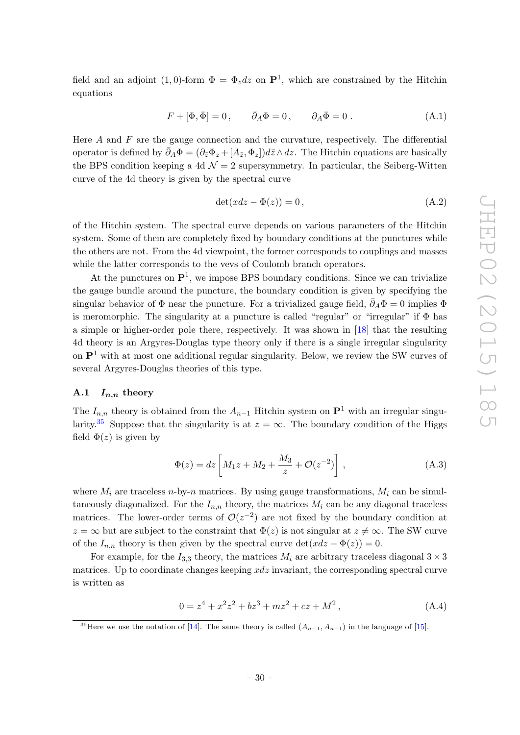field and an adjoint (1,0)-form  $\Phi = \Phi_z dz$  on  $\mathbf{P}^1$ , which are constrained by the Hitchin equations

$$
F + [\Phi, \bar{\Phi}] = 0, \qquad \bar{\partial}_A \Phi = 0, \qquad \partial_A \bar{\Phi} = 0.
$$
 (A.1)

Here  $A$  and  $F$  are the gauge connection and the curvature, respectively. The differential operator is defined by  $\bar{\partial}_A \Phi = (\partial_{\bar{z}} \Phi_z + [A_{\bar{z}}, \Phi_z]) d\bar{z} \wedge dz$ . The Hitchin equations are basically the BPS condition keeping a 4d  $\mathcal{N}=2$  supersymmetry. In particular, the Seiberg-Witten curve of the 4d theory is given by the spectral curve

$$
\det(xdz - \Phi(z)) = 0, \tag{A.2}
$$

of the Hitchin system. The spectral curve depends on various parameters of the Hitchin system. Some of them are completely fixed by boundary conditions at the punctures while the others are not. From the 4d viewpoint, the former corresponds to couplings and masses while the latter corresponds to the vevs of Coulomb branch operators.

At the punctures on  $\mathbf{P}^1$ , we impose BPS boundary conditions. Since we can trivialize the gauge bundle around the puncture, the boundary condition is given by specifying the singular behavior of  $\Phi$  near the puncture. For a trivialized gauge field,  $\bar{\partial}_A\Phi=0$  implies  $\Phi$ is meromorphic. The singularity at a puncture is called "regular" or "irregular" if  $\Phi$  has a simple or higher-order pole there, respectively. It was shown in [\[18\]](#page-38-15) that the resulting 4d theory is an Argyres-Douglas type theory only if there is a single irregular singularity on  $\mathbf{P}^1$  with at most one additional regular singularity. Below, we review the SW curves of several Argyres-Douglas theories of this type.

#### <span id="page-30-0"></span>A.1  $I_{n,n}$  theory

The  $I_{n,n}$  theory is obtained from the  $A_{n-1}$  Hitchin system on  $\mathbf{P}^1$  with an irregular singu-larity.<sup>[35](#page-30-3)</sup> Suppose that the singularity is at  $z = \infty$ . The boundary condition of the Higgs field  $\Phi(z)$  is given by

<span id="page-30-1"></span>
$$
\Phi(z) = dz \left[ M_1 z + M_2 + \frac{M_3}{z} + \mathcal{O}(z^{-2}) \right],
$$
\n(A.3)

where  $M_i$  are traceless n-by-n matrices. By using gauge transformations,  $M_i$  can be simultaneously diagonalized. For the  $I_{n,n}$  theory, the matrices  $M_i$  can be any diagonal traceless matrices. The lower-order terms of  $\mathcal{O}(z^{-2})$  are not fixed by the boundary condition at  $z = \infty$  but are subject to the constraint that  $\Phi(z)$  is not singular at  $z \neq \infty$ . The SW curve of the  $I_{n,n}$  theory is then given by the spectral curve  $\det(xdz - \Phi(z)) = 0$ .

For example, for the  $I_{3,3}$  theory, the matrices  $M_i$  are arbitrary traceless diagonal  $3 \times 3$ matrices. Up to coordinate changes keeping  $xdz$  invariant, the corresponding spectral curve is written as

<span id="page-30-2"></span>
$$
0 = z4 + x2z2 + bz3 + mz2 + cz + M2,
$$
 (A.4)

<span id="page-30-3"></span><sup>&</sup>lt;sup>35</sup>Here we use the notation of [\[14\]](#page-38-11). The same theory is called  $(A_{n-1}, A_{n-1})$  in the language of [\[15\]](#page-38-13).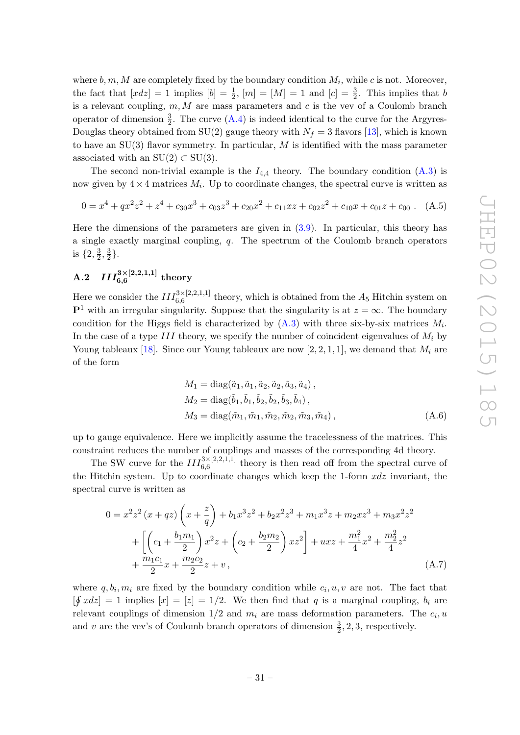where  $b, m, M$  are completely fixed by the boundary condition  $M_i$ , while c is not. Moreover, the fact that  $[xdz] = 1$  implies  $[b] = \frac{1}{2}$ ,  $[m] = [M] = 1$  and  $[c] = \frac{3}{2}$ . This implies that b is a relevant coupling,  $m, M$  are mass parameters and c is the vev of a Coulomb branch operator of dimension  $\frac{3}{2}$ . The curve  $(A.4)$  is indeed identical to the curve for the Argyres-Douglas theory obtained from SU(2) gauge theory with  $N_f = 3$  flavors [\[13\]](#page-38-10), which is known to have an  $SU(3)$  flavor symmetry. In particular, M is identified with the mass parameter associated with an  $SU(2) \subset SU(3)$ .

The second non-trivial example is the  $I_{4,4}$  theory. The boundary condition  $(A.3)$  is now given by  $4 \times 4$  matrices  $M_i$ . Up to coordinate changes, the spectral curve is written as

$$
0 = x4 + qx2z2 + z4 + c30x3 + c03z3 + c20x2 + c11xz + c02z2 + c10x + c01z + c00
$$
 (A.5)

Here the dimensions of the parameters are given in [\(3.9\)](#page-11-5). In particular, this theory has a single exactly marginal coupling, q. The spectrum of the Coulomb branch operators is  $\{2, \frac{3}{2}\}$  $\frac{3}{2}, \frac{3}{2}$  $\frac{3}{2}$ .

## <span id="page-31-0"></span> $\mathrm{A.2} \quad III_{6,6}^{3\times[2,2,1,1]} \text{ theory}$

Here we consider the  $III_{6,6}^{3\times[2,2,1,1]}$  theory, which is obtained from the  $A_5$  Hitchin system on  $\mathbf{P}^1$  with an irregular singularity. Suppose that the singularity is at  $z = \infty$ . The boundary condition for the Higgs field is characterized by  $(A.3)$  with three six-by-six matrices  $M_i$ . In the case of a type III theory, we specify the number of coincident eigenvalues of  $M_i$  by Young tableaux [\[18\]](#page-38-15). Since our Young tableaux are now [2, 2, 1, 1], we demand that  $M_i$  are of the form

$$
M_1 = \text{diag}(\tilde{a}_1, \tilde{a}_1, \tilde{a}_2, \tilde{a}_2, \tilde{a}_3, \tilde{a}_4),
$$
  
\n
$$
M_2 = \text{diag}(\tilde{b}_1, \tilde{b}_1, \tilde{b}_2, \tilde{b}_2, \tilde{b}_3, \tilde{b}_4),
$$
  
\n
$$
M_3 = \text{diag}(\tilde{m}_1, \tilde{m}_1, \tilde{m}_2, \tilde{m}_2, \tilde{m}_3, \tilde{m}_4),
$$
\n(A.6)

up to gauge equivalence. Here we implicitly assume the tracelessness of the matrices. This constraint reduces the number of couplings and masses of the corresponding 4d theory.

The SW curve for the  $III_{6,6}^{3\times[2,2,1,1]}$  theory is then read off from the spectral curve of the Hitchin system. Up to coordinate changes which keep the 1-form  $xdz$  invariant, the spectral curve is written as

$$
0 = x^{2}z^{2}(x+qz)\left(x+\frac{z}{q}\right)+b_{1}x^{3}z^{2}+b_{2}x^{2}z^{3}+m_{1}x^{3}z+m_{2}xz^{3}+m_{3}x^{2}z^{2}+\left[\left(c_{1}+\frac{b_{1}m_{1}}{2}\right)x^{2}z+\left(c_{2}+\frac{b_{2}m_{2}}{2}\right)xz^{2}\right]+uxz+\frac{m_{1}^{2}}{4}x^{2}+\frac{m_{2}^{2}}{4}z^{2}+\frac{m_{1}c_{1}}{2}x+\frac{m_{2}c_{2}}{2}z+v,
$$
\n(A.7)

where  $q, b_i, m_i$  are fixed by the boundary condition while  $c_i, u, v$  are not. The fact that  $[\oint x dz] = 1$  implies  $[x] = [z] = 1/2$ . We then find that q is a marginal coupling,  $b_i$  are relevant couplings of dimension  $1/2$  and  $m_i$  are mass deformation parameters. The  $c_i, u$ and v are the vev's of Coulomb branch operators of dimension  $\frac{3}{2}$ , 2, 3, respectively.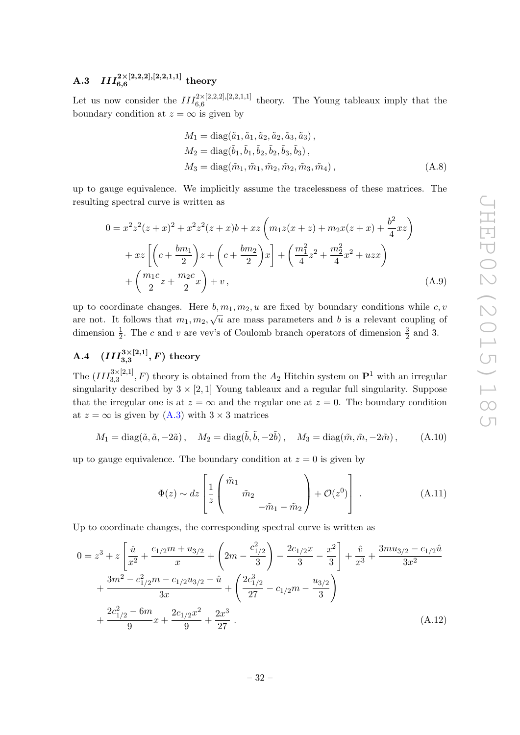## <span id="page-32-0"></span> $\mathrm{A.3} \quad III_{6,6}^{2\times[2,2,2],[2,2,1,1]} \textrm{ theory}$

Let us now consider the  $III_{6,6}^{2\times[2,2,2],[2,2,1,1]}$  theory. The Young tableaux imply that the boundary condition at  $z = \infty$  is given by

<span id="page-32-3"></span>
$$
M_1 = \text{diag}(\tilde{a}_1, \tilde{a}_1, \tilde{a}_2, \tilde{a}_3, \tilde{a}_3),
$$
  
\n
$$
M_2 = \text{diag}(\tilde{b}_1, \tilde{b}_1, \tilde{b}_2, \tilde{b}_2, \tilde{b}_3, \tilde{b}_3),
$$
  
\n
$$
M_3 = \text{diag}(\tilde{m}_1, \tilde{m}_1, \tilde{m}_2, \tilde{m}_2, \tilde{m}_3, \tilde{m}_4),
$$
\n(A.8)

up to gauge equivalence. We implicitly assume the tracelessness of these matrices. The resulting spectral curve is written as

$$
0 = x^{2}z^{2}(z+x)^{2} + x^{2}z^{2}(z+x)b + xz \left(m_{1}z(x+z) + m_{2}x(z+x) + \frac{b^{2}}{4}xz\right) + xz \left[\left(c + \frac{bm_{1}}{2}\right)z + \left(c + \frac{bm_{2}}{2}\right)x\right] + \left(\frac{m_{1}^{2}}{4}z^{2} + \frac{m_{2}^{2}}{4}x^{2} + uzx\right) + \left(\frac{m_{1}c}{2}z + \frac{m_{2}c}{2}x\right) + v,
$$
\n(A.9)

up to coordinate changes. Here  $b, m_1, m_2, u$  are fixed by boundary conditions while c, v are not. It follows that  $m_1, m_2, \sqrt{u}$  are mass parameters and b is a relevant coupling of dimension  $\frac{1}{2}$ . The c and v are vev's of Coulomb branch operators of dimension  $\frac{3}{2}$  and 3.

<span id="page-32-1"></span>A.4 
$$
(III_{3,3}^{3\times[2,1]}, F)
$$
 theory

The  $(III_{3,3}^{3\times[2,1]}, F)$  theory is obtained from the  $A_2$  Hitchin system on  $\mathbf{P}^1$  with an irregular singularity described by  $3 \times [2, 1]$  Young tableaux and a regular full singularity. Suppose that the irregular one is at  $z = \infty$  and the regular one at  $z = 0$ . The boundary condition at  $z = \infty$  is given by  $(A.3)$  with  $3 \times 3$  matrices

$$
M_1 = \text{diag}(\tilde{a}, \tilde{a}, -2\tilde{a}), \quad M_2 = \text{diag}(\tilde{b}, \tilde{b}, -2\tilde{b}), \quad M_3 = \text{diag}(\tilde{m}, \tilde{m}, -2\tilde{m}), \quad (A.10)
$$

up to gauge equivalence. The boundary condition at  $z = 0$  is given by

<span id="page-32-2"></span>
$$
\Phi(z) \sim dz \left[ \frac{1}{z} \begin{pmatrix} \tilde{m}_1 \\ \tilde{m}_2 \\ -\tilde{m}_1 - \tilde{m}_2 \end{pmatrix} + \mathcal{O}(z^0) \right] . \tag{A.11}
$$

Up to coordinate changes, the corresponding spectral curve is written as

$$
0 = z3 + z \left[ \frac{\hat{u}}{x^{2}} + \frac{c_{1/2}m + u_{3/2}}{x} + \left( 2m - \frac{c_{1/2}^{2}}{3} \right) - \frac{2c_{1/2}x}{3} - \frac{x^{2}}{3} \right] + \frac{\hat{v}}{x^{3}} + \frac{3mu_{3/2} - c_{1/2}\hat{u}}{3x^{2}} + \frac{3m^{2} - c_{1/2}^{2}m - c_{1/2}u_{3/2} - \hat{u}}{3x} + \left( \frac{2c_{1/2}^{3}}{27} - c_{1/2}m - \frac{u_{3/2}}{3} \right) + \frac{2c_{1/2}^{2} - 6m}{9}x + \frac{2c_{1/2}x^{2}}{9} + \frac{2x^{3}}{27} .
$$
\n(A.12)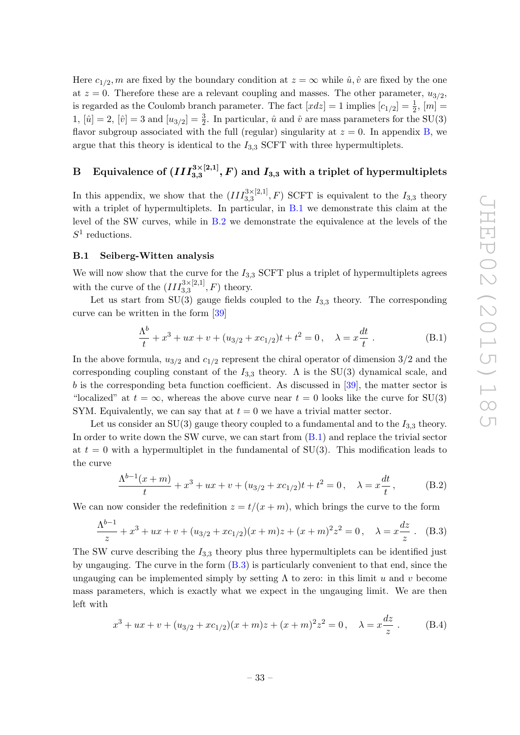Here  $c_{1/2}$ , m are fixed by the boundary condition at  $z = \infty$  while  $\hat{u}, \hat{v}$  are fixed by the one at  $z = 0$ . Therefore these are a relevant coupling and masses. The other parameter,  $u_{3/2}$ , is regarded as the Coulomb branch parameter. The fact  $[xdz] = 1$  implies  $[c_{1/2}] = \frac{1}{2}$ ,  $[m] =$ 1,  $[\hat{u}] = 2$ ,  $[\hat{v}] = 3$  and  $[u_{3/2}] = \frac{3}{2}$ . In particular,  $\hat{u}$  and  $\hat{v}$  are mass parameters for the SU(3) flavor subgroup associated with the full (regular) singularity at  $z = 0$ . In appendix [B,](#page-33-0) we argue that this theory is identical to the  $I_{3,3}$  SCFT with three hypermultiplets.

## <span id="page-33-0"></span> $\mathrm{B} \quad \text{Equivalence of } (III^{3 \times [2, 1]}_{3, 3}, F) \text{ and } I_{3, 3} \text{ with a triplet of hypermultiplets}$

In this appendix, we show that the  $(III_{3,3}^{3\times[2,1]},F)$  SCFT is equivalent to the  $I_{3,3}$  theory with a triplet of hypermultiplets. In particular, in [B.1](#page-33-1) we demonstrate this claim at the level of the SW curves, while in [B.2](#page-34-0) we demonstrate the equivalence at the levels of the  $S^1$  reductions.

#### <span id="page-33-1"></span>B.1 Seiberg-Witten analysis

We will now show that the curve for the  $I_{3,3}$  SCFT plus a triplet of hypermultiplets agrees with the curve of the  $(III_{3,3}^{3\times[2,1]},F)$  theory.

Let us start from SU(3) gauge fields coupled to the  $I_{3,3}$  theory. The corresponding curve can be written in the form [\[39\]](#page-39-20)

<span id="page-33-2"></span>
$$
\frac{\Lambda^b}{t} + x^3 + ux + v + (u_{3/2} + xc_{1/2})t + t^2 = 0, \quad \lambda = x\frac{dt}{t} .
$$
 (B.1)

In the above formula,  $u_{3/2}$  and  $c_{1/2}$  represent the chiral operator of dimension  $3/2$  and the corresponding coupling constant of the  $I_{3,3}$  theory. A is the SU(3) dynamical scale, and  $b$  is the corresponding beta function coefficient. As discussed in [\[39\]](#page-39-20), the matter sector is "localized" at  $t = \infty$ , whereas the above curve near  $t = 0$  looks like the curve for SU(3) SYM. Equivalently, we can say that at  $t = 0$  we have a trivial matter sector.

Let us consider an SU(3) gauge theory coupled to a fundamental and to the  $I_{3,3}$  theory. In order to write down the SW curve, we can start from [\(B.1\)](#page-33-2) and replace the trivial sector at  $t = 0$  with a hypermultiplet in the fundamental of SU(3). This modification leads to the curve

$$
\frac{\Lambda^{b-1}(x+m)}{t} + x^3 + ux + v + (u_{3/2} + xc_{1/2})t + t^2 = 0, \quad \lambda = x\frac{dt}{t},
$$
 (B.2)

We can now consider the redefinition  $z = t/(x + m)$ , which brings the curve to the form

<span id="page-33-3"></span>
$$
\frac{\Lambda^{b-1}}{z} + x^3 + ux + v + (u_{3/2} + xc_{1/2})(x+m)z + (x+m)^2 z^2 = 0, \quad \lambda = x \frac{dz}{z} .
$$
 (B.3)

The SW curve describing the  $I_{3,3}$  theory plus three hypermultiplets can be identified just by ungauging. The curve in the form [\(B.3\)](#page-33-3) is particularly convenient to that end, since the ungauging can be implemented simply by setting  $\Lambda$  to zero: in this limit u and v become mass parameters, which is exactly what we expect in the ungauging limit. We are then left with

$$
x^{3} + ux + v + (u_{3/2} + xc_{1/2})(x+m)z + (x+m)^{2}z^{2} = 0, \quad \lambda = x\frac{dz}{z}.
$$
 (B.4)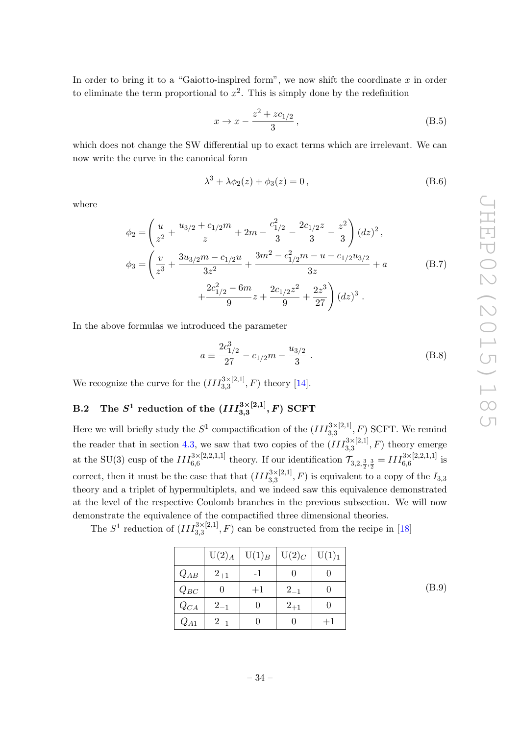In order to bring it to a "Gaiotto-inspired form", we now shift the coordinate  $x$  in order to eliminate the term proportional to  $x^2$ . This is simply done by the redefinition

$$
x \to x - \frac{z^2 + z c_{1/2}}{3}, \tag{B.5}
$$

which does not change the SW differential up to exact terms which are irrelevant. We can now write the curve in the canonical form

$$
\lambda^3 + \lambda \phi_2(z) + \phi_3(z) = 0, \qquad (B.6)
$$

where

$$
\phi_2 = \left(\frac{u}{z^2} + \frac{u_{3/2} + c_{1/2}m}{z} + 2m - \frac{c_{1/2}^2}{3} - \frac{2c_{1/2}z}{3} - \frac{z^2}{3}\right)(dz)^2,
$$
  
\n
$$
\phi_3 = \left(\frac{v}{z^3} + \frac{3u_{3/2}m - c_{1/2}u}{3z^2} + \frac{3m^2 - c_{1/2}^2m - u - c_{1/2}u_{3/2}}{3z} + a\right)
$$
  
\n
$$
+ \frac{2c_{1/2}^2 - 6m}{9}z + \frac{2c_{1/2}z^2}{9} + \frac{2z^3}{27}\right)(dz)^3.
$$
\n(B.7)

In the above formulas we introduced the parameter

$$
a \equiv \frac{2c_{1/2}^3}{27} - c_{1/2}m - \frac{u_{3/2}}{3} \ . \tag{B.8}
$$

We recognize the curve for the  $(III_{3,3}^{3\times[2,1]},F)$  theory [\[14\]](#page-38-11).

## <span id="page-34-0"></span> $\rm{B.2}\quad The\,\,S^1\,\, reduction\,\, of\,\, the\,\, (III^{3\times[2,1]}_{3,3},F)\,\, SCFT$

Here we will briefly study the  $S^1$  compactification of the  $(III_{3,3}^{3\times[2,1]},F)$  SCFT. We remind the reader that in section [4.3,](#page-23-0) we saw that two copies of the  $(III_{3,3}^{3\times[2,1]},F)$  theory emerge at the SU(3) cusp of the  $III_{6,6}^{3\times[2,2,1,1]}$  theory. If our identification  $\mathcal{T}_{3,2,\frac{3}{2},\frac{3}{2}} = III_{6,6}^{3\times[2,2,1,1]}$  is correct, then it must be the case that that  $(III_{3,3}^{3\times[2,1]},F)$  is equivalent to a copy of the  $I_{3,3}$ theory and a triplet of hypermultiplets, and we indeed saw this equivalence demonstrated at the level of the respective Coulomb branches in the previous subsection. We will now demonstrate the equivalence of the compactified three dimensional theories.

The  $S^1$  reduction of  $(III_{3,3}^{3\times[2,1]},F)$  can be constructed from the recipe in [\[18\]](#page-38-15)

|          | $U(2)$ <sub>A</sub> | $U(1)_B$ | $U(2)_C$ | U(1) <sub>1</sub> |
|----------|---------------------|----------|----------|-------------------|
| $Q_{AB}$ | $2_{+1}$            | -1       |          |                   |
| $Q_{BC}$ |                     | $+1$     | $2_{-1}$ |                   |
| $Q_{CA}$ | $2_{-1}$            |          | $2_{+1}$ |                   |
| $Q_{A1}$ | $2_{-1}$            |          |          |                   |

(B.9)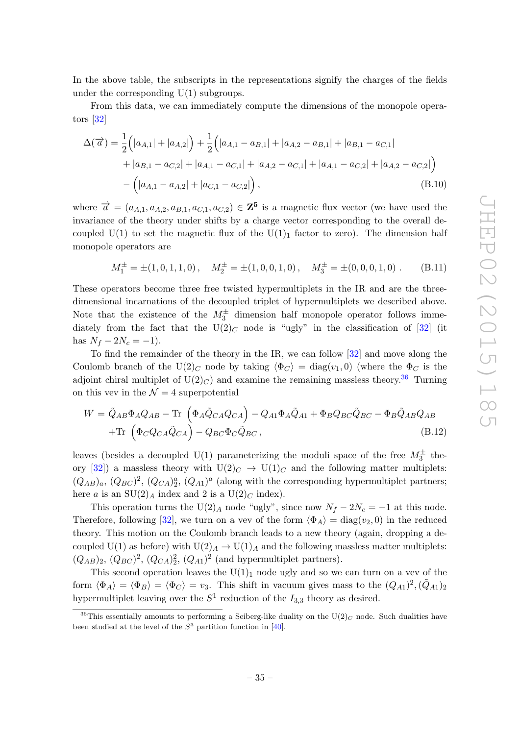In the above table, the subscripts in the representations signify the charges of the fields under the corresponding  $U(1)$  subgroups.

From this data, we can immediately compute the dimensions of the monopole operators [\[32\]](#page-39-13)

$$
\Delta(\overrightarrow{a}) = \frac{1}{2} (|a_{A,1}| + |a_{A,2}|) + \frac{1}{2} (|a_{A,1} - a_{B,1}| + |a_{A,2} - a_{B,1}| + |a_{B,1} - a_{C,1}| + |a_{B,1} - a_{C,2}| + |a_{A,1} - a_{C,1}| + |a_{A,2} - a_{C,1}| + |a_{A,1} - a_{C,2}| + |a_{A,2} - a_{C,2}|)
$$

$$
- (|a_{A,1} - a_{A,2}| + |a_{C,1} - a_{C,2}|), \qquad (B.10)
$$

where  $\vec{a} = (a_{A,1}, a_{A,2}, a_{B,1}, a_{C,1}, a_{C,2}) \in \mathbb{Z}^5$  is a magnetic flux vector (we have used the invariance of the theory under shifts by a charge vector corresponding to the overall decoupled U(1) to set the magnetic flux of the U(1)<sub>1</sub> factor to zero). The dimension half monopole operators are

$$
M_1^{\pm} = \pm (1, 0, 1, 1, 0), \quad M_2^{\pm} = \pm (1, 0, 0, 1, 0), \quad M_3^{\pm} = \pm (0, 0, 0, 1, 0). \tag{B.11}
$$

These operators become three free twisted hypermultiplets in the IR and are the threedimensional incarnations of the decoupled triplet of hypermultiplets we described above. Note that the existence of the  $M_3^{\pm}$  dimension half monopole operator follows immediately from the fact that the  $U(2)_C$  node is "ugly" in the classification of [\[32\]](#page-39-13) (it has  $N_f - 2N_c = -1$ ).

To find the remainder of the theory in the IR, we can follow [\[32\]](#page-39-13) and move along the Coulomb branch of the U(2)<sub>C</sub> node by taking  $\langle \Phi_C \rangle = \text{diag}(v_1, 0)$  (where the  $\Phi_C$  is the adjoint chiral multiplet of  $U(2)_C$  and examine the remaining massless theory.<sup>[36](#page-35-0)</sup> Turning on this vev in the  $\mathcal{N}=4$  superpotential

$$
W = \tilde{Q}_{AB}\Phi_A Q_{AB} - \text{Tr}\left(\Phi_A \tilde{Q}_{CA} Q_{CA}\right) - Q_{A1}\Phi_A \tilde{Q}_{A1} + \Phi_B Q_{BC} \tilde{Q}_{BC} - \Phi_B \tilde{Q}_{AB} Q_{AB} + \text{Tr}\left(\Phi_C Q_{CA} \tilde{Q}_{CA}\right) - Q_{BC} \Phi_C \tilde{Q}_{BC},
$$
(B.12)

leaves (besides a decoupled U(1) parameterizing the moduli space of the free  $M_3^{\pm}$  the-ory [\[32\]](#page-39-13)) a massless theory with  $U(2)_C \rightarrow U(1)_C$  and the following matter multiplets:  $(Q_{AB})_a$ ,  $(Q_{BC})^2$ ,  $(Q_{CA})_2^a$ ,  $(Q_{A1})^a$  (along with the corresponding hypermultiplet partners; here a is an  $SU(2)_A$  index and 2 is a  $U(2)_C$  index).

This operation turns the U(2)<sub>A</sub> node "ugly", since now  $N_f - 2N_c = -1$  at this node. Therefore, following [\[32\]](#page-39-13), we turn on a vev of the form  $\langle \Phi_A \rangle = \text{diag}(v_2, 0)$  in the reduced theory. This motion on the Coulomb branch leads to a new theory (again, dropping a decoupled U(1) as before) with  $U(2)_A \rightarrow U(1)_A$  and the following massless matter multiplets:  $(Q_{AB})_2$ ,  $(Q_{BC})^2$ ,  $(Q_{CA})_2^2$ ,  $(Q_{A1})^2$  (and hypermultiplet partners).

This second operation leaves the  $U(1)<sub>1</sub>$  node ugly and so we can turn on a vev of the form  $\langle \Phi_A \rangle = \langle \Phi_B \rangle = \langle \Phi_C \rangle = v_3$ . This shift in vacuum gives mass to the  $(Q_{A1})^2, (\tilde{Q}_{A1})_2$ hypermultiplet leaving over the  $S^1$  reduction of the  $I_{3,3}$  theory as desired.

<span id="page-35-0"></span><sup>&</sup>lt;sup>36</sup>This essentially amounts to performing a Seiberg-like duality on the  $U(2)_C$  node. Such dualities have been studied at the level of the  $S^3$  partition function in [\[40\]](#page-39-21).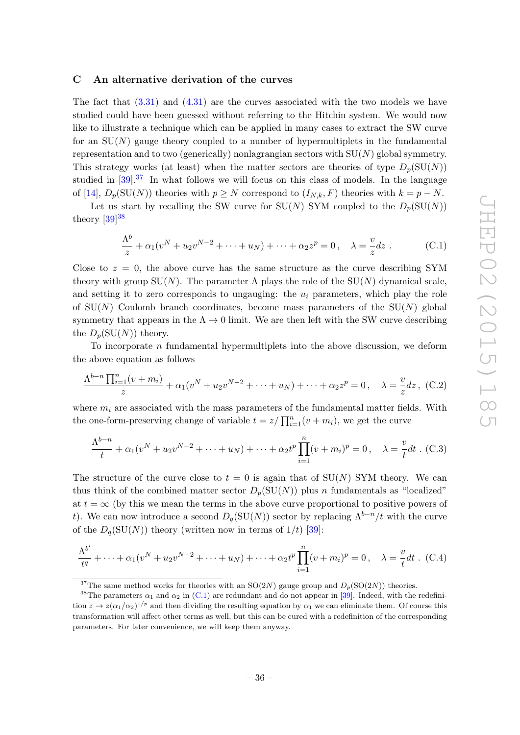#### <span id="page-36-0"></span>C An alternative derivation of the curves

The fact that  $(3.31)$  and  $(4.31)$  are the curves associated with the two models we have studied could have been guessed without referring to the Hitchin system. We would now like to illustrate a technique which can be applied in many cases to extract the SW curve for an  $SU(N)$  gauge theory coupled to a number of hypermultiplets in the fundamental representation and to two (generically) nonlagrangian sectors with  $SU(N)$  global symmetry. This strategy works (at least) when the matter sectors are theories of type  $D_p(SU(N))$ studied in  $[39]$ <sup>[37](#page-36-1)</sup>. In what follows we will focus on this class of models. In the language of [\[14\]](#page-38-11),  $D_p(SU(N))$  theories with  $p \geq N$  correspond to  $(I_{N,k}, F)$  theories with  $k = p - N$ .

Let us start by recalling the SW curve for  $SU(N)$  SYM coupled to the  $D_p(SU(N))$ theory  $[39]^{38}$  $[39]^{38}$  $[39]^{38}$ 

<span id="page-36-3"></span>
$$
\frac{\Lambda^b}{z} + \alpha_1 (v^N + u_2 v^{N-2} + \dots + u_N) + \dots + \alpha_2 z^p = 0, \quad \lambda = \frac{v}{z} dz \ .
$$
 (C.1)

Close to  $z = 0$ , the above curve has the same structure as the curve describing SYM theory with group  $SU(N)$ . The parameter  $\Lambda$  plays the role of the  $SU(N)$  dynamical scale, and setting it to zero corresponds to ungauging: the  $u_i$  parameters, which play the role of  $SU(N)$  Coulomb branch coordinates, become mass parameters of the  $SU(N)$  global symmetry that appears in the  $\Lambda \to 0$  limit. We are then left with the SW curve describing the  $D_p(SU(N))$  theory.

To incorporate n fundamental hypermultiplets into the above discussion, we deform the above equation as follows

$$
\frac{\Lambda^{b-n}\prod_{i=1}^n(v+m_i)}{z} + \alpha_1(v^N + u_2v^{N-2} + \dots + u_N) + \dots + \alpha_2z^p = 0, \quad \lambda = \frac{v}{z}dz, \quad (C.2)
$$

where  $m_i$  are associated with the mass parameters of the fundamental matter fields. With the one-form-preserving change of variable  $t = z / \prod_{i=1}^{n} (v + m_i)$ , we get the curve

$$
\frac{\Lambda^{b-n}}{t} + \alpha_1(v^N + u_2v^{N-2} + \dots + u_N) + \dots + \alpha_2t^p \prod_{i=1}^n (v + m_i)^p = 0, \quad \lambda = \frac{v}{t} dt \quad (C.3)
$$

The structure of the curve close to  $t = 0$  is again that of  $SU(N)$  SYM theory. We can thus think of the combined matter sector  $D_p(SU(N))$  plus n fundamentals as "localized" at  $t = \infty$  (by this we mean the terms in the above curve proportional to positive powers of t). We can now introduce a second  $D_q(SU(N))$  sector by replacing  $\Lambda^{b-n}/t$  with the curve of the  $D_q(SU(N))$  theory (written now in terms of  $1/t$ ) [\[39\]](#page-39-20):

<span id="page-36-4"></span>
$$
\frac{\Lambda^{b'}}{t^{q}} + \dots + \alpha_{1}(v^{N} + u_{2}v^{N-2} + \dots + u_{N}) + \dots + \alpha_{2}t^{p}\prod_{i=1}^{n}(v + m_{i})^{p} = 0, \quad \lambda = \frac{v}{t}dt \quad (C.4)
$$

<span id="page-36-2"></span><span id="page-36-1"></span><sup>&</sup>lt;sup>37</sup>The same method works for theories with an SO(2N) gauge group and  $D_p(SO(2N))$  theories.

<sup>&</sup>lt;sup>38</sup>The parameters  $\alpha_1$  and  $\alpha_2$  in [\(C.1\)](#page-36-3) are redundant and do not appear in [\[39\]](#page-39-20). Indeed, with the redefinition  $z \to z(\alpha_1/\alpha_2)^{1/p}$  and then dividing the resulting equation by  $\alpha_1$  we can eliminate them. Of course this transformation will affect other terms as well, but this can be cured with a redefinition of the corresponding parameters. For later convenience, we will keep them anyway.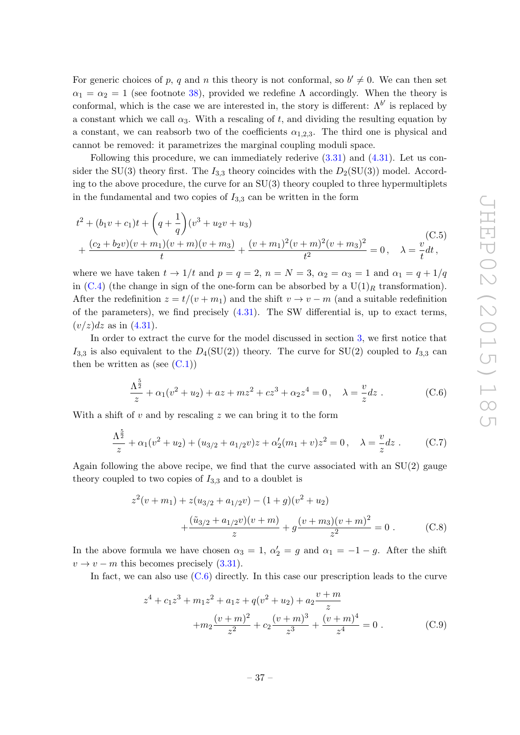For generic choices of p, q and n this theory is not conformal, so  $b' \neq 0$ . We can then set  $\alpha_1 = \alpha_2 = 1$  (see footnote [38\)](#page-36-2), provided we redefine  $\Lambda$  accordingly. When the theory is conformal, which is the case we are interested in, the story is different:  $\Lambda^{b'}$  is replaced by a constant which we call  $\alpha_3$ . With a rescaling of t, and dividing the resulting equation by a constant, we can reabsorb two of the coefficients  $\alpha_{1,2,3}$ . The third one is physical and cannot be removed: it parametrizes the marginal coupling moduli space.

Following this procedure, we can immediately rederive [\(3.31\)](#page-17-0) and [\(4.31\)](#page-28-4). Let us consider the SU(3) theory first. The  $I_{3,3}$  theory coincides with the  $D_2(SU(3))$  model. According to the above procedure, the curve for an  $SU(3)$  theory coupled to three hypermultiplets in the fundamental and two copies of  $I_{3,3}$  can be written in the form

$$
t^{2} + (b_{1}v + c_{1})t + \left(q + \frac{1}{q}\right)(v^{3} + u_{2}v + u_{3})
$$
  
+ 
$$
\frac{(c_{2} + b_{2}v)(v + m_{1})(v + m)(v + m_{3})}{t} + \frac{(v + m_{1})^{2}(v + m)^{2}(v + m_{3})^{2}}{t^{2}} = 0, \quad \lambda = \frac{v}{t}dt,
$$
 (C.5)

where we have taken  $t \to 1/t$  and  $p = q = 2$ ,  $n = N = 3$ ,  $\alpha_2 = \alpha_3 = 1$  and  $\alpha_1 = q + 1/q$ in [\(C.4\)](#page-36-4) (the change in sign of the one-form can be absorbed by a  $U(1)_R$  transformation). After the redefinition  $z = t/(v + m_1)$  and the shift  $v \to v - m$  (and a suitable redefinition of the parameters), we find precisely  $(4.31)$ . The SW differential is, up to exact terms,  $(v/z)dz$  as in  $(4.31)$ .

In order to extract the curve for the model discussed in section [3,](#page-8-0) we first notice that  $I_{3,3}$  is also equivalent to the  $D_4(SU(2))$  theory. The curve for SU(2) coupled to  $I_{3,3}$  can then be written as (see  $(C.1)$ )

<span id="page-37-0"></span>
$$
\frac{\Lambda^{\frac{5}{2}}}{z} + \alpha_1(v^2 + u_2) + az + mz^2 + cz^3 + \alpha_2 z^4 = 0, \quad \lambda = \frac{v}{z} dz.
$$
 (C.6)

With a shift of  $v$  and by rescaling  $z$  we can bring it to the form

$$
\frac{\Lambda^{\frac{5}{2}}}{z} + \alpha_1(v^2 + u_2) + (u_{3/2} + a_{1/2}v)z + \alpha'_2(m_1 + v)z^2 = 0, \quad \lambda = \frac{v}{z}dz.
$$
 (C.7)

Again following the above recipe, we find that the curve associated with an  $SU(2)$  gauge theory coupled to two copies of  $I_{3,3}$  and to a doublet is

$$
z^{2}(v+m_{1}) + z(u_{3/2} + a_{1/2}v) - (1+g)(v^{2} + u_{2})
$$
  
 
$$
+ \frac{(\tilde{u}_{3/2} + a_{1/2}v)(v+m)}{z} + g\frac{(v+m_{3})(v+m)^{2}}{z^{2}} = 0.
$$
 (C.8)

In the above formula we have chosen  $\alpha_3 = 1, \alpha'_2 = g$  and  $\alpha_1 = -1 - g$ . After the shift  $v \rightarrow v - m$  this becomes precisely [\(3.31\)](#page-17-0).

In fact, we can also use  $(C.6)$  directly. In this case our prescription leads to the curve

$$
z^{4} + c_{1}z^{3} + m_{1}z^{2} + a_{1}z + q(v^{2} + u_{2}) + a_{2}\frac{v + m}{z} + m_{2}\frac{(v + m)^{2}}{z^{2}} + c_{2}\frac{(v + m)^{3}}{z^{3}} + \frac{(v + m)^{4}}{z^{4}} = 0.
$$
 (C.9)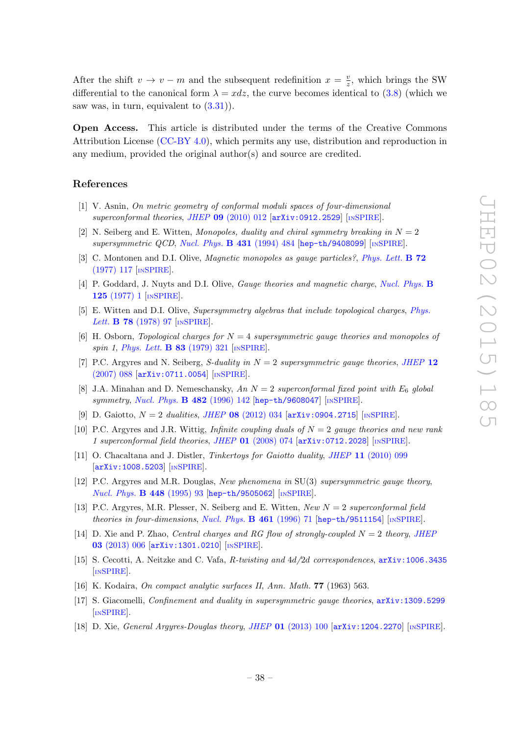After the shift  $v \to v - m$  and the subsequent redefinition  $x = \frac{v}{2}$  $\frac{v}{z}$ , which brings the SW differential to the canonical form  $\lambda = x dz$ , the curve becomes identical to [\(3.8\)](#page-11-4) (which we saw was, in turn, equivalent to  $(3.31)$ .

Open Access. This article is distributed under the terms of the Creative Commons Attribution License [\(CC-BY 4.0\)](http://creativecommons.org/licenses/by/4.0/), which permits any use, distribution and reproduction in any medium, provided the original author(s) and source are credited.

#### References

- <span id="page-38-8"></span>[1] V. Asnin, On metric geometry of conformal moduli spaces of four-dimensional superconformal theories, JHEP  $09$  [\(2010\) 012](http://dx.doi.org/10.1007/JHEP09(2010)012)  $\text{arXiv:}$  0912.2529 [IN[SPIRE](http://inspirehep.net/search?p=find+EPRINT+arXiv:0912.2529)].
- <span id="page-38-0"></span>[2] N. Seiberg and E. Witten, Monopoles, duality and chiral symmetry breaking in  $N = 2$  $supersymmetric QCD, Nucl. Phys. B 431 (1994) 484 [hep-th/9408099] [NSPIRE].$  $supersymmetric QCD, Nucl. Phys. B 431 (1994) 484 [hep-th/9408099] [NSPIRE].$  $supersymmetric QCD, Nucl. Phys. B 431 (1994) 484 [hep-th/9408099] [NSPIRE].$  $supersymmetric QCD, Nucl. Phys. B 431 (1994) 484 [hep-th/9408099] [NSPIRE].$  $supersymmetric QCD, Nucl. Phys. B 431 (1994) 484 [hep-th/9408099] [NSPIRE].$  $supersymmetric QCD, Nucl. Phys. B 431 (1994) 484 [hep-th/9408099] [NSPIRE].$  $supersymmetric QCD, Nucl. Phys. B 431 (1994) 484 [hep-th/9408099] [NSPIRE].$
- <span id="page-38-1"></span>[3] C. Montonen and D.I. Olive, *Magnetic monopoles as gauge particles?*, *[Phys. Lett.](http://dx.doi.org/10.1016/0370-2693(77)90076-4)* **B 72** [\(1977\) 117](http://dx.doi.org/10.1016/0370-2693(77)90076-4) [IN[SPIRE](http://inspirehep.net/search?p=find+J+Phys.Lett.,B72,117)].
- [4] P. Goddard, J. Nuyts and D.I. Olive, Gauge theories and magnetic charge, [Nucl. Phys.](http://dx.doi.org/10.1016/0550-3213(77)90221-8) B 125 [\(1977\) 1](http://dx.doi.org/10.1016/0550-3213(77)90221-8) [IN[SPIRE](http://inspirehep.net/search?p=find+J+Nucl.Phys.,B125,1)].
- [5] E. Witten and D.I. Olive, Supersymmetry algebras that include topological charges, [Phys.](http://dx.doi.org/10.1016/0370-2693(78)90357-X) Lett. **B 78** [\(1978\) 97](http://dx.doi.org/10.1016/0370-2693(78)90357-X) [IN[SPIRE](http://inspirehep.net/search?p=find+J+Phys.Lett.,B78,97)].
- <span id="page-38-2"></span>[6] H. Osborn, *Topological charges for*  $N = 4$  supersymmetric gauge theories and monopoles of spin 1, [Phys. Lett.](http://dx.doi.org/10.1016/0370-2693(79)91118-3) **B 83** (1979) 321 [IN[SPIRE](http://inspirehep.net/search?p=find+J+Phys.Lett.,B83,321)].
- <span id="page-38-3"></span>[7] P.C. Argyres and N. Seiberg, S-duality in  $N = 2$  supersymmetric gauge theories, [JHEP](http://dx.doi.org/10.1088/1126-6708/2007/12/088) 12 [\(2007\) 088](http://dx.doi.org/10.1088/1126-6708/2007/12/088) [[arXiv:0711.0054](http://arxiv.org/abs/0711.0054)] [IN[SPIRE](http://inspirehep.net/search?p=find+EPRINT+arXiv:0711.0054)].
- <span id="page-38-4"></span>[8] J.A. Minahan and D. Nemeschansky, An  $N = 2$  superconformal fixed point with  $E_6$  global symmetry, [Nucl. Phys.](http://dx.doi.org/10.1016/S0550-3213(96)00552-4) B 482 (1996) 142 [[hep-th/9608047](http://arxiv.org/abs/hep-th/9608047)] [IN[SPIRE](http://inspirehep.net/search?p=find+EPRINT+hep-th/9608047)].
- <span id="page-38-5"></span>[9] D. Gaiotto,  $N = 2$  dualities, JHEP 08 [\(2012\) 034](http://dx.doi.org/10.1007/JHEP08(2012)034) [[arXiv:0904.2715](http://arxiv.org/abs/0904.2715)] [IN[SPIRE](http://inspirehep.net/search?p=find+EPRINT+arXiv:0904.2715)].
- <span id="page-38-6"></span>[10] P.C. Argyres and J.R. Wittig, Infinite coupling duals of  $N = 2$  gauge theories and new rank 1 superconformal field theories, JHEP 01 [\(2008\) 074](http://dx.doi.org/10.1088/1126-6708/2008/01/074) [[arXiv:0712.2028](http://arxiv.org/abs/0712.2028)] [IN[SPIRE](http://inspirehep.net/search?p=find+EPRINT+arXiv:0712.2028)].
- <span id="page-38-7"></span>[11] O. Chacaltana and J. Distler, *Tinkertoys for Gaiotto duality, JHEP* 11 [\(2010\) 099](http://dx.doi.org/10.1007/JHEP11(2010)099) [[arXiv:1008.5203](http://arxiv.org/abs/1008.5203)] [IN[SPIRE](http://inspirehep.net/search?p=find+EPRINT+arXiv:1008.5203)].
- <span id="page-38-9"></span>[12] P.C. Argyres and M.R. Douglas, New phenomena in SU(3) supersymmetric gauge theory, [Nucl. Phys.](http://dx.doi.org/10.1016/0550-3213(95)00281-V) B 448 (1995) 93 [[hep-th/9505062](http://arxiv.org/abs/hep-th/9505062)] [IN[SPIRE](http://inspirehep.net/search?p=find+EPRINT+hep-th/9505062)].
- <span id="page-38-10"></span>[13] P.C. Argyres, M.R. Plesser, N. Seiberg and E. Witten, New  $N = 2$  superconformal field theories in four-dimensions, [Nucl. Phys.](http://dx.doi.org/10.1016/0550-3213(95)00671-0) B 461 (1996) 71 [[hep-th/9511154](http://arxiv.org/abs/hep-th/9511154)] [IN[SPIRE](http://inspirehep.net/search?p=find+EPRINT+hep-th/9511154)].
- <span id="page-38-11"></span>[14] D. Xie and P. Zhao, *Central charges and RG flow of strongly-coupled N = 2 theory, [JHEP](http://dx.doi.org/10.1007/JHEP03(2013)006)* 03 [\(2013\) 006](http://dx.doi.org/10.1007/JHEP03(2013)006) [[arXiv:1301.0210](http://arxiv.org/abs/1301.0210)] [IN[SPIRE](http://inspirehep.net/search?p=find+EPRINT+arXiv:1301.0210)].
- <span id="page-38-13"></span>[15] S. Cecotti, A. Neitzke and C. Vafa, R-twisting and 4d/2d correspondences, [arXiv:1006.3435](http://arxiv.org/abs/1006.3435) [IN[SPIRE](http://inspirehep.net/search?p=find+EPRINT+arXiv:1006.3435)].
- <span id="page-38-14"></span>[16] K. Kodaira, On compact analytic surfaces II, Ann. Math. 77 (1963) 563.
- <span id="page-38-12"></span>[17] S. Giacomelli, Confinement and duality in supersymmetric gauge theories, [arXiv:1309.5299](http://arxiv.org/abs/1309.5299) [IN[SPIRE](http://inspirehep.net/search?p=find+EPRINT+arXiv:1309.5299)].
- <span id="page-38-15"></span>[18] D. Xie, *General Argyres-Douglas theory, JHEP* 01 [\(2013\) 100](http://dx.doi.org/10.1007/JHEP01(2013)100)  $\ar{xiv:1204.2270}$  [IN[SPIRE](http://inspirehep.net/search?p=find+EPRINT+arXiv:1204.2270)].